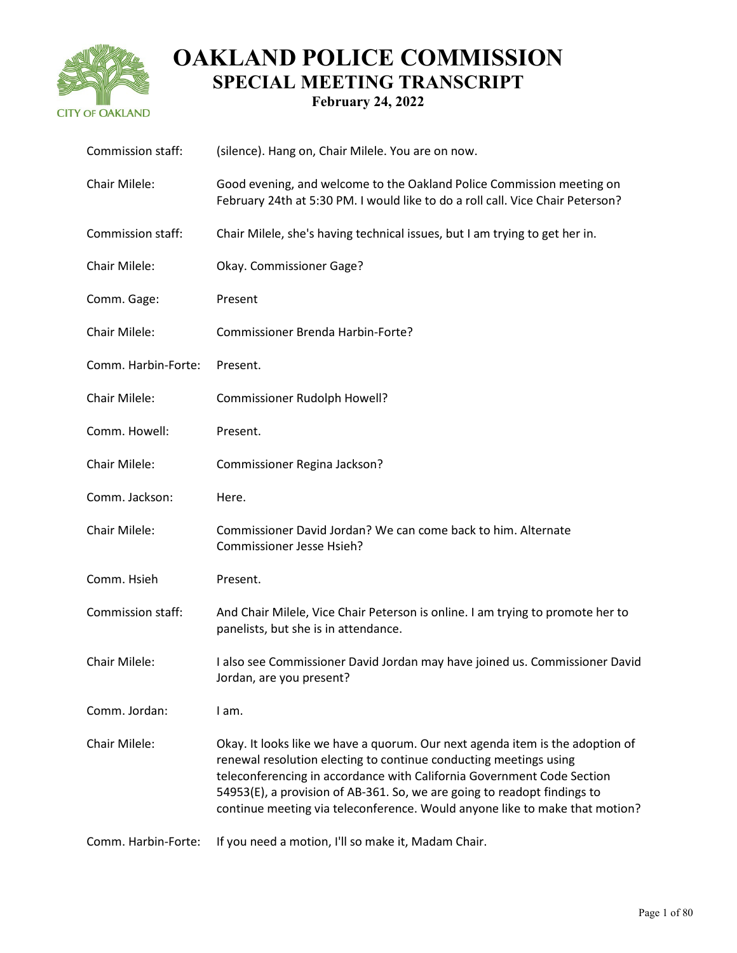

| Commission staff:   | (silence). Hang on, Chair Milele. You are on now.                                                                                                                                                                                                                                                                                                                                       |
|---------------------|-----------------------------------------------------------------------------------------------------------------------------------------------------------------------------------------------------------------------------------------------------------------------------------------------------------------------------------------------------------------------------------------|
| Chair Milele:       | Good evening, and welcome to the Oakland Police Commission meeting on<br>February 24th at 5:30 PM. I would like to do a roll call. Vice Chair Peterson?                                                                                                                                                                                                                                 |
| Commission staff:   | Chair Milele, she's having technical issues, but I am trying to get her in.                                                                                                                                                                                                                                                                                                             |
| Chair Milele:       | Okay. Commissioner Gage?                                                                                                                                                                                                                                                                                                                                                                |
| Comm. Gage:         | Present                                                                                                                                                                                                                                                                                                                                                                                 |
| Chair Milele:       | Commissioner Brenda Harbin-Forte?                                                                                                                                                                                                                                                                                                                                                       |
| Comm. Harbin-Forte: | Present.                                                                                                                                                                                                                                                                                                                                                                                |
| Chair Milele:       | Commissioner Rudolph Howell?                                                                                                                                                                                                                                                                                                                                                            |
| Comm. Howell:       | Present.                                                                                                                                                                                                                                                                                                                                                                                |
| Chair Milele:       | Commissioner Regina Jackson?                                                                                                                                                                                                                                                                                                                                                            |
| Comm. Jackson:      | Here.                                                                                                                                                                                                                                                                                                                                                                                   |
| Chair Milele:       | Commissioner David Jordan? We can come back to him. Alternate<br>Commissioner Jesse Hsieh?                                                                                                                                                                                                                                                                                              |
| Comm. Hsieh         | Present.                                                                                                                                                                                                                                                                                                                                                                                |
| Commission staff:   | And Chair Milele, Vice Chair Peterson is online. I am trying to promote her to<br>panelists, but she is in attendance.                                                                                                                                                                                                                                                                  |
| Chair Milele:       | I also see Commissioner David Jordan may have joined us. Commissioner David<br>Jordan, are you present?                                                                                                                                                                                                                                                                                 |
| Comm. Jordan:       | I am.                                                                                                                                                                                                                                                                                                                                                                                   |
| Chair Milele:       | Okay. It looks like we have a quorum. Our next agenda item is the adoption of<br>renewal resolution electing to continue conducting meetings using<br>teleconferencing in accordance with California Government Code Section<br>54953(E), a provision of AB-361. So, we are going to readopt findings to<br>continue meeting via teleconference. Would anyone like to make that motion? |
| Comm. Harbin-Forte: | If you need a motion, I'll so make it, Madam Chair.                                                                                                                                                                                                                                                                                                                                     |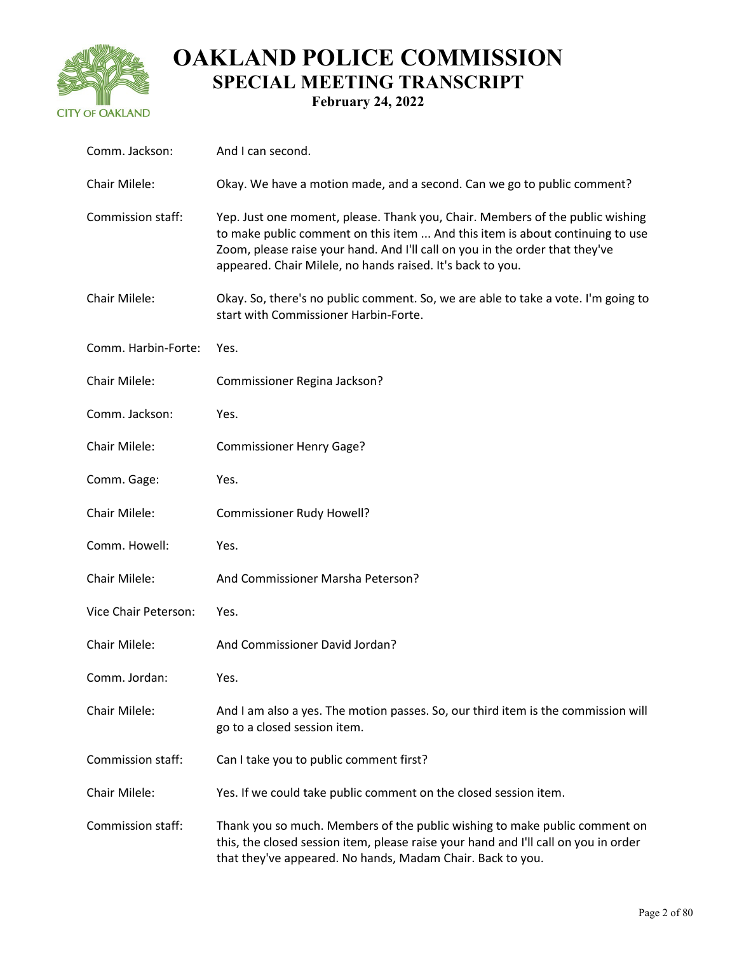

| Comm. Jackson:       | And I can second.                                                                                                                                                                                                                                                                                            |
|----------------------|--------------------------------------------------------------------------------------------------------------------------------------------------------------------------------------------------------------------------------------------------------------------------------------------------------------|
| Chair Milele:        | Okay. We have a motion made, and a second. Can we go to public comment?                                                                                                                                                                                                                                      |
| Commission staff:    | Yep. Just one moment, please. Thank you, Chair. Members of the public wishing<br>to make public comment on this item  And this item is about continuing to use<br>Zoom, please raise your hand. And I'll call on you in the order that they've<br>appeared. Chair Milele, no hands raised. It's back to you. |
| Chair Milele:        | Okay. So, there's no public comment. So, we are able to take a vote. I'm going to<br>start with Commissioner Harbin-Forte.                                                                                                                                                                                   |
| Comm. Harbin-Forte:  | Yes.                                                                                                                                                                                                                                                                                                         |
| Chair Milele:        | Commissioner Regina Jackson?                                                                                                                                                                                                                                                                                 |
| Comm. Jackson:       | Yes.                                                                                                                                                                                                                                                                                                         |
| Chair Milele:        | <b>Commissioner Henry Gage?</b>                                                                                                                                                                                                                                                                              |
| Comm. Gage:          | Yes.                                                                                                                                                                                                                                                                                                         |
| Chair Milele:        | Commissioner Rudy Howell?                                                                                                                                                                                                                                                                                    |
| Comm. Howell:        | Yes.                                                                                                                                                                                                                                                                                                         |
| Chair Milele:        | And Commissioner Marsha Peterson?                                                                                                                                                                                                                                                                            |
| Vice Chair Peterson: | Yes.                                                                                                                                                                                                                                                                                                         |
| Chair Milele:        | And Commissioner David Jordan?                                                                                                                                                                                                                                                                               |
| Comm. Jordan:        | Yes.                                                                                                                                                                                                                                                                                                         |
| Chair Milele:        | And I am also a yes. The motion passes. So, our third item is the commission will<br>go to a closed session item.                                                                                                                                                                                            |
| Commission staff:    | Can I take you to public comment first?                                                                                                                                                                                                                                                                      |
| <b>Chair Milele:</b> | Yes. If we could take public comment on the closed session item.                                                                                                                                                                                                                                             |
| Commission staff:    | Thank you so much. Members of the public wishing to make public comment on<br>this, the closed session item, please raise your hand and I'll call on you in order<br>that they've appeared. No hands, Madam Chair. Back to you.                                                                              |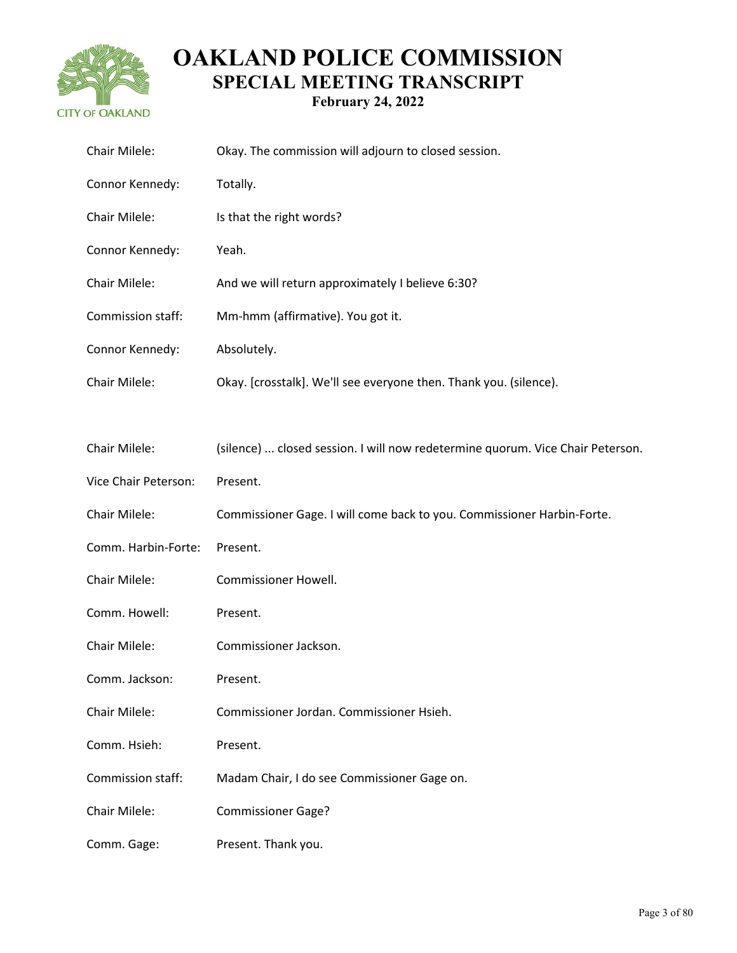

| Chair Milele:        | Okay. The commission will adjourn to closed session.                           |
|----------------------|--------------------------------------------------------------------------------|
| Connor Kennedy:      | Totally.                                                                       |
| Chair Milele:        | Is that the right words?                                                       |
| Connor Kennedy:      | Yeah.                                                                          |
| Chair Milele:        | And we will return approximately I believe 6:30?                               |
| Commission staff:    | Mm-hmm (affirmative). You got it.                                              |
| Connor Kennedy:      | Absolutely.                                                                    |
| Chair Milele:        | Okay. [crosstalk]. We'll see everyone then. Thank you. (silence).              |
|                      |                                                                                |
| Chair Milele:        | (silence)  closed session. I will now redetermine quorum. Vice Chair Peterson. |
| Vice Chair Peterson: | Present.                                                                       |
| Chair Milele:        | Commissioner Gage. I will come back to you. Commissioner Harbin-Forte.         |
| Comm. Harbin-Forte:  | Present.                                                                       |
| Chair Milele:        | Commissioner Howell.                                                           |
| Comm. Howell:        | Present.                                                                       |
| Chair Milele:        | Commissioner Jackson.                                                          |
| Comm. Jackson:       | Present.                                                                       |
| Chair Milele:        | Commissioner Jordan. Commissioner Hsieh.                                       |
| Comm. Hsieh:         | Present.                                                                       |
| Commission staff:    | Madam Chair, I do see Commissioner Gage on.                                    |
| Chair Milele:        | <b>Commissioner Gage?</b>                                                      |
| Comm. Gage:          | Present. Thank you.                                                            |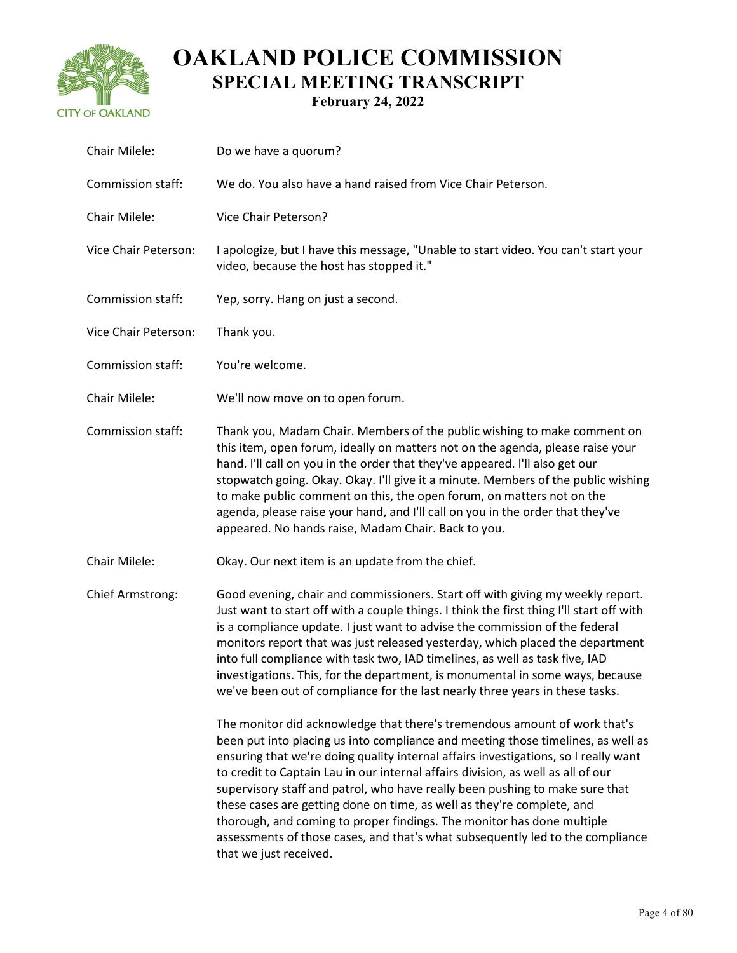

| Chair Milele:           | Do we have a quorum?                                                                                                                                                                                                                                                                                                                                                                                                                                                                                                                                                                                                                                                                     |
|-------------------------|------------------------------------------------------------------------------------------------------------------------------------------------------------------------------------------------------------------------------------------------------------------------------------------------------------------------------------------------------------------------------------------------------------------------------------------------------------------------------------------------------------------------------------------------------------------------------------------------------------------------------------------------------------------------------------------|
| Commission staff:       | We do. You also have a hand raised from Vice Chair Peterson.                                                                                                                                                                                                                                                                                                                                                                                                                                                                                                                                                                                                                             |
| Chair Milele:           | Vice Chair Peterson?                                                                                                                                                                                                                                                                                                                                                                                                                                                                                                                                                                                                                                                                     |
| Vice Chair Peterson:    | I apologize, but I have this message, "Unable to start video. You can't start your<br>video, because the host has stopped it."                                                                                                                                                                                                                                                                                                                                                                                                                                                                                                                                                           |
| Commission staff:       | Yep, sorry. Hang on just a second.                                                                                                                                                                                                                                                                                                                                                                                                                                                                                                                                                                                                                                                       |
| Vice Chair Peterson:    | Thank you.                                                                                                                                                                                                                                                                                                                                                                                                                                                                                                                                                                                                                                                                               |
| Commission staff:       | You're welcome.                                                                                                                                                                                                                                                                                                                                                                                                                                                                                                                                                                                                                                                                          |
| Chair Milele:           | We'll now move on to open forum.                                                                                                                                                                                                                                                                                                                                                                                                                                                                                                                                                                                                                                                         |
| Commission staff:       | Thank you, Madam Chair. Members of the public wishing to make comment on<br>this item, open forum, ideally on matters not on the agenda, please raise your<br>hand. I'll call on you in the order that they've appeared. I'll also get our<br>stopwatch going. Okay. Okay. I'll give it a minute. Members of the public wishing<br>to make public comment on this, the open forum, on matters not on the<br>agenda, please raise your hand, and I'll call on you in the order that they've<br>appeared. No hands raise, Madam Chair. Back to you.                                                                                                                                        |
| Chair Milele:           | Okay. Our next item is an update from the chief.                                                                                                                                                                                                                                                                                                                                                                                                                                                                                                                                                                                                                                         |
| <b>Chief Armstrong:</b> | Good evening, chair and commissioners. Start off with giving my weekly report.<br>Just want to start off with a couple things. I think the first thing I'll start off with<br>is a compliance update. I just want to advise the commission of the federal<br>monitors report that was just released yesterday, which placed the department<br>into full compliance with task two, IAD timelines, as well as task five, IAD<br>investigations. This, for the department, is monumental in some ways, because<br>we've been out of compliance for the last nearly three years in these tasks.                                                                                              |
|                         | The monitor did acknowledge that there's tremendous amount of work that's<br>been put into placing us into compliance and meeting those timelines, as well as<br>ensuring that we're doing quality internal affairs investigations, so I really want<br>to credit to Captain Lau in our internal affairs division, as well as all of our<br>supervisory staff and patrol, who have really been pushing to make sure that<br>these cases are getting done on time, as well as they're complete, and<br>thorough, and coming to proper findings. The monitor has done multiple<br>assessments of those cases, and that's what subsequently led to the compliance<br>that we just received. |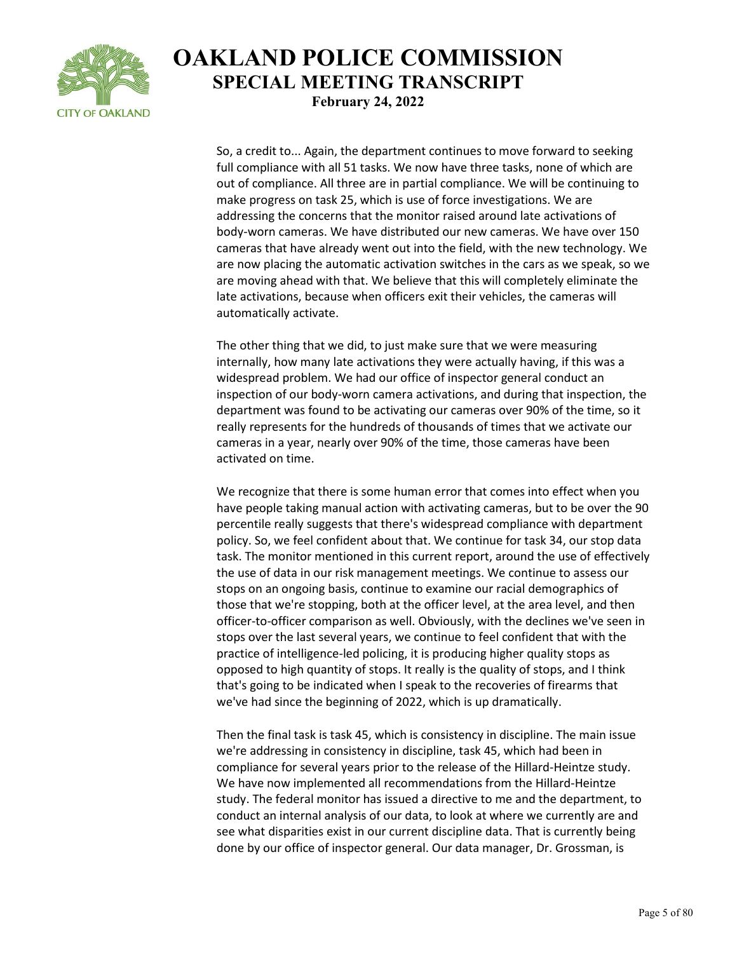

So, a credit to... Again, the department continues to move forward to seeking full compliance with all 51 tasks. We now have three tasks, none of which are out of compliance. All three are in partial compliance. We will be continuing to make progress on task 25, which is use of force investigations. We are addressing the concerns that the monitor raised around late activations of body-worn cameras. We have distributed our new cameras. We have over 150 cameras that have already went out into the field, with the new technology. We are now placing the automatic activation switches in the cars as we speak, so we are moving ahead with that. We believe that this will completely eliminate the late activations, because when officers exit their vehicles, the cameras will automatically activate.

The other thing that we did, to just make sure that we were measuring internally, how many late activations they were actually having, if this was a widespread problem. We had our office of inspector general conduct an inspection of our body-worn camera activations, and during that inspection, the department was found to be activating our cameras over 90% of the time, so it really represents for the hundreds of thousands of times that we activate our cameras in a year, nearly over 90% of the time, those cameras have been activated on time.

We recognize that there is some human error that comes into effect when you have people taking manual action with activating cameras, but to be over the 90 percentile really suggests that there's widespread compliance with department policy. So, we feel confident about that. We continue for task 34, our stop data task. The monitor mentioned in this current report, around the use of effectively the use of data in our risk management meetings. We continue to assess our stops on an ongoing basis, continue to examine our racial demographics of those that we're stopping, both at the officer level, at the area level, and then officer-to-officer comparison as well. Obviously, with the declines we've seen in stops over the last several years, we continue to feel confident that with the practice of intelligence-led policing, it is producing higher quality stops as opposed to high quantity of stops. It really is the quality of stops, and I think that's going to be indicated when I speak to the recoveries of firearms that we've had since the beginning of 2022, which is up dramatically.

Then the final task is task 45, which is consistency in discipline. The main issue we're addressing in consistency in discipline, task 45, which had been in compliance for several years prior to the release of the Hillard-Heintze study. We have now implemented all recommendations from the Hillard-Heintze study. The federal monitor has issued a directive to me and the department, to conduct an internal analysis of our data, to look at where we currently are and see what disparities exist in our current discipline data. That is currently being done by our office of inspector general. Our data manager, Dr. Grossman, is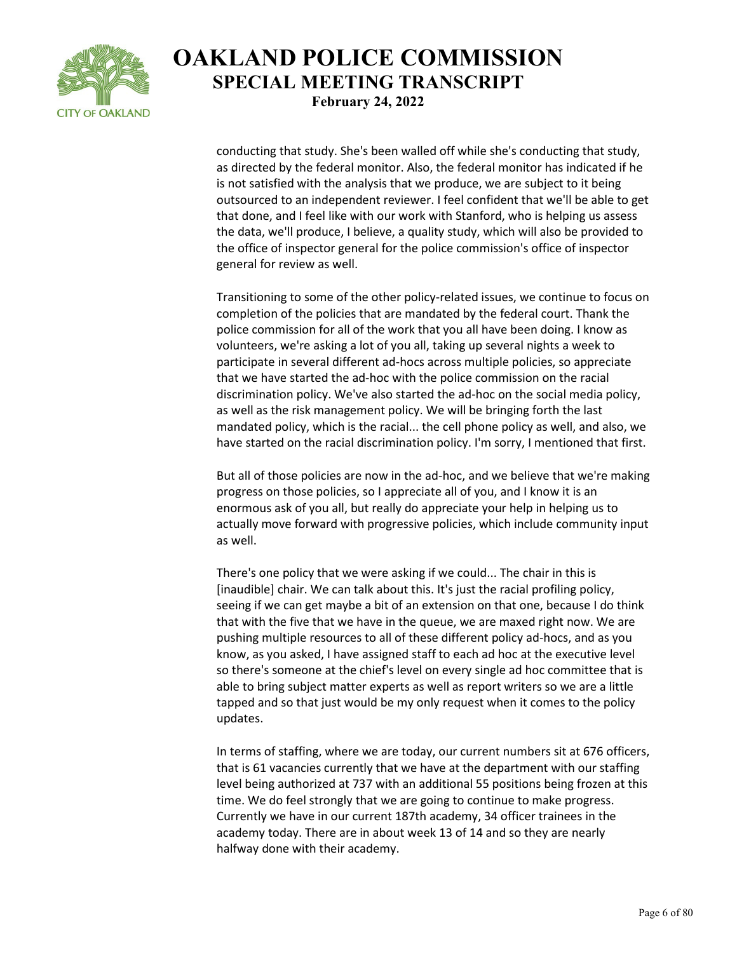

conducting that study. She's been walled off while she's conducting that study, as directed by the federal monitor. Also, the federal monitor has indicated if he is not satisfied with the analysis that we produce, we are subject to it being outsourced to an independent reviewer. I feel confident that we'll be able to get that done, and I feel like with our work with Stanford, who is helping us assess the data, we'll produce, I believe, a quality study, which will also be provided to the office of inspector general for the police commission's office of inspector general for review as well.

Transitioning to some of the other policy-related issues, we continue to focus on completion of the policies that are mandated by the federal court. Thank the police commission for all of the work that you all have been doing. I know as volunteers, we're asking a lot of you all, taking up several nights a week to participate in several different ad-hocs across multiple policies, so appreciate that we have started the ad-hoc with the police commission on the racial discrimination policy. We've also started the ad-hoc on the social media policy, as well as the risk management policy. We will be bringing forth the last mandated policy, which is the racial... the cell phone policy as well, and also, we have started on the racial discrimination policy. I'm sorry, I mentioned that first.

But all of those policies are now in the ad-hoc, and we believe that we're making progress on those policies, so I appreciate all of you, and I know it is an enormous ask of you all, but really do appreciate your help in helping us to actually move forward with progressive policies, which include community input as well.

There's one policy that we were asking if we could... The chair in this is [inaudible] chair. We can talk about this. It's just the racial profiling policy, seeing if we can get maybe a bit of an extension on that one, because I do think that with the five that we have in the queue, we are maxed right now. We are pushing multiple resources to all of these different policy ad-hocs, and as you know, as you asked, I have assigned staff to each ad hoc at the executive level so there's someone at the chief's level on every single ad hoc committee that is able to bring subject matter experts as well as report writers so we are a little tapped and so that just would be my only request when it comes to the policy updates.

In terms of staffing, where we are today, our current numbers sit at 676 officers, that is 61 vacancies currently that we have at the department with our staffing level being authorized at 737 with an additional 55 positions being frozen at this time. We do feel strongly that we are going to continue to make progress. Currently we have in our current 187th academy, 34 officer trainees in the academy today. There are in about week 13 of 14 and so they are nearly halfway done with their academy.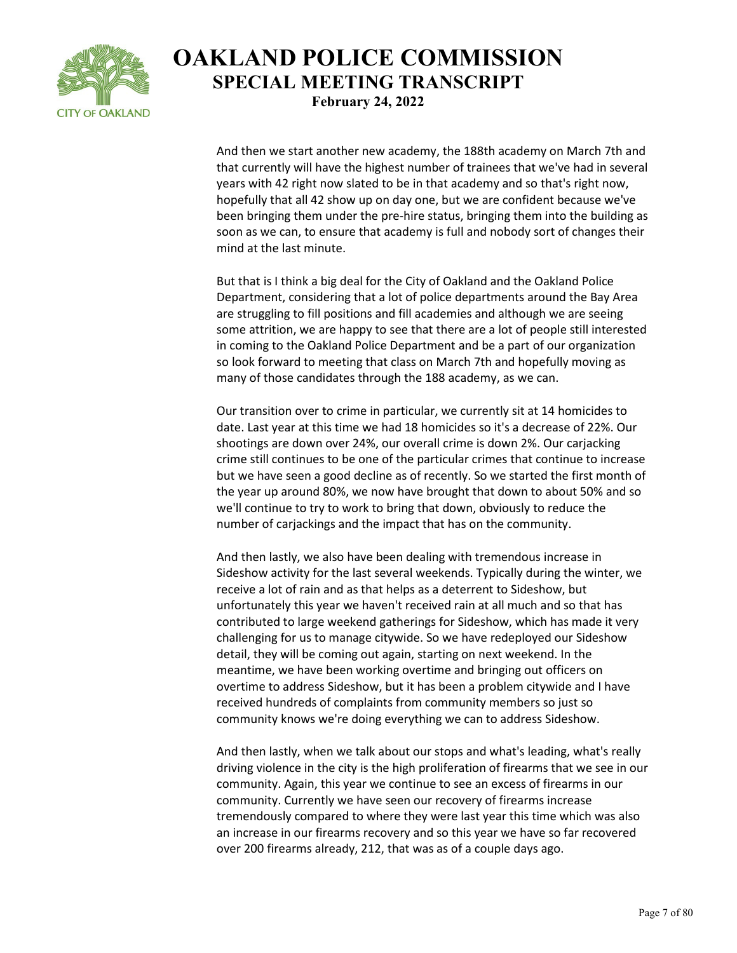

And then we start another new academy, the 188th academy on March 7th and that currently will have the highest number of trainees that we've had in several years with 42 right now slated to be in that academy and so that's right now, hopefully that all 42 show up on day one, but we are confident because we've been bringing them under the pre-hire status, bringing them into the building as soon as we can, to ensure that academy is full and nobody sort of changes their mind at the last minute.

But that is I think a big deal for the City of Oakland and the Oakland Police Department, considering that a lot of police departments around the Bay Area are struggling to fill positions and fill academies and although we are seeing some attrition, we are happy to see that there are a lot of people still interested in coming to the Oakland Police Department and be a part of our organization so look forward to meeting that class on March 7th and hopefully moving as many of those candidates through the 188 academy, as we can.

Our transition over to crime in particular, we currently sit at 14 homicides to date. Last year at this time we had 18 homicides so it's a decrease of 22%. Our shootings are down over 24%, our overall crime is down 2%. Our carjacking crime still continues to be one of the particular crimes that continue to increase but we have seen a good decline as of recently. So we started the first month of the year up around 80%, we now have brought that down to about 50% and so we'll continue to try to work to bring that down, obviously to reduce the number of carjackings and the impact that has on the community.

And then lastly, we also have been dealing with tremendous increase in Sideshow activity for the last several weekends. Typically during the winter, we receive a lot of rain and as that helps as a deterrent to Sideshow, but unfortunately this year we haven't received rain at all much and so that has contributed to large weekend gatherings for Sideshow, which has made it very challenging for us to manage citywide. So we have redeployed our Sideshow detail, they will be coming out again, starting on next weekend. In the meantime, we have been working overtime and bringing out officers on overtime to address Sideshow, but it has been a problem citywide and I have received hundreds of complaints from community members so just so community knows we're doing everything we can to address Sideshow.

And then lastly, when we talk about our stops and what's leading, what's really driving violence in the city is the high proliferation of firearms that we see in our community. Again, this year we continue to see an excess of firearms in our community. Currently we have seen our recovery of firearms increase tremendously compared to where they were last year this time which was also an increase in our firearms recovery and so this year we have so far recovered over 200 firearms already, 212, that was as of a couple days ago.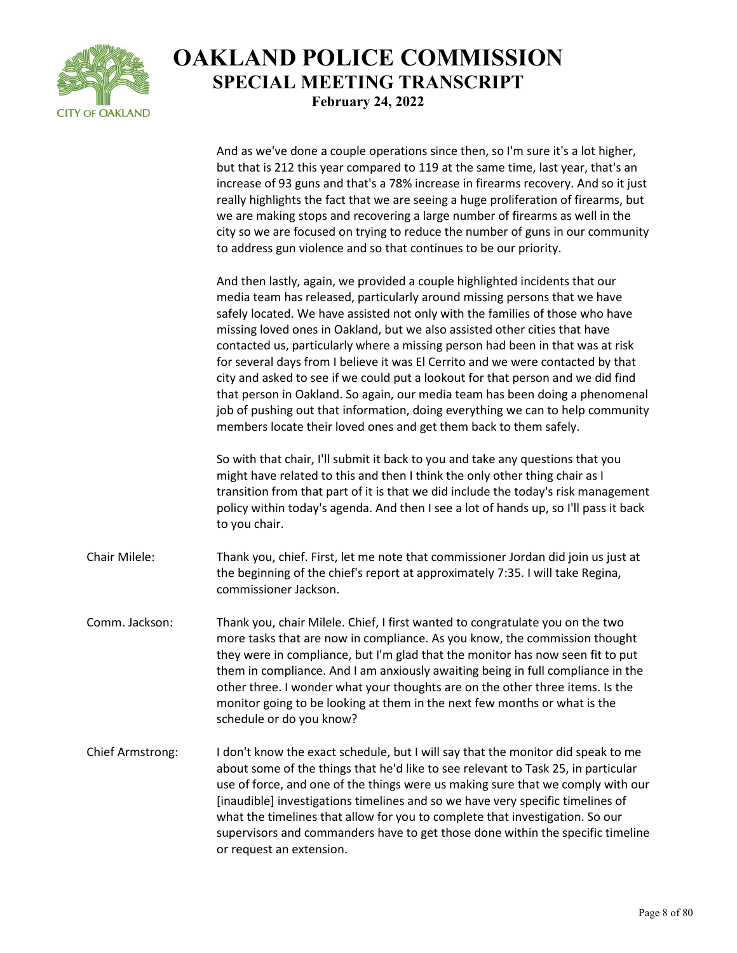

And as we've done a couple operations since then, so I'm sure it's a lot higher,

but that is 212 this year compared to 119 at the same time, last year, that's an increase of 93 guns and that's a 78% increase in firearms recovery. And so it just really highlights the fact that we are seeing a huge proliferation of firearms, but we are making stops and recovering a large number of firearms as well in the city so we are focused on trying to reduce the number of guns in our community to address gun violence and so that continues to be our priority. And then lastly, again, we provided a couple highlighted incidents that our media team has released, particularly around missing persons that we have safely located. We have assisted not only with the families of those who have missing loved ones in Oakland, but we also assisted other cities that have contacted us, particularly where a missing person had been in that was at risk for several days from I believe it was El Cerrito and we were contacted by that city and asked to see if we could put a lookout for that person and we did find that person in Oakland. So again, our media team has been doing a phenomenal job of pushing out that information, doing everything we can to help community members locate their loved ones and get them back to them safely. So with that chair, I'll submit it back to you and take any questions that you might have related to this and then I think the only other thing chair as I transition from that part of it is that we did include the today's risk management policy within today's agenda. And then I see a lot of hands up, so I'll pass it back to you chair. Chair Milele: Thank you, chief. First, let me note that commissioner Jordan did join us just at the beginning of the chief's report at approximately 7:35. I will take Regina, commissioner Jackson. Comm. Jackson: Thank you, chair Milele. Chief, I first wanted to congratulate you on the two more tasks that are now in compliance. As you know, the commission thought they were in compliance, but I'm glad that the monitor has now seen fit to put them in compliance. And I am anxiously awaiting being in full compliance in the other three. I wonder what your thoughts are on the other three items. Is the monitor going to be looking at them in the next few months or what is the schedule or do you know? Chief Armstrong: I don't know the exact schedule, but I will say that the monitor did speak to me about some of the things that he'd like to see relevant to Task 25, in particular use of force, and one of the things were us making sure that we comply with our [inaudible] investigations timelines and so we have very specific timelines of what the timelines that allow for you to complete that investigation. So our supervisors and commanders have to get those done within the specific timeline or request an extension.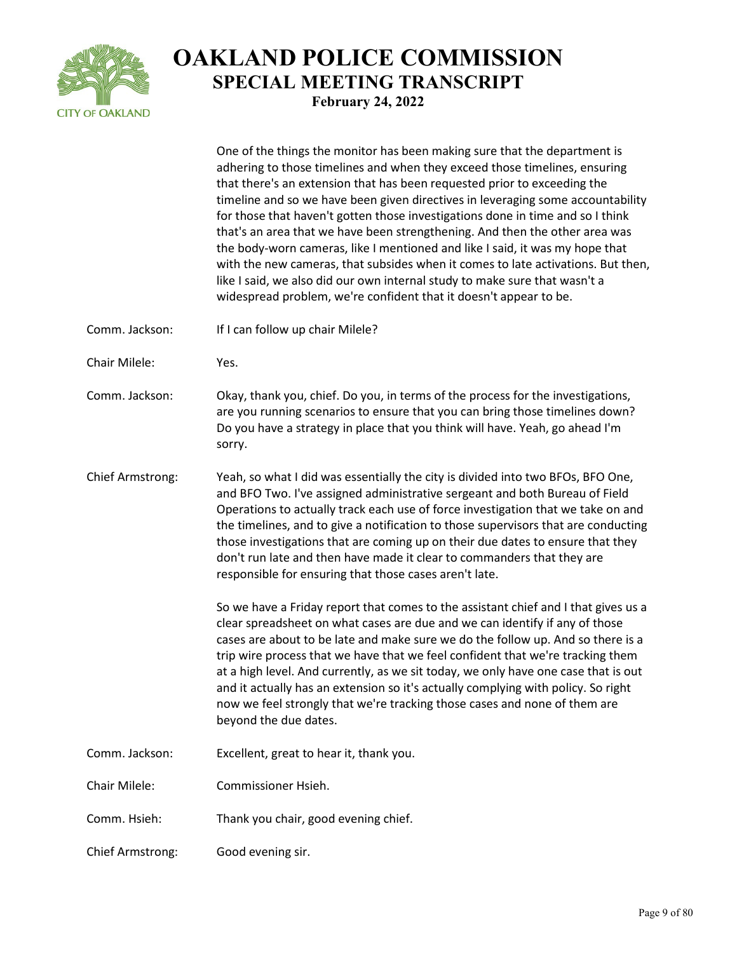

|                         | One of the things the monitor has been making sure that the department is<br>adhering to those timelines and when they exceed those timelines, ensuring<br>that there's an extension that has been requested prior to exceeding the<br>timeline and so we have been given directives in leveraging some accountability<br>for those that haven't gotten those investigations done in time and so I think<br>that's an area that we have been strengthening. And then the other area was<br>the body-worn cameras, like I mentioned and like I said, it was my hope that<br>with the new cameras, that subsides when it comes to late activations. But then,<br>like I said, we also did our own internal study to make sure that wasn't a<br>widespread problem, we're confident that it doesn't appear to be. |
|-------------------------|----------------------------------------------------------------------------------------------------------------------------------------------------------------------------------------------------------------------------------------------------------------------------------------------------------------------------------------------------------------------------------------------------------------------------------------------------------------------------------------------------------------------------------------------------------------------------------------------------------------------------------------------------------------------------------------------------------------------------------------------------------------------------------------------------------------|
| Comm. Jackson:          | If I can follow up chair Milele?                                                                                                                                                                                                                                                                                                                                                                                                                                                                                                                                                                                                                                                                                                                                                                               |
| Chair Milele:           | Yes.                                                                                                                                                                                                                                                                                                                                                                                                                                                                                                                                                                                                                                                                                                                                                                                                           |
| Comm. Jackson:          | Okay, thank you, chief. Do you, in terms of the process for the investigations,<br>are you running scenarios to ensure that you can bring those timelines down?<br>Do you have a strategy in place that you think will have. Yeah, go ahead I'm<br>sorry.                                                                                                                                                                                                                                                                                                                                                                                                                                                                                                                                                      |
| <b>Chief Armstrong:</b> | Yeah, so what I did was essentially the city is divided into two BFOs, BFO One,<br>and BFO Two. I've assigned administrative sergeant and both Bureau of Field<br>Operations to actually track each use of force investigation that we take on and<br>the timelines, and to give a notification to those supervisors that are conducting<br>those investigations that are coming up on their due dates to ensure that they<br>don't run late and then have made it clear to commanders that they are<br>responsible for ensuring that those cases aren't late.                                                                                                                                                                                                                                                 |
|                         | So we have a Friday report that comes to the assistant chief and I that gives us a<br>clear spreadsheet on what cases are due and we can identify if any of those<br>cases are about to be late and make sure we do the follow up. And so there is a<br>trip wire process that we have that we feel confident that we're tracking them<br>at a high level. And currently, as we sit today, we only have one case that is out<br>and it actually has an extension so it's actually complying with policy. So right<br>now we feel strongly that we're tracking those cases and none of them are<br>beyond the due dates.                                                                                                                                                                                        |
| Comm. Jackson:          | Excellent, great to hear it, thank you.                                                                                                                                                                                                                                                                                                                                                                                                                                                                                                                                                                                                                                                                                                                                                                        |
| Chair Milele:           | Commissioner Hsieh.                                                                                                                                                                                                                                                                                                                                                                                                                                                                                                                                                                                                                                                                                                                                                                                            |
| Comm. Hsieh:            | Thank you chair, good evening chief.                                                                                                                                                                                                                                                                                                                                                                                                                                                                                                                                                                                                                                                                                                                                                                           |
| Chief Armstrong:        | Good evening sir.                                                                                                                                                                                                                                                                                                                                                                                                                                                                                                                                                                                                                                                                                                                                                                                              |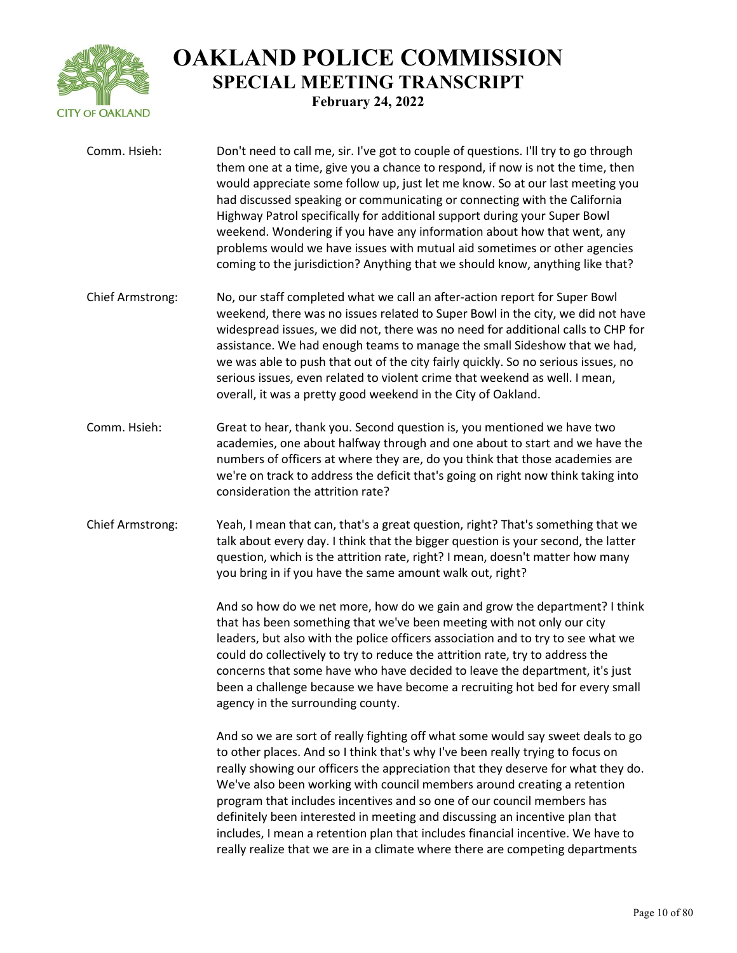

| Comm. Hsieh:            | Don't need to call me, sir. I've got to couple of questions. I'll try to go through<br>them one at a time, give you a chance to respond, if now is not the time, then<br>would appreciate some follow up, just let me know. So at our last meeting you<br>had discussed speaking or communicating or connecting with the California<br>Highway Patrol specifically for additional support during your Super Bowl<br>weekend. Wondering if you have any information about how that went, any<br>problems would we have issues with mutual aid sometimes or other agencies<br>coming to the jurisdiction? Anything that we should know, anything like that?      |
|-------------------------|----------------------------------------------------------------------------------------------------------------------------------------------------------------------------------------------------------------------------------------------------------------------------------------------------------------------------------------------------------------------------------------------------------------------------------------------------------------------------------------------------------------------------------------------------------------------------------------------------------------------------------------------------------------|
| <b>Chief Armstrong:</b> | No, our staff completed what we call an after-action report for Super Bowl<br>weekend, there was no issues related to Super Bowl in the city, we did not have<br>widespread issues, we did not, there was no need for additional calls to CHP for<br>assistance. We had enough teams to manage the small Sideshow that we had,<br>we was able to push that out of the city fairly quickly. So no serious issues, no<br>serious issues, even related to violent crime that weekend as well. I mean,<br>overall, it was a pretty good weekend in the City of Oakland.                                                                                            |
| Comm. Hsieh:            | Great to hear, thank you. Second question is, you mentioned we have two<br>academies, one about halfway through and one about to start and we have the<br>numbers of officers at where they are, do you think that those academies are<br>we're on track to address the deficit that's going on right now think taking into<br>consideration the attrition rate?                                                                                                                                                                                                                                                                                               |
| Chief Armstrong:        | Yeah, I mean that can, that's a great question, right? That's something that we<br>talk about every day. I think that the bigger question is your second, the latter<br>question, which is the attrition rate, right? I mean, doesn't matter how many<br>you bring in if you have the same amount walk out, right?                                                                                                                                                                                                                                                                                                                                             |
|                         | And so how do we net more, how do we gain and grow the department? I think<br>that has been something that we've been meeting with not only our city<br>leaders, but also with the police officers association and to try to see what we<br>could do collectively to try to reduce the attrition rate, try to address the<br>concerns that some have who have decided to leave the department, it's just<br>been a challenge because we have become a recruiting hot bed for every small<br>agency in the surrounding county.                                                                                                                                  |
|                         | And so we are sort of really fighting off what some would say sweet deals to go<br>to other places. And so I think that's why I've been really trying to focus on<br>really showing our officers the appreciation that they deserve for what they do.<br>We've also been working with council members around creating a retention<br>program that includes incentives and so one of our council members has<br>definitely been interested in meeting and discussing an incentive plan that<br>includes, I mean a retention plan that includes financial incentive. We have to<br>really realize that we are in a climate where there are competing departments |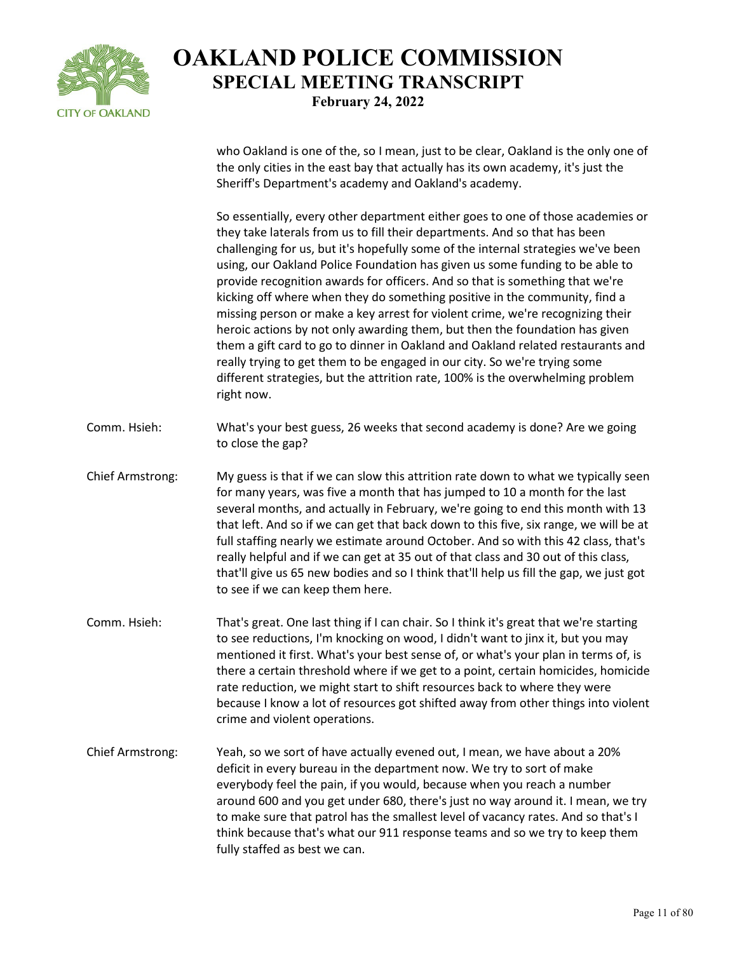

who Oakland is one of the, so I mean, just to be clear, Oakland is the only one of the only cities in the east bay that actually has its own academy, it's just the Sheriff's Department's academy and Oakland's academy.

So essentially, every other department either goes to one of those academies or they take laterals from us to fill their departments. And so that has been challenging for us, but it's hopefully some of the internal strategies we've been using, our Oakland Police Foundation has given us some funding to be able to provide recognition awards for officers. And so that is something that we're kicking off where when they do something positive in the community, find a missing person or make a key arrest for violent crime, we're recognizing their heroic actions by not only awarding them, but then the foundation has given them a gift card to go to dinner in Oakland and Oakland related restaurants and really trying to get them to be engaged in our city. So we're trying some different strategies, but the attrition rate, 100% is the overwhelming problem right now.

- Comm. Hsieh: What's your best guess, 26 weeks that second academy is done? Are we going to close the gap?
- Chief Armstrong: My guess is that if we can slow this attrition rate down to what we typically seen for many years, was five a month that has jumped to 10 a month for the last several months, and actually in February, we're going to end this month with 13 that left. And so if we can get that back down to this five, six range, we will be at full staffing nearly we estimate around October. And so with this 42 class, that's really helpful and if we can get at 35 out of that class and 30 out of this class, that'll give us 65 new bodies and so I think that'll help us fill the gap, we just got to see if we can keep them here.
- Comm. Hsieh: That's great. One last thing if I can chair. So I think it's great that we're starting to see reductions, I'm knocking on wood, I didn't want to jinx it, but you may mentioned it first. What's your best sense of, or what's your plan in terms of, is there a certain threshold where if we get to a point, certain homicides, homicide rate reduction, we might start to shift resources back to where they were because I know a lot of resources got shifted away from other things into violent crime and violent operations.
- Chief Armstrong: Yeah, so we sort of have actually evened out, I mean, we have about a 20% deficit in every bureau in the department now. We try to sort of make everybody feel the pain, if you would, because when you reach a number around 600 and you get under 680, there's just no way around it. I mean, we try to make sure that patrol has the smallest level of vacancy rates. And so that's I think because that's what our 911 response teams and so we try to keep them fully staffed as best we can.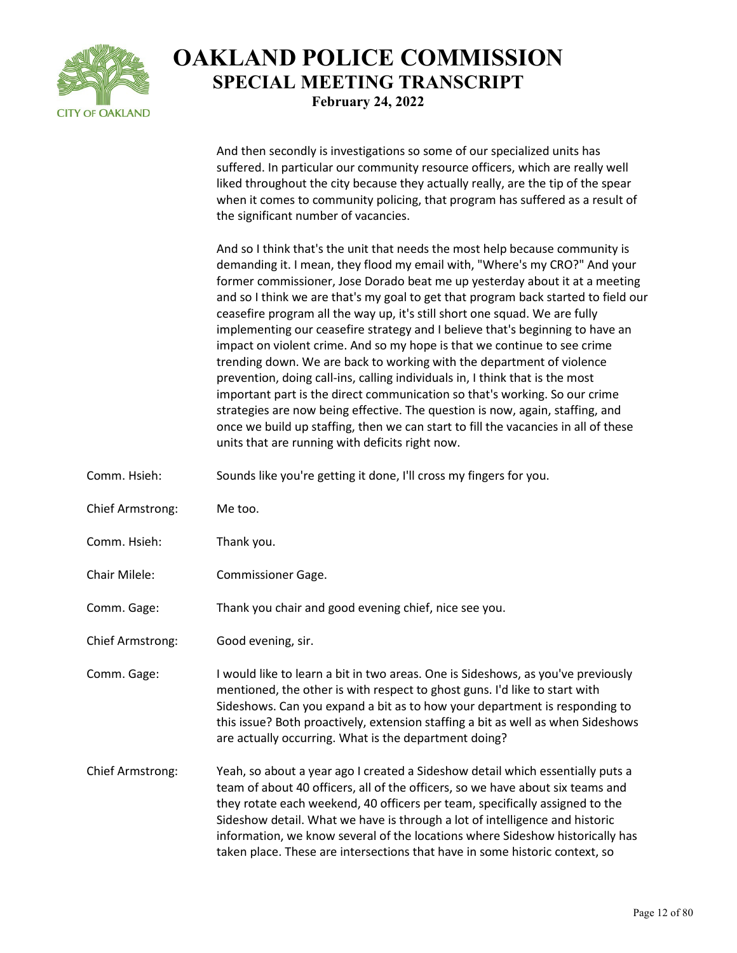

And then secondly is investigations so some of our specialized units has suffered. In particular our community resource officers, which are really well liked throughout the city because they actually really, are the tip of the spear when it comes to community policing, that program has suffered as a result of the significant number of vacancies.

And so I think that's the unit that needs the most help because community is demanding it. I mean, they flood my email with, "Where's my CRO?" And your former commissioner, Jose Dorado beat me up yesterday about it at a meeting and so I think we are that's my goal to get that program back started to field our ceasefire program all the way up, it's still short one squad. We are fully implementing our ceasefire strategy and I believe that's beginning to have an impact on violent crime. And so my hope is that we continue to see crime trending down. We are back to working with the department of violence prevention, doing call-ins, calling individuals in, I think that is the most important part is the direct communication so that's working. So our crime strategies are now being effective. The question is now, again, staffing, and once we build up staffing, then we can start to fill the vacancies in all of these units that are running with deficits right now.

- Comm. Hsieh: Sounds like you're getting it done, I'll cross my fingers for you.
- Chief Armstrong: Me too.
- Comm. Hsieh: Thank you.
- Chair Milele: Commissioner Gage.
- Comm. Gage: Thank you chair and good evening chief, nice see you.
- Chief Armstrong: Good evening, sir.

Comm. Gage: I would like to learn a bit in two areas. One is Sideshows, as you've previously mentioned, the other is with respect to ghost guns. I'd like to start with Sideshows. Can you expand a bit as to how your department is responding to this issue? Both proactively, extension staffing a bit as well as when Sideshows are actually occurring. What is the department doing?

Chief Armstrong: Yeah, so about a year ago I created a Sideshow detail which essentially puts a team of about 40 officers, all of the officers, so we have about six teams and they rotate each weekend, 40 officers per team, specifically assigned to the Sideshow detail. What we have is through a lot of intelligence and historic information, we know several of the locations where Sideshow historically has taken place. These are intersections that have in some historic context, so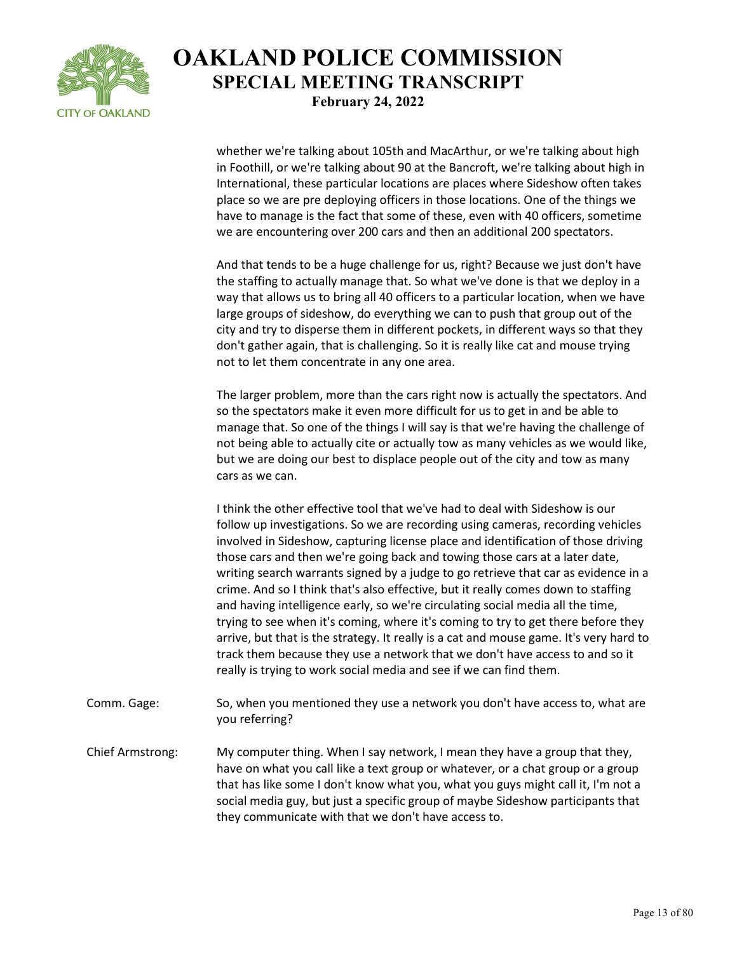

whether we're talking about 105th and MacArthur, or we're talking about high in Foothill, or we're talking about 90 at the Bancroft, we're talking about high in International, these particular locations are places where Sideshow often takes place so we are pre deploying officers in those locations. One of the things we have to manage is the fact that some of these, even with 40 officers, sometime we are encountering over 200 cars and then an additional 200 spectators.

And that tends to be a huge challenge for us, right? Because we just don't have the staffing to actually manage that. So what we've done is that we deploy in a way that allows us to bring all 40 officers to a particular location, when we have large groups of sideshow, do everything we can to push that group out of the city and try to disperse them in different pockets, in different ways so that they don't gather again, that is challenging. So it is really like cat and mouse trying not to let them concentrate in any one area.

The larger problem, more than the cars right now is actually the spectators. And so the spectators make it even more difficult for us to get in and be able to manage that. So one of the things I will say is that we're having the challenge of not being able to actually cite or actually tow as many vehicles as we would like, but we are doing our best to displace people out of the city and tow as many cars as we can.

I think the other effective tool that we've had to deal with Sideshow is our follow up investigations. So we are recording using cameras, recording vehicles involved in Sideshow, capturing license place and identification of those driving those cars and then we're going back and towing those cars at a later date, writing search warrants signed by a judge to go retrieve that car as evidence in a crime. And so I think that's also effective, but it really comes down to staffing and having intelligence early, so we're circulating social media all the time, trying to see when it's coming, where it's coming to try to get there before they arrive, but that is the strategy. It really is a cat and mouse game. It's very hard to track them because they use a network that we don't have access to and so it really is trying to work social media and see if we can find them.

- Comm. Gage: So, when you mentioned they use a network you don't have access to, what are you referring?
- Chief Armstrong: My computer thing. When I say network, I mean they have a group that they, have on what you call like a text group or whatever, or a chat group or a group that has like some I don't know what you, what you guys might call it, I'm not a social media guy, but just a specific group of maybe Sideshow participants that they communicate with that we don't have access to.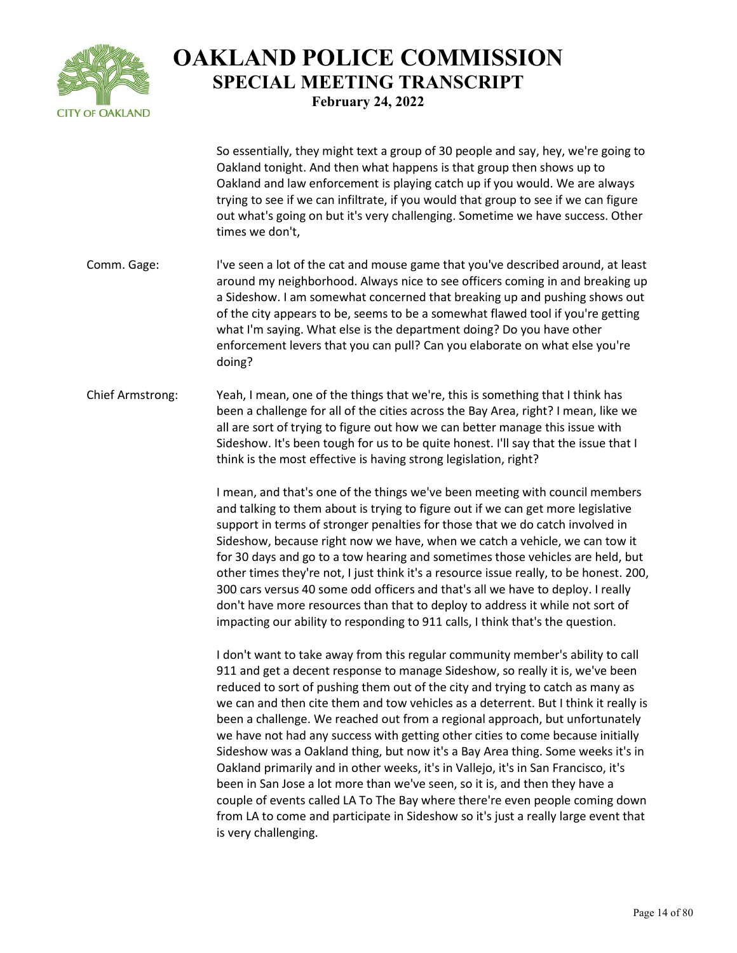

So essentially, they might text a group of 30 people and say, hey, we're going to Oakland tonight. And then what happens is that group then shows up to Oakland and law enforcement is playing catch up if you would. We are always trying to see if we can infiltrate, if you would that group to see if we can figure out what's going on but it's very challenging. Sometime we have success. Other times we don't,

- Comm. Gage: I've seen a lot of the cat and mouse game that you've described around, at least around my neighborhood. Always nice to see officers coming in and breaking up a Sideshow. I am somewhat concerned that breaking up and pushing shows out of the city appears to be, seems to be a somewhat flawed tool if you're getting what I'm saying. What else is the department doing? Do you have other enforcement levers that you can pull? Can you elaborate on what else you're doing?
- Chief Armstrong: Yeah, I mean, one of the things that we're, this is something that I think has been a challenge for all of the cities across the Bay Area, right? I mean, like we all are sort of trying to figure out how we can better manage this issue with Sideshow. It's been tough for us to be quite honest. I'll say that the issue that I think is the most effective is having strong legislation, right?

I mean, and that's one of the things we've been meeting with council members and talking to them about is trying to figure out if we can get more legislative support in terms of stronger penalties for those that we do catch involved in Sideshow, because right now we have, when we catch a vehicle, we can tow it for 30 days and go to a tow hearing and sometimes those vehicles are held, but other times they're not, I just think it's a resource issue really, to be honest. 200, 300 cars versus 40 some odd officers and that's all we have to deploy. I really don't have more resources than that to deploy to address it while not sort of impacting our ability to responding to 911 calls, I think that's the question.

I don't want to take away from this regular community member's ability to call 911 and get a decent response to manage Sideshow, so really it is, we've been reduced to sort of pushing them out of the city and trying to catch as many as we can and then cite them and tow vehicles as a deterrent. But I think it really is been a challenge. We reached out from a regional approach, but unfortunately we have not had any success with getting other cities to come because initially Sideshow was a Oakland thing, but now it's a Bay Area thing. Some weeks it's in Oakland primarily and in other weeks, it's in Vallejo, it's in San Francisco, it's been in San Jose a lot more than we've seen, so it is, and then they have a couple of events called LA To The Bay where there're even people coming down from LA to come and participate in Sideshow so it's just a really large event that is very challenging.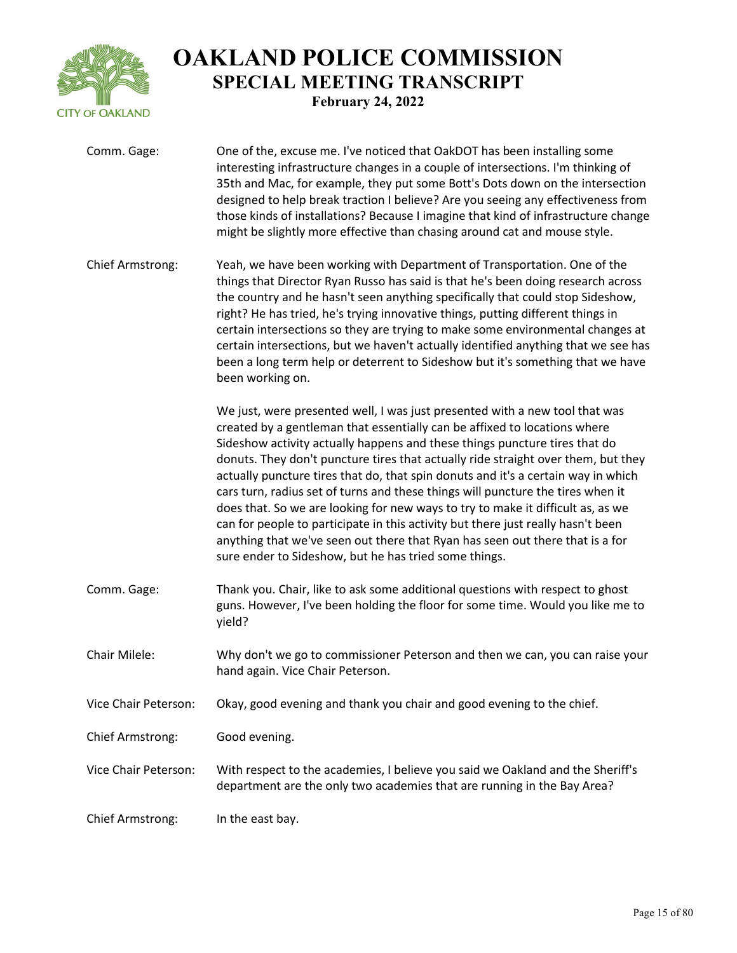

| Comm. Gage:             | One of the, excuse me. I've noticed that OakDOT has been installing some<br>interesting infrastructure changes in a couple of intersections. I'm thinking of<br>35th and Mac, for example, they put some Bott's Dots down on the intersection<br>designed to help break traction I believe? Are you seeing any effectiveness from<br>those kinds of installations? Because I imagine that kind of infrastructure change<br>might be slightly more effective than chasing around cat and mouse style.                                                                                                                                                                                                                                                                                                                 |
|-------------------------|----------------------------------------------------------------------------------------------------------------------------------------------------------------------------------------------------------------------------------------------------------------------------------------------------------------------------------------------------------------------------------------------------------------------------------------------------------------------------------------------------------------------------------------------------------------------------------------------------------------------------------------------------------------------------------------------------------------------------------------------------------------------------------------------------------------------|
| <b>Chief Armstrong:</b> | Yeah, we have been working with Department of Transportation. One of the<br>things that Director Ryan Russo has said is that he's been doing research across<br>the country and he hasn't seen anything specifically that could stop Sideshow,<br>right? He has tried, he's trying innovative things, putting different things in<br>certain intersections so they are trying to make some environmental changes at<br>certain intersections, but we haven't actually identified anything that we see has<br>been a long term help or deterrent to Sideshow but it's something that we have<br>been working on.                                                                                                                                                                                                      |
|                         | We just, were presented well, I was just presented with a new tool that was<br>created by a gentleman that essentially can be affixed to locations where<br>Sideshow activity actually happens and these things puncture tires that do<br>donuts. They don't puncture tires that actually ride straight over them, but they<br>actually puncture tires that do, that spin donuts and it's a certain way in which<br>cars turn, radius set of turns and these things will puncture the tires when it<br>does that. So we are looking for new ways to try to make it difficult as, as we<br>can for people to participate in this activity but there just really hasn't been<br>anything that we've seen out there that Ryan has seen out there that is a for<br>sure ender to Sideshow, but he has tried some things. |
| Comm. Gage:             | Thank you. Chair, like to ask some additional questions with respect to ghost<br>guns. However, I've been holding the floor for some time. Would you like me to<br>yield?                                                                                                                                                                                                                                                                                                                                                                                                                                                                                                                                                                                                                                            |
| Chair Milele:           | Why don't we go to commissioner Peterson and then we can, you can raise your<br>hand again. Vice Chair Peterson.                                                                                                                                                                                                                                                                                                                                                                                                                                                                                                                                                                                                                                                                                                     |
| Vice Chair Peterson:    | Okay, good evening and thank you chair and good evening to the chief.                                                                                                                                                                                                                                                                                                                                                                                                                                                                                                                                                                                                                                                                                                                                                |
| <b>Chief Armstrong:</b> | Good evening.                                                                                                                                                                                                                                                                                                                                                                                                                                                                                                                                                                                                                                                                                                                                                                                                        |
| Vice Chair Peterson:    | With respect to the academies, I believe you said we Oakland and the Sheriff's<br>department are the only two academies that are running in the Bay Area?                                                                                                                                                                                                                                                                                                                                                                                                                                                                                                                                                                                                                                                            |
| Chief Armstrong:        | In the east bay.                                                                                                                                                                                                                                                                                                                                                                                                                                                                                                                                                                                                                                                                                                                                                                                                     |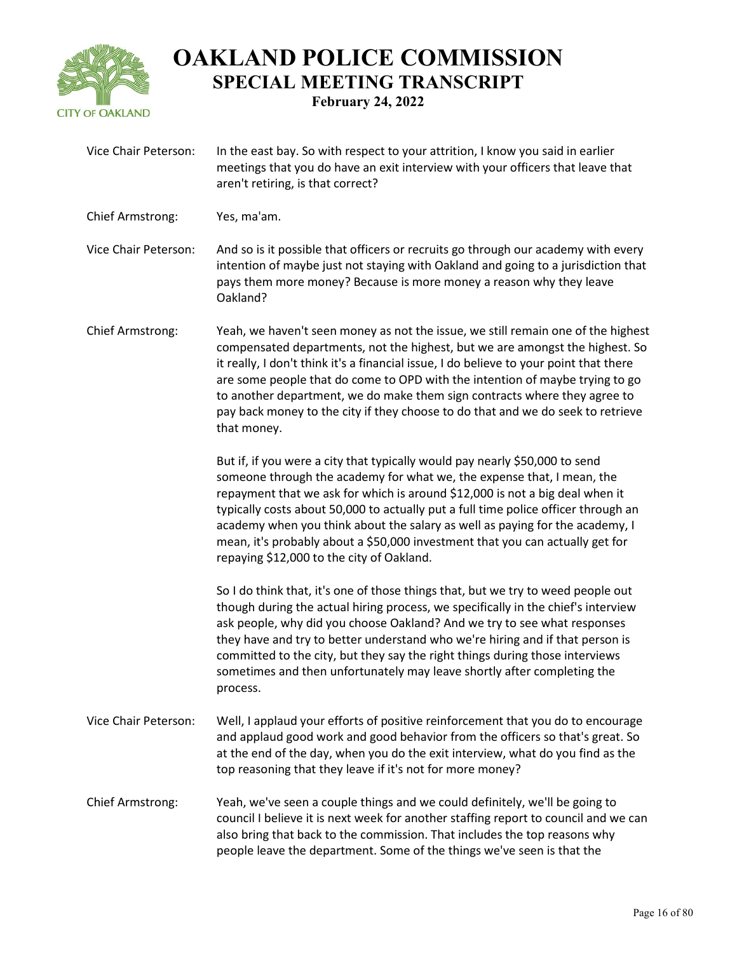

| Vice Chair Peterson: | In the east bay. So with respect to your attrition, I know you said in earlier<br>meetings that you do have an exit interview with your officers that leave that<br>aren't retiring, is that correct?                                                                                                                                                                                                                                                                                                                                     |
|----------------------|-------------------------------------------------------------------------------------------------------------------------------------------------------------------------------------------------------------------------------------------------------------------------------------------------------------------------------------------------------------------------------------------------------------------------------------------------------------------------------------------------------------------------------------------|
| Chief Armstrong:     | Yes, ma'am.                                                                                                                                                                                                                                                                                                                                                                                                                                                                                                                               |
| Vice Chair Peterson: | And so is it possible that officers or recruits go through our academy with every<br>intention of maybe just not staying with Oakland and going to a jurisdiction that<br>pays them more money? Because is more money a reason why they leave<br>Oakland?                                                                                                                                                                                                                                                                                 |
| Chief Armstrong:     | Yeah, we haven't seen money as not the issue, we still remain one of the highest<br>compensated departments, not the highest, but we are amongst the highest. So<br>it really, I don't think it's a financial issue, I do believe to your point that there<br>are some people that do come to OPD with the intention of maybe trying to go<br>to another department, we do make them sign contracts where they agree to<br>pay back money to the city if they choose to do that and we do seek to retrieve<br>that money.                 |
|                      | But if, if you were a city that typically would pay nearly \$50,000 to send<br>someone through the academy for what we, the expense that, I mean, the<br>repayment that we ask for which is around \$12,000 is not a big deal when it<br>typically costs about 50,000 to actually put a full time police officer through an<br>academy when you think about the salary as well as paying for the academy, I<br>mean, it's probably about a \$50,000 investment that you can actually get for<br>repaying \$12,000 to the city of Oakland. |
|                      | So I do think that, it's one of those things that, but we try to weed people out<br>though during the actual hiring process, we specifically in the chief's interview<br>ask people, why did you choose Oakland? And we try to see what responses<br>they have and try to better understand who we're hiring and if that person is<br>committed to the city, but they say the right things during those interviews<br>sometimes and then unfortunately may leave shortly after completing the<br>process.                                 |
| Vice Chair Peterson: | Well, I applaud your efforts of positive reinforcement that you do to encourage<br>and applaud good work and good behavior from the officers so that's great. So<br>at the end of the day, when you do the exit interview, what do you find as the<br>top reasoning that they leave if it's not for more money?                                                                                                                                                                                                                           |
| Chief Armstrong:     | Yeah, we've seen a couple things and we could definitely, we'll be going to<br>council I believe it is next week for another staffing report to council and we can<br>also bring that back to the commission. That includes the top reasons why<br>people leave the department. Some of the things we've seen is that the                                                                                                                                                                                                                 |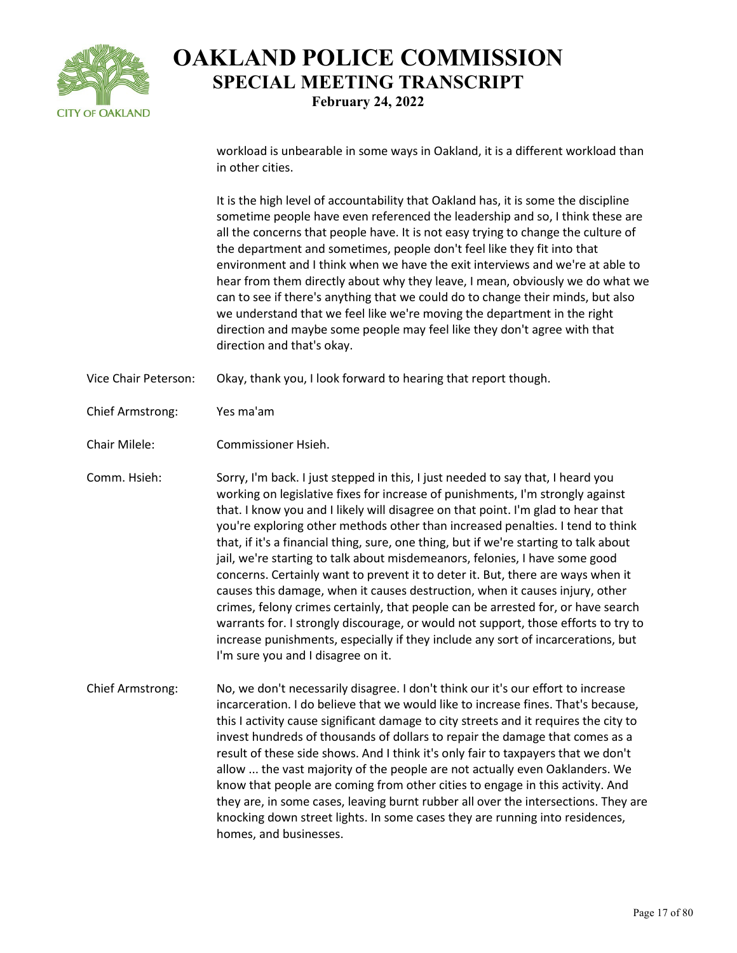

workload is unbearable in some ways in Oakland, it is a different workload than in other cities.

It is the high level of accountability that Oakland has, it is some the discipline sometime people have even referenced the leadership and so, I think these are all the concerns that people have. It is not easy trying to change the culture of the department and sometimes, people don't feel like they fit into that environment and I think when we have the exit interviews and we're at able to hear from them directly about why they leave, I mean, obviously we do what we can to see if there's anything that we could do to change their minds, but also we understand that we feel like we're moving the department in the right direction and maybe some people may feel like they don't agree with that direction and that's okay.

- Vice Chair Peterson: Okay, thank you, I look forward to hearing that report though.
- Chief Armstrong: Yes ma'am
- Chair Milele: Commissioner Hsieh.

Comm. Hsieh: Sorry, I'm back. I just stepped in this, I just needed to say that, I heard you working on legislative fixes for increase of punishments, I'm strongly against that. I know you and I likely will disagree on that point. I'm glad to hear that you're exploring other methods other than increased penalties. I tend to think that, if it's a financial thing, sure, one thing, but if we're starting to talk about jail, we're starting to talk about misdemeanors, felonies, I have some good concerns. Certainly want to prevent it to deter it. But, there are ways when it causes this damage, when it causes destruction, when it causes injury, other crimes, felony crimes certainly, that people can be arrested for, or have search warrants for. I strongly discourage, or would not support, those efforts to try to increase punishments, especially if they include any sort of incarcerations, but I'm sure you and I disagree on it.

Chief Armstrong: No, we don't necessarily disagree. I don't think our it's our effort to increase incarceration. I do believe that we would like to increase fines. That's because, this I activity cause significant damage to city streets and it requires the city to invest hundreds of thousands of dollars to repair the damage that comes as a result of these side shows. And I think it's only fair to taxpayers that we don't allow ... the vast majority of the people are not actually even Oaklanders. We know that people are coming from other cities to engage in this activity. And they are, in some cases, leaving burnt rubber all over the intersections. They are knocking down street lights. In some cases they are running into residences, homes, and businesses.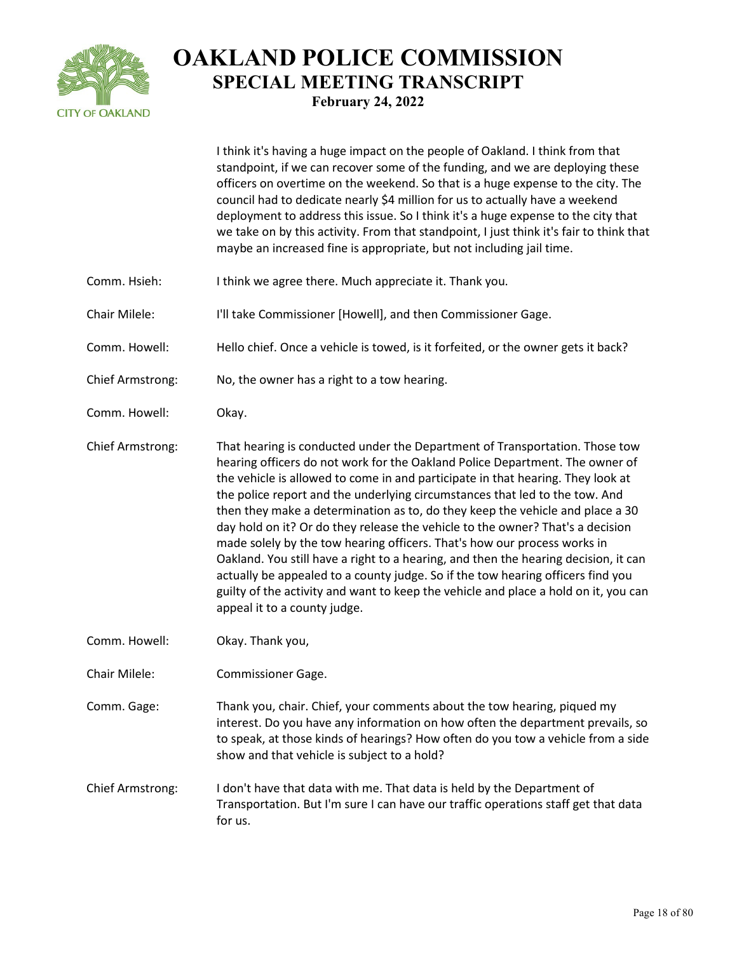

I think it's having a huge impact on the people of Oakland. I think from that standpoint, if we can recover some of the funding, and we are deploying these officers on overtime on the weekend. So that is a huge expense to the city. The council had to dedicate nearly \$4 million for us to actually have a weekend deployment to address this issue. So I think it's a huge expense to the city that we take on by this activity. From that standpoint, I just think it's fair to think that maybe an increased fine is appropriate, but not including jail time.

- Comm. Hsieh: I think we agree there. Much appreciate it. Thank you.
- Chair Milele: I'll take Commissioner [Howell], and then Commissioner Gage.
- Comm. Howell: Hello chief. Once a vehicle is towed, is it forfeited, or the owner gets it back?
- Chief Armstrong: No, the owner has a right to a tow hearing.
- Comm. Howell: Okay.

Chief Armstrong: That hearing is conducted under the Department of Transportation. Those tow hearing officers do not work for the Oakland Police Department. The owner of the vehicle is allowed to come in and participate in that hearing. They look at the police report and the underlying circumstances that led to the tow. And then they make a determination as to, do they keep the vehicle and place a 30 day hold on it? Or do they release the vehicle to the owner? That's a decision made solely by the tow hearing officers. That's how our process works in Oakland. You still have a right to a hearing, and then the hearing decision, it can actually be appealed to a county judge. So if the tow hearing officers find you guilty of the activity and want to keep the vehicle and place a hold on it, you can appeal it to a county judge.

- Comm. Howell: Okay. Thank you,
- Chair Milele: Commissioner Gage.

Comm. Gage: Thank you, chair. Chief, your comments about the tow hearing, piqued my interest. Do you have any information on how often the department prevails, so to speak, at those kinds of hearings? How often do you tow a vehicle from a side show and that vehicle is subject to a hold?

Chief Armstrong: I don't have that data with me. That data is held by the Department of Transportation. But I'm sure I can have our traffic operations staff get that data for us.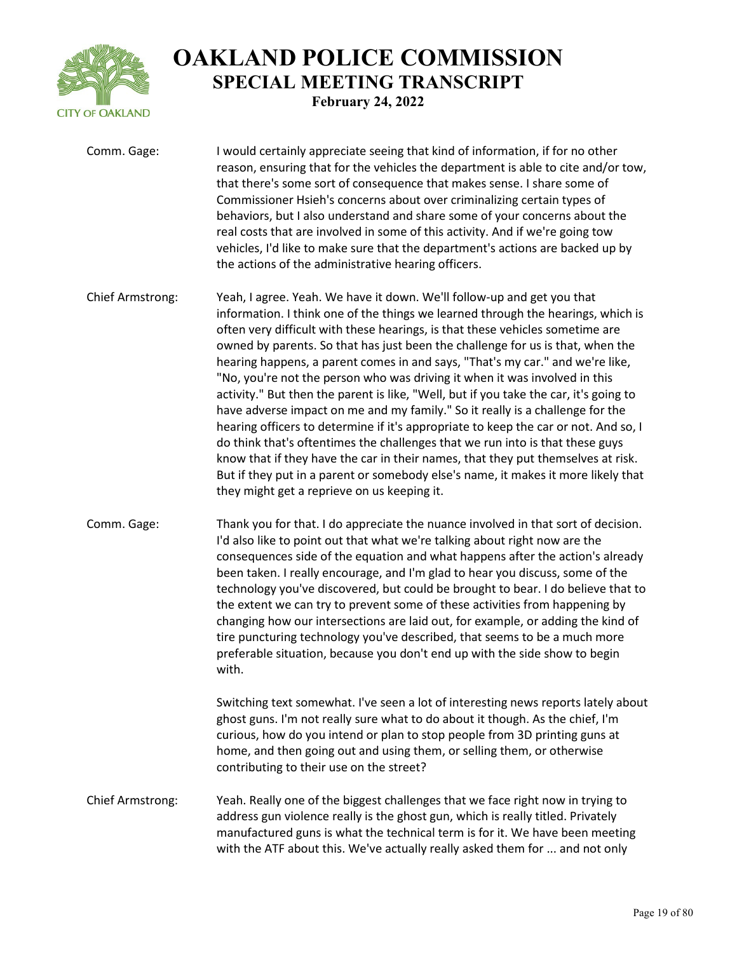

| Comm. Gage:             | I would certainly appreciate seeing that kind of information, if for no other<br>reason, ensuring that for the vehicles the department is able to cite and/or tow,<br>that there's some sort of consequence that makes sense. I share some of<br>Commissioner Hsieh's concerns about over criminalizing certain types of<br>behaviors, but I also understand and share some of your concerns about the<br>real costs that are involved in some of this activity. And if we're going tow<br>vehicles, I'd like to make sure that the department's actions are backed up by<br>the actions of the administrative hearing officers.                                                                                                                                                                                                                                                                                                                                                                                                                                       |
|-------------------------|------------------------------------------------------------------------------------------------------------------------------------------------------------------------------------------------------------------------------------------------------------------------------------------------------------------------------------------------------------------------------------------------------------------------------------------------------------------------------------------------------------------------------------------------------------------------------------------------------------------------------------------------------------------------------------------------------------------------------------------------------------------------------------------------------------------------------------------------------------------------------------------------------------------------------------------------------------------------------------------------------------------------------------------------------------------------|
| <b>Chief Armstrong:</b> | Yeah, I agree. Yeah. We have it down. We'll follow-up and get you that<br>information. I think one of the things we learned through the hearings, which is<br>often very difficult with these hearings, is that these vehicles sometime are<br>owned by parents. So that has just been the challenge for us is that, when the<br>hearing happens, a parent comes in and says, "That's my car." and we're like,<br>"No, you're not the person who was driving it when it was involved in this<br>activity." But then the parent is like, "Well, but if you take the car, it's going to<br>have adverse impact on me and my family." So it really is a challenge for the<br>hearing officers to determine if it's appropriate to keep the car or not. And so, I<br>do think that's oftentimes the challenges that we run into is that these guys<br>know that if they have the car in their names, that they put themselves at risk.<br>But if they put in a parent or somebody else's name, it makes it more likely that<br>they might get a reprieve on us keeping it. |
| Comm. Gage:             | Thank you for that. I do appreciate the nuance involved in that sort of decision.<br>I'd also like to point out that what we're talking about right now are the<br>consequences side of the equation and what happens after the action's already<br>been taken. I really encourage, and I'm glad to hear you discuss, some of the<br>technology you've discovered, but could be brought to bear. I do believe that to<br>the extent we can try to prevent some of these activities from happening by<br>changing how our intersections are laid out, for example, or adding the kind of<br>tire puncturing technology you've described, that seems to be a much more<br>preferable situation, because you don't end up with the side show to begin<br>with.                                                                                                                                                                                                                                                                                                            |
|                         | Switching text somewhat. I've seen a lot of interesting news reports lately about<br>ghost guns. I'm not really sure what to do about it though. As the chief, I'm<br>curious, how do you intend or plan to stop people from 3D printing guns at<br>home, and then going out and using them, or selling them, or otherwise<br>contributing to their use on the street?                                                                                                                                                                                                                                                                                                                                                                                                                                                                                                                                                                                                                                                                                                 |
| <b>Chief Armstrong:</b> | Yeah. Really one of the biggest challenges that we face right now in trying to<br>address gun violence really is the ghost gun, which is really titled. Privately<br>manufactured guns is what the technical term is for it. We have been meeting<br>with the ATF about this. We've actually really asked them for  and not only                                                                                                                                                                                                                                                                                                                                                                                                                                                                                                                                                                                                                                                                                                                                       |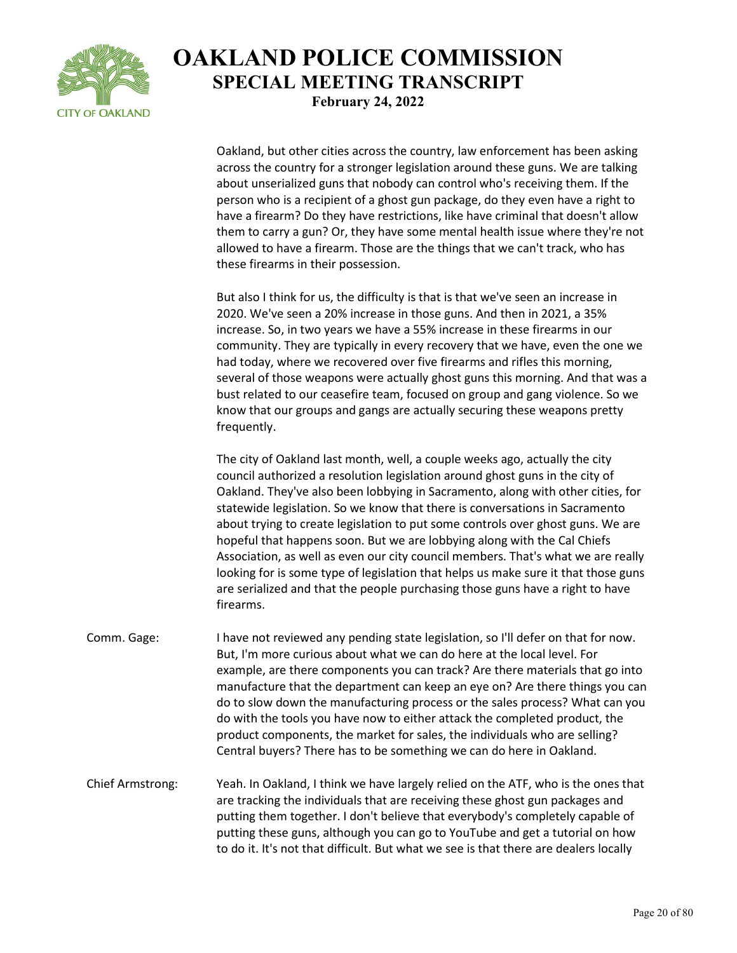

Oakland, but other cities across the country, law enforcement has been asking across the country for a stronger legislation around these guns. We are talking about unserialized guns that nobody can control who's receiving them. If the person who is a recipient of a ghost gun package, do they even have a right to have a firearm? Do they have restrictions, like have criminal that doesn't allow them to carry a gun? Or, they have some mental health issue where they're not allowed to have a firearm. Those are the things that we can't track, who has these firearms in their possession.

But also I think for us, the difficulty is that is that we've seen an increase in 2020. We've seen a 20% increase in those guns. And then in 2021, a 35% increase. So, in two years we have a 55% increase in these firearms in our community. They are typically in every recovery that we have, even the one we had today, where we recovered over five firearms and rifles this morning, several of those weapons were actually ghost guns this morning. And that was a bust related to our ceasefire team, focused on group and gang violence. So we know that our groups and gangs are actually securing these weapons pretty frequently.

The city of Oakland last month, well, a couple weeks ago, actually the city council authorized a resolution legislation around ghost guns in the city of Oakland. They've also been lobbying in Sacramento, along with other cities, for statewide legislation. So we know that there is conversations in Sacramento about trying to create legislation to put some controls over ghost guns. We are hopeful that happens soon. But we are lobbying along with the Cal Chiefs Association, as well as even our city council members. That's what we are really looking for is some type of legislation that helps us make sure it that those guns are serialized and that the people purchasing those guns have a right to have firearms.

Comm. Gage: I have not reviewed any pending state legislation, so I'll defer on that for now. But, I'm more curious about what we can do here at the local level. For example, are there components you can track? Are there materials that go into manufacture that the department can keep an eye on? Are there things you can do to slow down the manufacturing process or the sales process? What can you do with the tools you have now to either attack the completed product, the product components, the market for sales, the individuals who are selling? Central buyers? There has to be something we can do here in Oakland.

Chief Armstrong: Yeah. In Oakland, I think we have largely relied on the ATF, who is the ones that are tracking the individuals that are receiving these ghost gun packages and putting them together. I don't believe that everybody's completely capable of putting these guns, although you can go to YouTube and get a tutorial on how to do it. It's not that difficult. But what we see is that there are dealers locally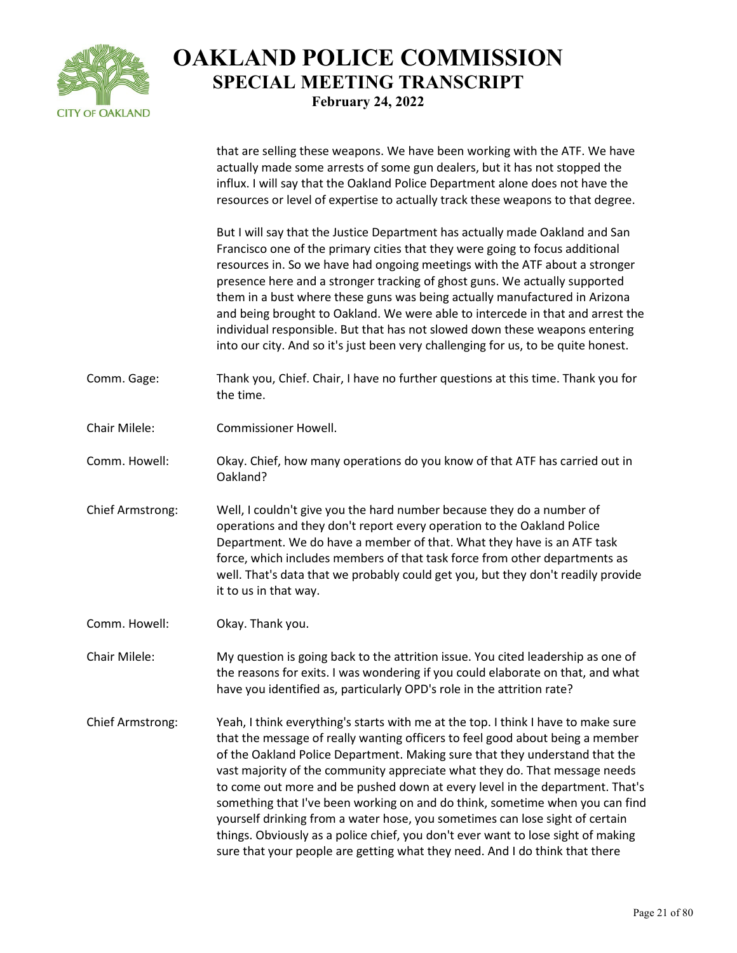

|                         | that are selling these weapons. We have been working with the ATF. We have<br>actually made some arrests of some gun dealers, but it has not stopped the<br>influx. I will say that the Oakland Police Department alone does not have the<br>resources or level of expertise to actually track these weapons to that degree.                                                                                                                                                                                                                                                                                                                                                                                                                       |
|-------------------------|----------------------------------------------------------------------------------------------------------------------------------------------------------------------------------------------------------------------------------------------------------------------------------------------------------------------------------------------------------------------------------------------------------------------------------------------------------------------------------------------------------------------------------------------------------------------------------------------------------------------------------------------------------------------------------------------------------------------------------------------------|
|                         | But I will say that the Justice Department has actually made Oakland and San<br>Francisco one of the primary cities that they were going to focus additional<br>resources in. So we have had ongoing meetings with the ATF about a stronger<br>presence here and a stronger tracking of ghost guns. We actually supported<br>them in a bust where these guns was being actually manufactured in Arizona<br>and being brought to Oakland. We were able to intercede in that and arrest the<br>individual responsible. But that has not slowed down these weapons entering<br>into our city. And so it's just been very challenging for us, to be quite honest.                                                                                      |
| Comm. Gage:             | Thank you, Chief. Chair, I have no further questions at this time. Thank you for<br>the time.                                                                                                                                                                                                                                                                                                                                                                                                                                                                                                                                                                                                                                                      |
| Chair Milele:           | <b>Commissioner Howell.</b>                                                                                                                                                                                                                                                                                                                                                                                                                                                                                                                                                                                                                                                                                                                        |
| Comm. Howell:           | Okay. Chief, how many operations do you know of that ATF has carried out in<br>Oakland?                                                                                                                                                                                                                                                                                                                                                                                                                                                                                                                                                                                                                                                            |
| Chief Armstrong:        | Well, I couldn't give you the hard number because they do a number of<br>operations and they don't report every operation to the Oakland Police<br>Department. We do have a member of that. What they have is an ATF task<br>force, which includes members of that task force from other departments as<br>well. That's data that we probably could get you, but they don't readily provide<br>it to us in that way.                                                                                                                                                                                                                                                                                                                               |
| Comm. Howell:           | Okay. Thank you.                                                                                                                                                                                                                                                                                                                                                                                                                                                                                                                                                                                                                                                                                                                                   |
| Chair Milele:           | My question is going back to the attrition issue. You cited leadership as one of<br>the reasons for exits. I was wondering if you could elaborate on that, and what<br>have you identified as, particularly OPD's role in the attrition rate?                                                                                                                                                                                                                                                                                                                                                                                                                                                                                                      |
| <b>Chief Armstrong:</b> | Yeah, I think everything's starts with me at the top. I think I have to make sure<br>that the message of really wanting officers to feel good about being a member<br>of the Oakland Police Department. Making sure that they understand that the<br>vast majority of the community appreciate what they do. That message needs<br>to come out more and be pushed down at every level in the department. That's<br>something that I've been working on and do think, sometime when you can find<br>yourself drinking from a water hose, you sometimes can lose sight of certain<br>things. Obviously as a police chief, you don't ever want to lose sight of making<br>sure that your people are getting what they need. And I do think that there |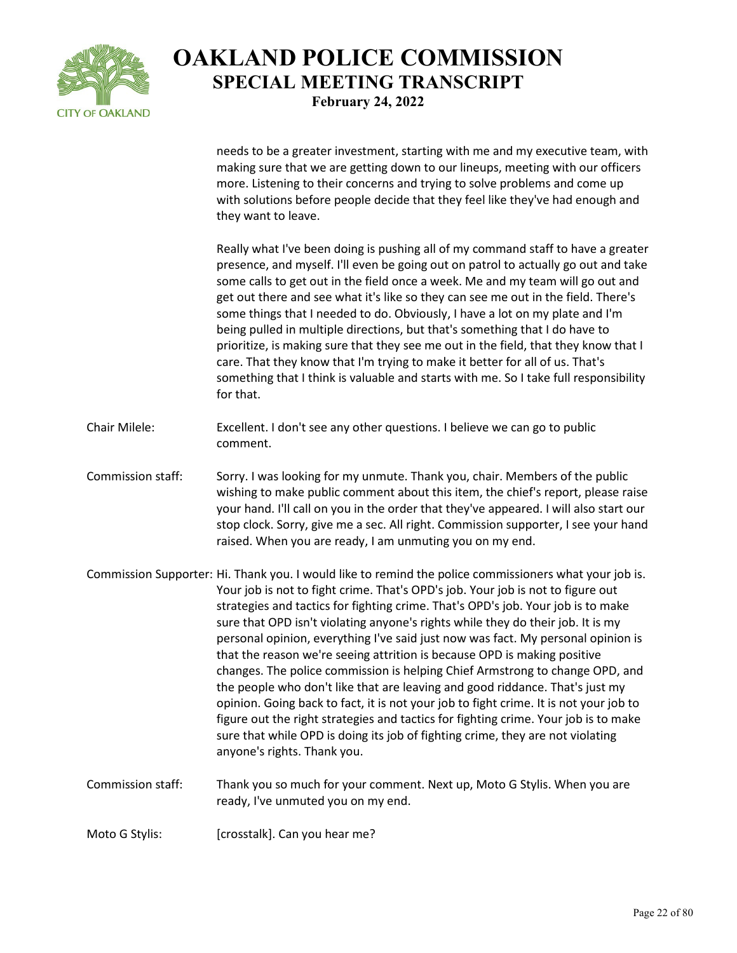

needs to be a greater investment, starting with me and my executive team, with making sure that we are getting down to our lineups, meeting with our officers more. Listening to their concerns and trying to solve problems and come up with solutions before people decide that they feel like they've had enough and they want to leave.

Really what I've been doing is pushing all of my command staff to have a greater presence, and myself. I'll even be going out on patrol to actually go out and take some calls to get out in the field once a week. Me and my team will go out and get out there and see what it's like so they can see me out in the field. There's some things that I needed to do. Obviously, I have a lot on my plate and I'm being pulled in multiple directions, but that's something that I do have to prioritize, is making sure that they see me out in the field, that they know that I care. That they know that I'm trying to make it better for all of us. That's something that I think is valuable and starts with me. So I take full responsibility for that.

- Chair Milele: Excellent. I don't see any other questions. I believe we can go to public comment.
- Commission staff: Sorry. I was looking for my unmute. Thank you, chair. Members of the public wishing to make public comment about this item, the chief's report, please raise your hand. I'll call on you in the order that they've appeared. I will also start our stop clock. Sorry, give me a sec. All right. Commission supporter, I see your hand raised. When you are ready, I am unmuting you on my end.
- Commission Supporter: Hi. Thank you. I would like to remind the police commissioners what your job is. Your job is not to fight crime. That's OPD's job. Your job is not to figure out strategies and tactics for fighting crime. That's OPD's job. Your job is to make sure that OPD isn't violating anyone's rights while they do their job. It is my personal opinion, everything I've said just now was fact. My personal opinion is that the reason we're seeing attrition is because OPD is making positive changes. The police commission is helping Chief Armstrong to change OPD, and the people who don't like that are leaving and good riddance. That's just my opinion. Going back to fact, it is not your job to fight crime. It is not your job to figure out the right strategies and tactics for fighting crime. Your job is to make sure that while OPD is doing its job of fighting crime, they are not violating anyone's rights. Thank you.
- Commission staff: Thank you so much for your comment. Next up, Moto G Stylis. When you are ready, I've unmuted you on my end.
- Moto G Stylis: [crosstalk]. Can you hear me?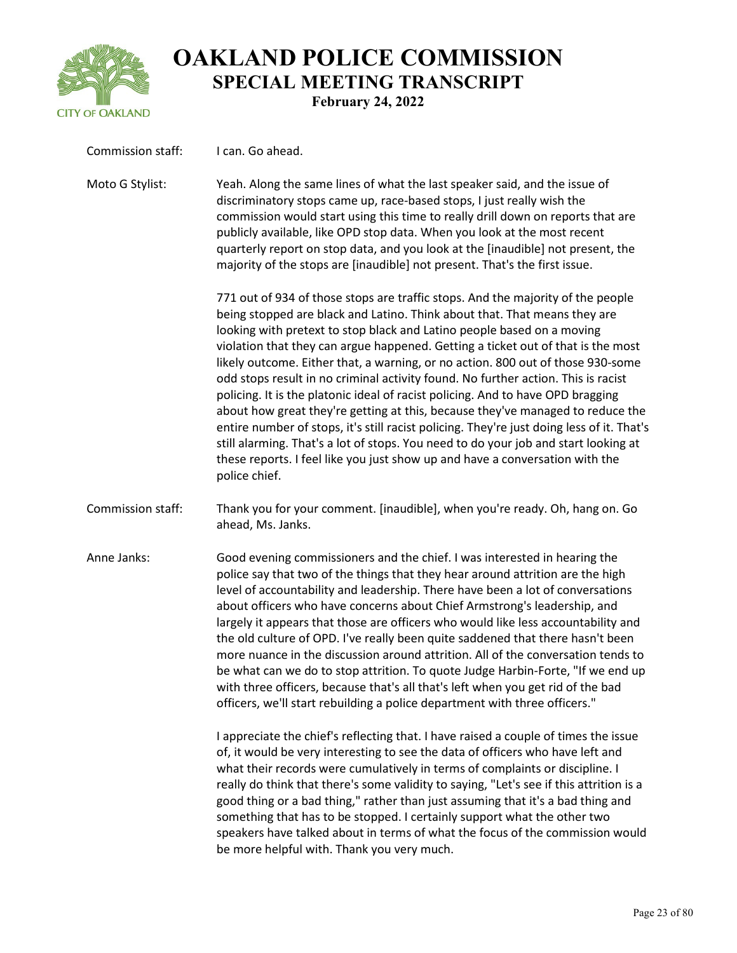

| Commission staff: | I can. Go ahead.                                                                                                                                                                                                                                                                                                                                                                                                                                                                                                                                                                                                                                                                                                                                                                                                                                                                                                                                             |
|-------------------|--------------------------------------------------------------------------------------------------------------------------------------------------------------------------------------------------------------------------------------------------------------------------------------------------------------------------------------------------------------------------------------------------------------------------------------------------------------------------------------------------------------------------------------------------------------------------------------------------------------------------------------------------------------------------------------------------------------------------------------------------------------------------------------------------------------------------------------------------------------------------------------------------------------------------------------------------------------|
| Moto G Stylist:   | Yeah. Along the same lines of what the last speaker said, and the issue of<br>discriminatory stops came up, race-based stops, I just really wish the<br>commission would start using this time to really drill down on reports that are<br>publicly available, like OPD stop data. When you look at the most recent<br>quarterly report on stop data, and you look at the [inaudible] not present, the<br>majority of the stops are [inaudible] not present. That's the first issue.                                                                                                                                                                                                                                                                                                                                                                                                                                                                         |
|                   | 771 out of 934 of those stops are traffic stops. And the majority of the people<br>being stopped are black and Latino. Think about that. That means they are<br>looking with pretext to stop black and Latino people based on a moving<br>violation that they can argue happened. Getting a ticket out of that is the most<br>likely outcome. Either that, a warning, or no action. 800 out of those 930-some<br>odd stops result in no criminal activity found. No further action. This is racist<br>policing. It is the platonic ideal of racist policing. And to have OPD bragging<br>about how great they're getting at this, because they've managed to reduce the<br>entire number of stops, it's still racist policing. They're just doing less of it. That's<br>still alarming. That's a lot of stops. You need to do your job and start looking at<br>these reports. I feel like you just show up and have a conversation with the<br>police chief. |
| Commission staff: | Thank you for your comment. [inaudible], when you're ready. Oh, hang on. Go<br>ahead, Ms. Janks.                                                                                                                                                                                                                                                                                                                                                                                                                                                                                                                                                                                                                                                                                                                                                                                                                                                             |
| Anne Janks:       | Good evening commissioners and the chief. I was interested in hearing the<br>police say that two of the things that they hear around attrition are the high<br>level of accountability and leadership. There have been a lot of conversations<br>about officers who have concerns about Chief Armstrong's leadership, and<br>largely it appears that those are officers who would like less accountability and<br>the old culture of OPD. I've really been quite saddened that there hasn't been<br>more nuance in the discussion around attrition. All of the conversation tends to<br>be what can we do to stop attrition. To quote Judge Harbin-Forte, "If we end up<br>with three officers, because that's all that's left when you get rid of the bad<br>officers, we'll start rebuilding a police department with three officers."                                                                                                                     |
|                   | I appreciate the chief's reflecting that. I have raised a couple of times the issue<br>of, it would be very interesting to see the data of officers who have left and<br>what their records were cumulatively in terms of complaints or discipline. I<br>really do think that there's some validity to saying, "Let's see if this attrition is a<br>good thing or a bad thing," rather than just assuming that it's a bad thing and<br>something that has to be stopped. I certainly support what the other two<br>speakers have talked about in terms of what the focus of the commission would<br>be more helpful with. Thank you very much.                                                                                                                                                                                                                                                                                                               |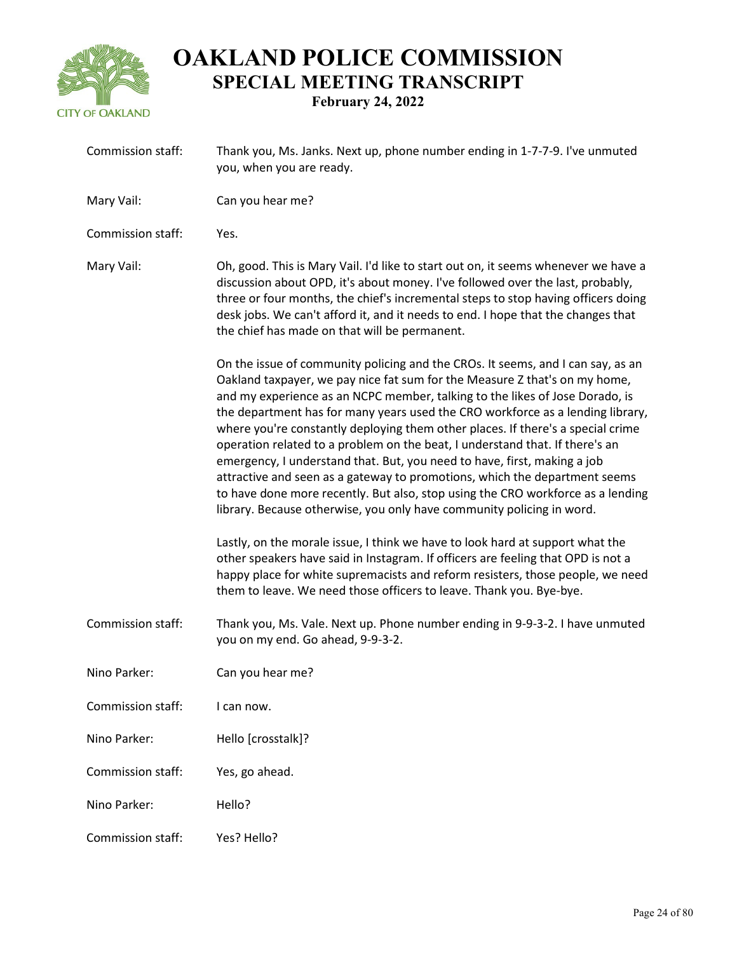

| Commission staff: | Thank you, Ms. Janks. Next up, phone number ending in 1-7-7-9. I've unmuted<br>you, when you are ready.                                                                                                                                                                                                                                                                                                                                                                                                                                                                                                                                                                                                                                                                                                                  |
|-------------------|--------------------------------------------------------------------------------------------------------------------------------------------------------------------------------------------------------------------------------------------------------------------------------------------------------------------------------------------------------------------------------------------------------------------------------------------------------------------------------------------------------------------------------------------------------------------------------------------------------------------------------------------------------------------------------------------------------------------------------------------------------------------------------------------------------------------------|
| Mary Vail:        | Can you hear me?                                                                                                                                                                                                                                                                                                                                                                                                                                                                                                                                                                                                                                                                                                                                                                                                         |
| Commission staff: | Yes.                                                                                                                                                                                                                                                                                                                                                                                                                                                                                                                                                                                                                                                                                                                                                                                                                     |
| Mary Vail:        | Oh, good. This is Mary Vail. I'd like to start out on, it seems whenever we have a<br>discussion about OPD, it's about money. I've followed over the last, probably,<br>three or four months, the chief's incremental steps to stop having officers doing<br>desk jobs. We can't afford it, and it needs to end. I hope that the changes that<br>the chief has made on that will be permanent.                                                                                                                                                                                                                                                                                                                                                                                                                           |
|                   | On the issue of community policing and the CROs. It seems, and I can say, as an<br>Oakland taxpayer, we pay nice fat sum for the Measure Z that's on my home,<br>and my experience as an NCPC member, talking to the likes of Jose Dorado, is<br>the department has for many years used the CRO workforce as a lending library,<br>where you're constantly deploying them other places. If there's a special crime<br>operation related to a problem on the beat, I understand that. If there's an<br>emergency, I understand that. But, you need to have, first, making a job<br>attractive and seen as a gateway to promotions, which the department seems<br>to have done more recently. But also, stop using the CRO workforce as a lending<br>library. Because otherwise, you only have community policing in word. |
|                   | Lastly, on the morale issue, I think we have to look hard at support what the<br>other speakers have said in Instagram. If officers are feeling that OPD is not a<br>happy place for white supremacists and reform resisters, those people, we need<br>them to leave. We need those officers to leave. Thank you. Bye-bye.                                                                                                                                                                                                                                                                                                                                                                                                                                                                                               |
| Commission staff: | Thank you, Ms. Vale. Next up. Phone number ending in 9-9-3-2. I have unmuted<br>you on my end. Go ahead, 9-9-3-2.                                                                                                                                                                                                                                                                                                                                                                                                                                                                                                                                                                                                                                                                                                        |
| Nino Parker:      | Can you hear me?                                                                                                                                                                                                                                                                                                                                                                                                                                                                                                                                                                                                                                                                                                                                                                                                         |
| Commission staff: | I can now.                                                                                                                                                                                                                                                                                                                                                                                                                                                                                                                                                                                                                                                                                                                                                                                                               |
| Nino Parker:      | Hello [crosstalk]?                                                                                                                                                                                                                                                                                                                                                                                                                                                                                                                                                                                                                                                                                                                                                                                                       |
| Commission staff: | Yes, go ahead.                                                                                                                                                                                                                                                                                                                                                                                                                                                                                                                                                                                                                                                                                                                                                                                                           |
| Nino Parker:      | Hello?                                                                                                                                                                                                                                                                                                                                                                                                                                                                                                                                                                                                                                                                                                                                                                                                                   |
| Commission staff: | Yes? Hello?                                                                                                                                                                                                                                                                                                                                                                                                                                                                                                                                                                                                                                                                                                                                                                                                              |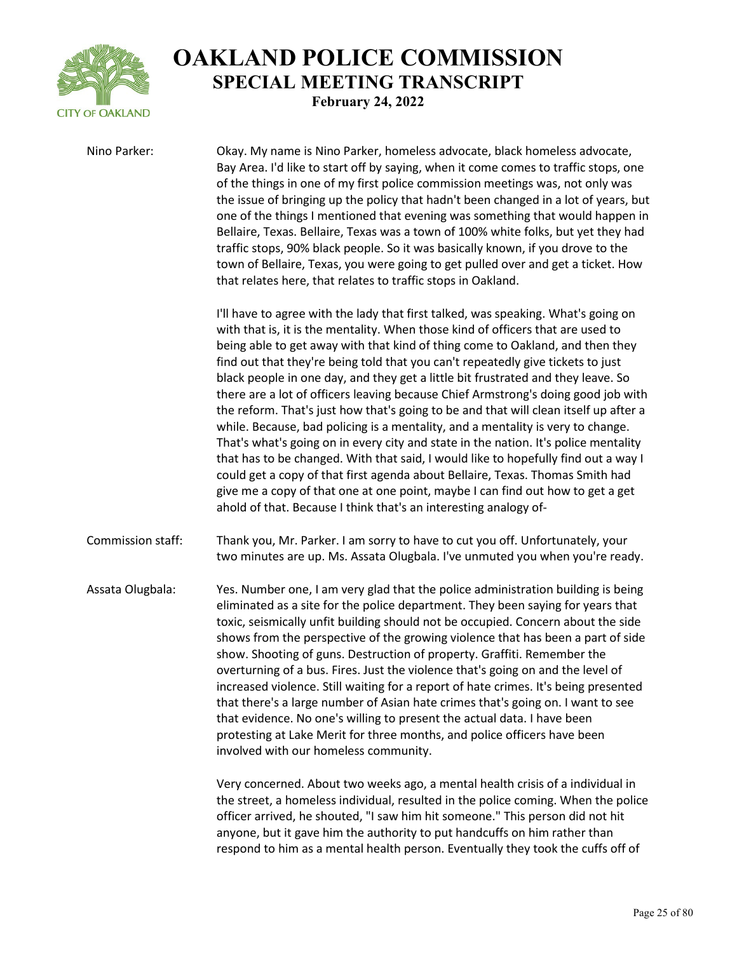

Nino Parker: Okay. My name is Nino Parker, homeless advocate, black homeless advocate, Bay Area. I'd like to start off by saying, when it come comes to traffic stops, one of the things in one of my first police commission meetings was, not only was the issue of bringing up the policy that hadn't been changed in a lot of years, but one of the things I mentioned that evening was something that would happen in Bellaire, Texas. Bellaire, Texas was a town of 100% white folks, but yet they had traffic stops, 90% black people. So it was basically known, if you drove to the town of Bellaire, Texas, you were going to get pulled over and get a ticket. How that relates here, that relates to traffic stops in Oakland. I'll have to agree with the lady that first talked, was speaking. What's going on with that is, it is the mentality. When those kind of officers that are used to being able to get away with that kind of thing come to Oakland, and then they find out that they're being told that you can't repeatedly give tickets to just black people in one day, and they get a little bit frustrated and they leave. So there are a lot of officers leaving because Chief Armstrong's doing good job with the reform. That's just how that's going to be and that will clean itself up after a while. Because, bad policing is a mentality, and a mentality is very to change. That's what's going on in every city and state in the nation. It's police mentality that has to be changed. With that said, I would like to hopefully find out a way I could get a copy of that first agenda about Bellaire, Texas. Thomas Smith had give me a copy of that one at one point, maybe I can find out how to get a get ahold of that. Because I think that's an interesting analogy of-

Commission staff: Thank you, Mr. Parker. I am sorry to have to cut you off. Unfortunately, your two minutes are up. Ms. Assata Olugbala. I've unmuted you when you're ready.

Assata Olugbala: Yes. Number one, I am very glad that the police administration building is being eliminated as a site for the police department. They been saying for years that toxic, seismically unfit building should not be occupied. Concern about the side shows from the perspective of the growing violence that has been a part of side show. Shooting of guns. Destruction of property. Graffiti. Remember the overturning of a bus. Fires. Just the violence that's going on and the level of increased violence. Still waiting for a report of hate crimes. It's being presented that there's a large number of Asian hate crimes that's going on. I want to see that evidence. No one's willing to present the actual data. I have been protesting at Lake Merit for three months, and police officers have been involved with our homeless community.

> Very concerned. About two weeks ago, a mental health crisis of a individual in the street, a homeless individual, resulted in the police coming. When the police officer arrived, he shouted, "I saw him hit someone." This person did not hit anyone, but it gave him the authority to put handcuffs on him rather than respond to him as a mental health person. Eventually they took the cuffs off of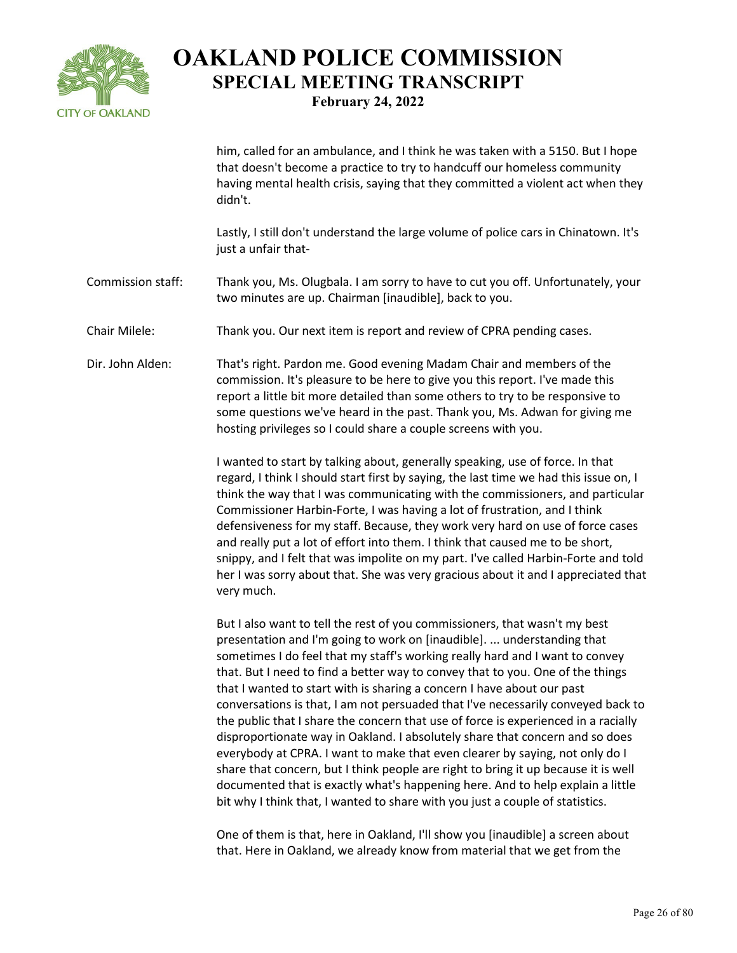

him, called for an ambulance, and I think he was taken with a 5150. But I hope that doesn't become a practice to try to handcuff our homeless community having mental health crisis, saying that they committed a violent act when they didn't.

Lastly, I still don't understand the large volume of police cars in Chinatown. It's just a unfair that-

Commission staff: Thank you, Ms. Olugbala. I am sorry to have to cut you off. Unfortunately, your two minutes are up. Chairman [inaudible], back to you.

Chair Milele: Thank you. Our next item is report and review of CPRA pending cases.

Dir. John Alden: That's right. Pardon me. Good evening Madam Chair and members of the commission. It's pleasure to be here to give you this report. I've made this report a little bit more detailed than some others to try to be responsive to some questions we've heard in the past. Thank you, Ms. Adwan for giving me hosting privileges so I could share a couple screens with you.

> I wanted to start by talking about, generally speaking, use of force. In that regard, I think I should start first by saying, the last time we had this issue on, I think the way that I was communicating with the commissioners, and particular Commissioner Harbin-Forte, I was having a lot of frustration, and I think defensiveness for my staff. Because, they work very hard on use of force cases and really put a lot of effort into them. I think that caused me to be short, snippy, and I felt that was impolite on my part. I've called Harbin-Forte and told her I was sorry about that. She was very gracious about it and I appreciated that very much.

> But I also want to tell the rest of you commissioners, that wasn't my best presentation and I'm going to work on [inaudible]. ... understanding that sometimes I do feel that my staff's working really hard and I want to convey that. But I need to find a better way to convey that to you. One of the things that I wanted to start with is sharing a concern I have about our past conversations is that, I am not persuaded that I've necessarily conveyed back to the public that I share the concern that use of force is experienced in a racially disproportionate way in Oakland. I absolutely share that concern and so does everybody at CPRA. I want to make that even clearer by saying, not only do I share that concern, but I think people are right to bring it up because it is well documented that is exactly what's happening here. And to help explain a little bit why I think that, I wanted to share with you just a couple of statistics.

One of them is that, here in Oakland, I'll show you [inaudible] a screen about that. Here in Oakland, we already know from material that we get from the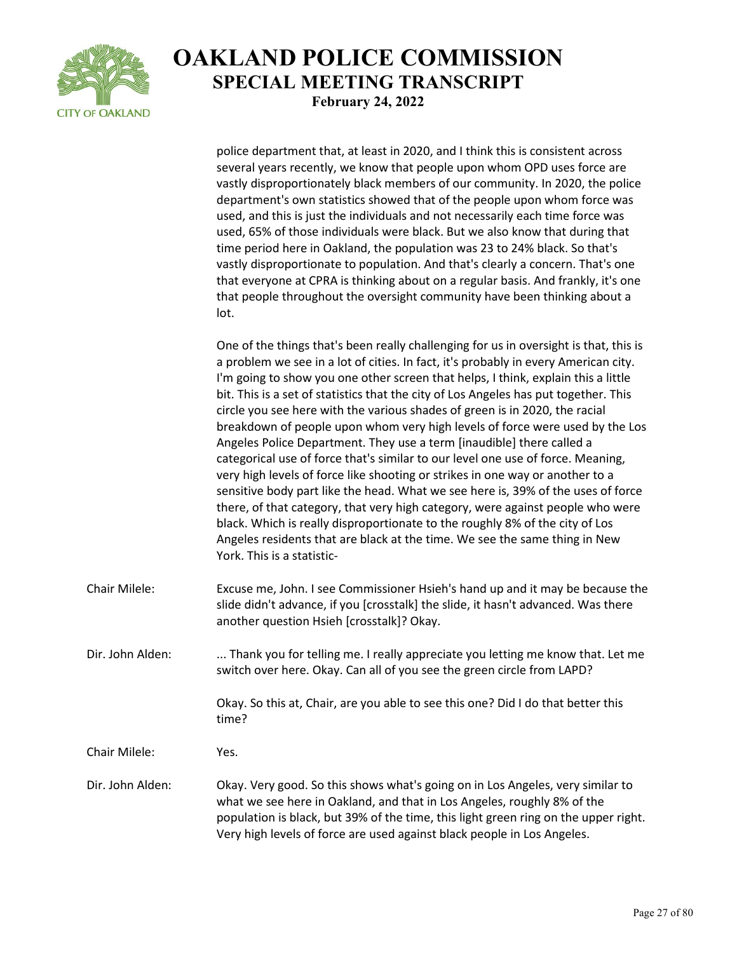

|                  | police department that, at least in 2020, and I think this is consistent across<br>several years recently, we know that people upon whom OPD uses force are<br>vastly disproportionately black members of our community. In 2020, the police<br>department's own statistics showed that of the people upon whom force was<br>used, and this is just the individuals and not necessarily each time force was<br>used, 65% of those individuals were black. But we also know that during that<br>time period here in Oakland, the population was 23 to 24% black. So that's<br>vastly disproportionate to population. And that's clearly a concern. That's one<br>that everyone at CPRA is thinking about on a regular basis. And frankly, it's one<br>that people throughout the oversight community have been thinking about a<br>lot.                                                                                                                                                                                                                                                                                                  |
|------------------|-----------------------------------------------------------------------------------------------------------------------------------------------------------------------------------------------------------------------------------------------------------------------------------------------------------------------------------------------------------------------------------------------------------------------------------------------------------------------------------------------------------------------------------------------------------------------------------------------------------------------------------------------------------------------------------------------------------------------------------------------------------------------------------------------------------------------------------------------------------------------------------------------------------------------------------------------------------------------------------------------------------------------------------------------------------------------------------------------------------------------------------------|
|                  | One of the things that's been really challenging for us in oversight is that, this is<br>a problem we see in a lot of cities. In fact, it's probably in every American city.<br>I'm going to show you one other screen that helps, I think, explain this a little<br>bit. This is a set of statistics that the city of Los Angeles has put together. This<br>circle you see here with the various shades of green is in 2020, the racial<br>breakdown of people upon whom very high levels of force were used by the Los<br>Angeles Police Department. They use a term [inaudible] there called a<br>categorical use of force that's similar to our level one use of force. Meaning,<br>very high levels of force like shooting or strikes in one way or another to a<br>sensitive body part like the head. What we see here is, 39% of the uses of force<br>there, of that category, that very high category, were against people who were<br>black. Which is really disproportionate to the roughly 8% of the city of Los<br>Angeles residents that are black at the time. We see the same thing in New<br>York. This is a statistic- |
| Chair Milele:    | Excuse me, John. I see Commissioner Hsieh's hand up and it may be because the<br>slide didn't advance, if you [crosstalk] the slide, it hasn't advanced. Was there<br>another question Hsieh [crosstalk]? Okay.                                                                                                                                                                                                                                                                                                                                                                                                                                                                                                                                                                                                                                                                                                                                                                                                                                                                                                                         |
| Dir. John Alden: | Thank you for telling me. I really appreciate you letting me know that. Let me<br>switch over here. Okay. Can all of you see the green circle from LAPD?                                                                                                                                                                                                                                                                                                                                                                                                                                                                                                                                                                                                                                                                                                                                                                                                                                                                                                                                                                                |
|                  | Okay. So this at, Chair, are you able to see this one? Did I do that better this<br>time?                                                                                                                                                                                                                                                                                                                                                                                                                                                                                                                                                                                                                                                                                                                                                                                                                                                                                                                                                                                                                                               |
| Chair Milele:    | Yes.                                                                                                                                                                                                                                                                                                                                                                                                                                                                                                                                                                                                                                                                                                                                                                                                                                                                                                                                                                                                                                                                                                                                    |
| Dir. John Alden: | Okay. Very good. So this shows what's going on in Los Angeles, very similar to<br>what we see here in Oakland, and that in Los Angeles, roughly 8% of the<br>population is black, but 39% of the time, this light green ring on the upper right.<br>Very high levels of force are used against black people in Los Angeles.                                                                                                                                                                                                                                                                                                                                                                                                                                                                                                                                                                                                                                                                                                                                                                                                             |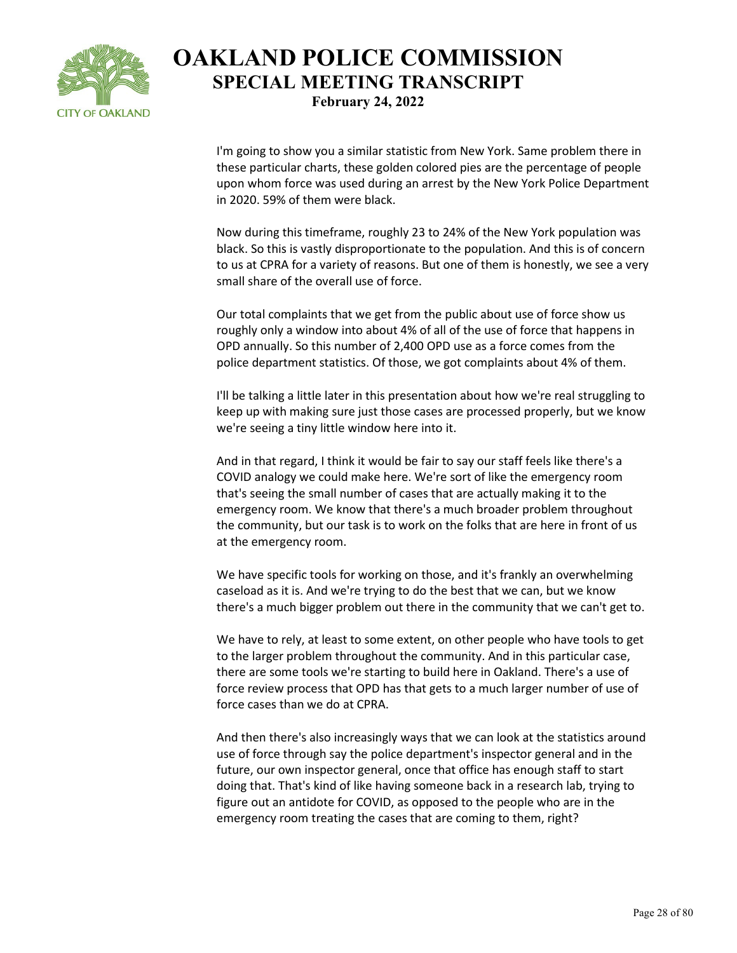

I'm going to show you a similar statistic from New York. Same problem there in these particular charts, these golden colored pies are the percentage of people upon whom force was used during an arrest by the New York Police Department in 2020. 59% of them were black.

Now during this timeframe, roughly 23 to 24% of the New York population was black. So this is vastly disproportionate to the population. And this is of concern to us at CPRA for a variety of reasons. But one of them is honestly, we see a very small share of the overall use of force.

Our total complaints that we get from the public about use of force show us roughly only a window into about 4% of all of the use of force that happens in OPD annually. So this number of 2,400 OPD use as a force comes from the police department statistics. Of those, we got complaints about 4% of them.

I'll be talking a little later in this presentation about how we're real struggling to keep up with making sure just those cases are processed properly, but we know we're seeing a tiny little window here into it.

And in that regard, I think it would be fair to say our staff feels like there's a COVID analogy we could make here. We're sort of like the emergency room that's seeing the small number of cases that are actually making it to the emergency room. We know that there's a much broader problem throughout the community, but our task is to work on the folks that are here in front of us at the emergency room.

We have specific tools for working on those, and it's frankly an overwhelming caseload as it is. And we're trying to do the best that we can, but we know there's a much bigger problem out there in the community that we can't get to.

We have to rely, at least to some extent, on other people who have tools to get to the larger problem throughout the community. And in this particular case, there are some tools we're starting to build here in Oakland. There's a use of force review process that OPD has that gets to a much larger number of use of force cases than we do at CPRA.

And then there's also increasingly ways that we can look at the statistics around use of force through say the police department's inspector general and in the future, our own inspector general, once that office has enough staff to start doing that. That's kind of like having someone back in a research lab, trying to figure out an antidote for COVID, as opposed to the people who are in the emergency room treating the cases that are coming to them, right?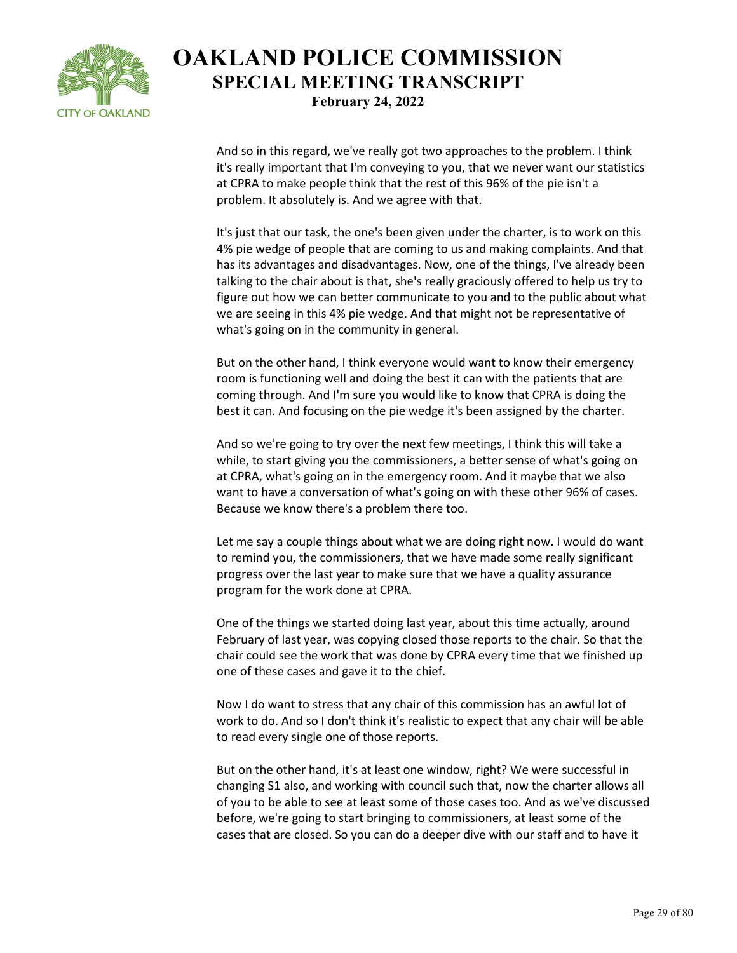

And so in this regard, we've really got two approaches to the problem. I think it's really important that I'm conveying to you, that we never want our statistics at CPRA to make people think that the rest of this 96% of the pie isn't a problem. It absolutely is. And we agree with that.

It's just that our task, the one's been given under the charter, is to work on this 4% pie wedge of people that are coming to us and making complaints. And that has its advantages and disadvantages. Now, one of the things, I've already been talking to the chair about is that, she's really graciously offered to help us try to figure out how we can better communicate to you and to the public about what we are seeing in this 4% pie wedge. And that might not be representative of what's going on in the community in general.

But on the other hand, I think everyone would want to know their emergency room is functioning well and doing the best it can with the patients that are coming through. And I'm sure you would like to know that CPRA is doing the best it can. And focusing on the pie wedge it's been assigned by the charter.

And so we're going to try over the next few meetings, I think this will take a while, to start giving you the commissioners, a better sense of what's going on at CPRA, what's going on in the emergency room. And it maybe that we also want to have a conversation of what's going on with these other 96% of cases. Because we know there's a problem there too.

Let me say a couple things about what we are doing right now. I would do want to remind you, the commissioners, that we have made some really significant progress over the last year to make sure that we have a quality assurance program for the work done at CPRA.

One of the things we started doing last year, about this time actually, around February of last year, was copying closed those reports to the chair. So that the chair could see the work that was done by CPRA every time that we finished up one of these cases and gave it to the chief.

Now I do want to stress that any chair of this commission has an awful lot of work to do. And so I don't think it's realistic to expect that any chair will be able to read every single one of those reports.

But on the other hand, it's at least one window, right? We were successful in changing S1 also, and working with council such that, now the charter allows all of you to be able to see at least some of those cases too. And as we've discussed before, we're going to start bringing to commissioners, at least some of the cases that are closed. So you can do a deeper dive with our staff and to have it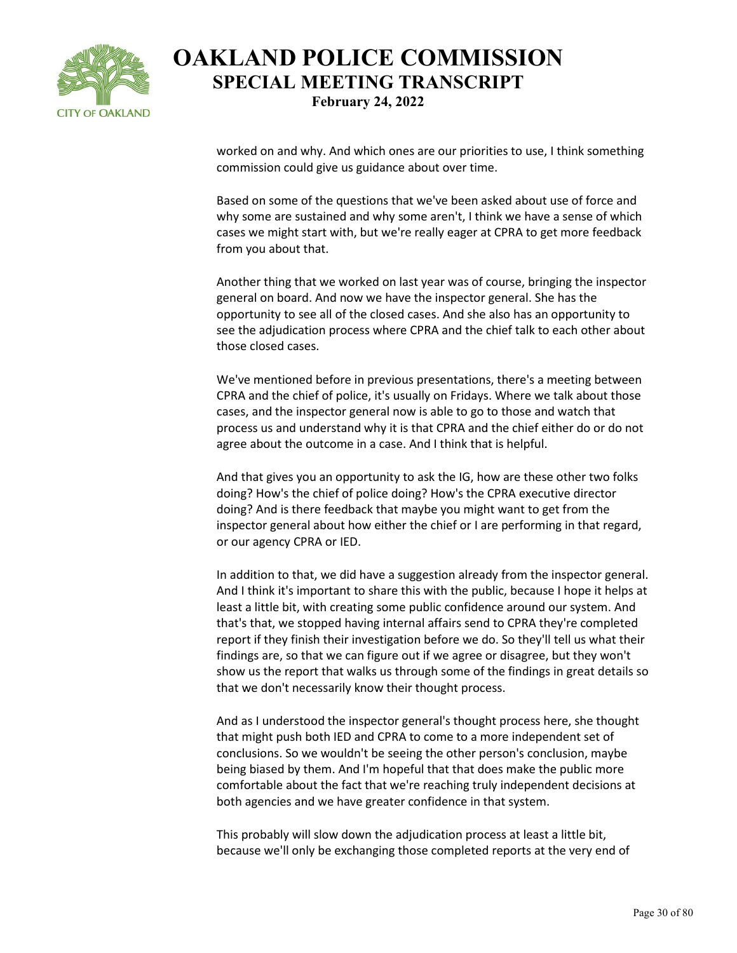

worked on and why. And which ones are our priorities to use, I think something commission could give us guidance about over time.

Based on some of the questions that we've been asked about use of force and why some are sustained and why some aren't, I think we have a sense of which cases we might start with, but we're really eager at CPRA to get more feedback from you about that.

Another thing that we worked on last year was of course, bringing the inspector general on board. And now we have the inspector general. She has the opportunity to see all of the closed cases. And she also has an opportunity to see the adjudication process where CPRA and the chief talk to each other about those closed cases.

We've mentioned before in previous presentations, there's a meeting between CPRA and the chief of police, it's usually on Fridays. Where we talk about those cases, and the inspector general now is able to go to those and watch that process us and understand why it is that CPRA and the chief either do or do not agree about the outcome in a case. And I think that is helpful.

And that gives you an opportunity to ask the IG, how are these other two folks doing? How's the chief of police doing? How's the CPRA executive director doing? And is there feedback that maybe you might want to get from the inspector general about how either the chief or I are performing in that regard, or our agency CPRA or IED.

In addition to that, we did have a suggestion already from the inspector general. And I think it's important to share this with the public, because I hope it helps at least a little bit, with creating some public confidence around our system. And that's that, we stopped having internal affairs send to CPRA they're completed report if they finish their investigation before we do. So they'll tell us what their findings are, so that we can figure out if we agree or disagree, but they won't show us the report that walks us through some of the findings in great details so that we don't necessarily know their thought process.

And as I understood the inspector general's thought process here, she thought that might push both IED and CPRA to come to a more independent set of conclusions. So we wouldn't be seeing the other person's conclusion, maybe being biased by them. And I'm hopeful that that does make the public more comfortable about the fact that we're reaching truly independent decisions at both agencies and we have greater confidence in that system.

This probably will slow down the adjudication process at least a little bit, because we'll only be exchanging those completed reports at the very end of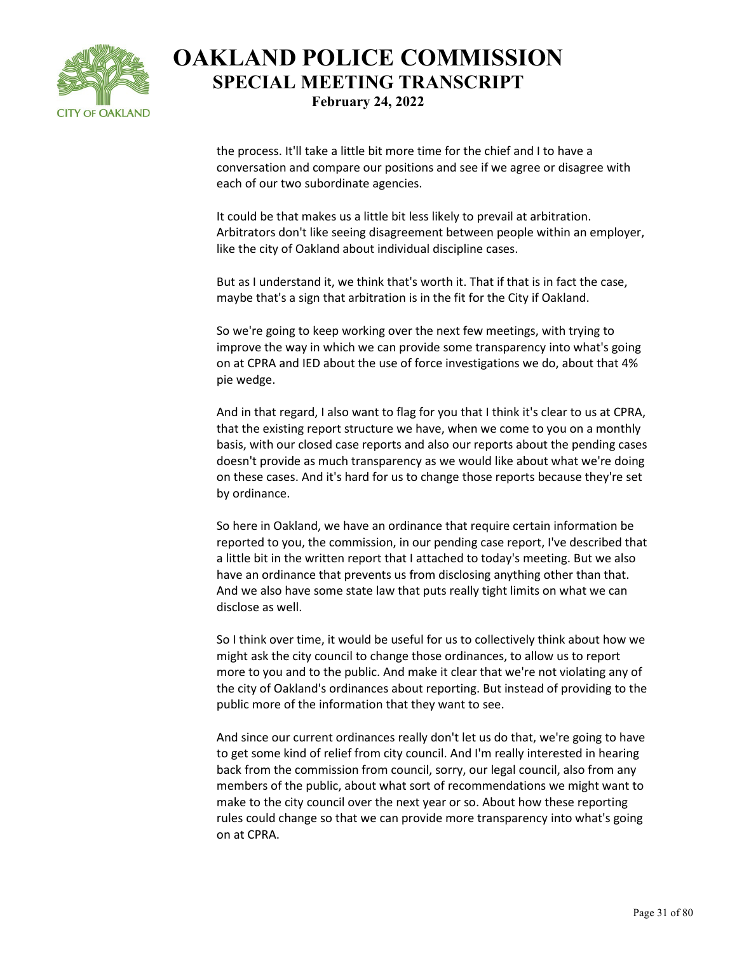

the process. It'll take a little bit more time for the chief and I to have a conversation and compare our positions and see if we agree or disagree with each of our two subordinate agencies.

It could be that makes us a little bit less likely to prevail at arbitration. Arbitrators don't like seeing disagreement between people within an employer, like the city of Oakland about individual discipline cases.

But as I understand it, we think that's worth it. That if that is in fact the case, maybe that's a sign that arbitration is in the fit for the City if Oakland.

So we're going to keep working over the next few meetings, with trying to improve the way in which we can provide some transparency into what's going on at CPRA and IED about the use of force investigations we do, about that 4% pie wedge.

And in that regard, I also want to flag for you that I think it's clear to us at CPRA, that the existing report structure we have, when we come to you on a monthly basis, with our closed case reports and also our reports about the pending cases doesn't provide as much transparency as we would like about what we're doing on these cases. And it's hard for us to change those reports because they're set by ordinance.

So here in Oakland, we have an ordinance that require certain information be reported to you, the commission, in our pending case report, I've described that a little bit in the written report that I attached to today's meeting. But we also have an ordinance that prevents us from disclosing anything other than that. And we also have some state law that puts really tight limits on what we can disclose as well.

So I think over time, it would be useful for us to collectively think about how we might ask the city council to change those ordinances, to allow us to report more to you and to the public. And make it clear that we're not violating any of the city of Oakland's ordinances about reporting. But instead of providing to the public more of the information that they want to see.

And since our current ordinances really don't let us do that, we're going to have to get some kind of relief from city council. And I'm really interested in hearing back from the commission from council, sorry, our legal council, also from any members of the public, about what sort of recommendations we might want to make to the city council over the next year or so. About how these reporting rules could change so that we can provide more transparency into what's going on at CPRA.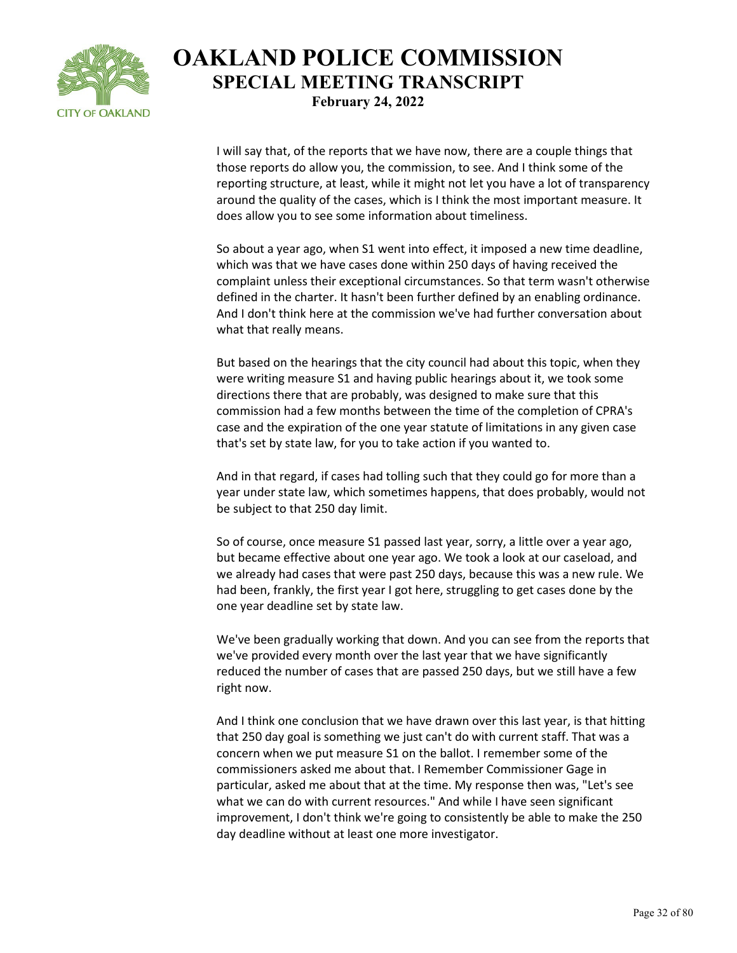

I will say that, of the reports that we have now, there are a couple things that those reports do allow you, the commission, to see. And I think some of the reporting structure, at least, while it might not let you have a lot of transparency around the quality of the cases, which is I think the most important measure. It does allow you to see some information about timeliness.

So about a year ago, when S1 went into effect, it imposed a new time deadline, which was that we have cases done within 250 days of having received the complaint unless their exceptional circumstances. So that term wasn't otherwise defined in the charter. It hasn't been further defined by an enabling ordinance. And I don't think here at the commission we've had further conversation about what that really means.

But based on the hearings that the city council had about this topic, when they were writing measure S1 and having public hearings about it, we took some directions there that are probably, was designed to make sure that this commission had a few months between the time of the completion of CPRA's case and the expiration of the one year statute of limitations in any given case that's set by state law, for you to take action if you wanted to.

And in that regard, if cases had tolling such that they could go for more than a year under state law, which sometimes happens, that does probably, would not be subject to that 250 day limit.

So of course, once measure S1 passed last year, sorry, a little over a year ago, but became effective about one year ago. We took a look at our caseload, and we already had cases that were past 250 days, because this was a new rule. We had been, frankly, the first year I got here, struggling to get cases done by the one year deadline set by state law.

We've been gradually working that down. And you can see from the reports that we've provided every month over the last year that we have significantly reduced the number of cases that are passed 250 days, but we still have a few right now.

And I think one conclusion that we have drawn over this last year, is that hitting that 250 day goal is something we just can't do with current staff. That was a concern when we put measure S1 on the ballot. I remember some of the commissioners asked me about that. I Remember Commissioner Gage in particular, asked me about that at the time. My response then was, "Let's see what we can do with current resources." And while I have seen significant improvement, I don't think we're going to consistently be able to make the 250 day deadline without at least one more investigator.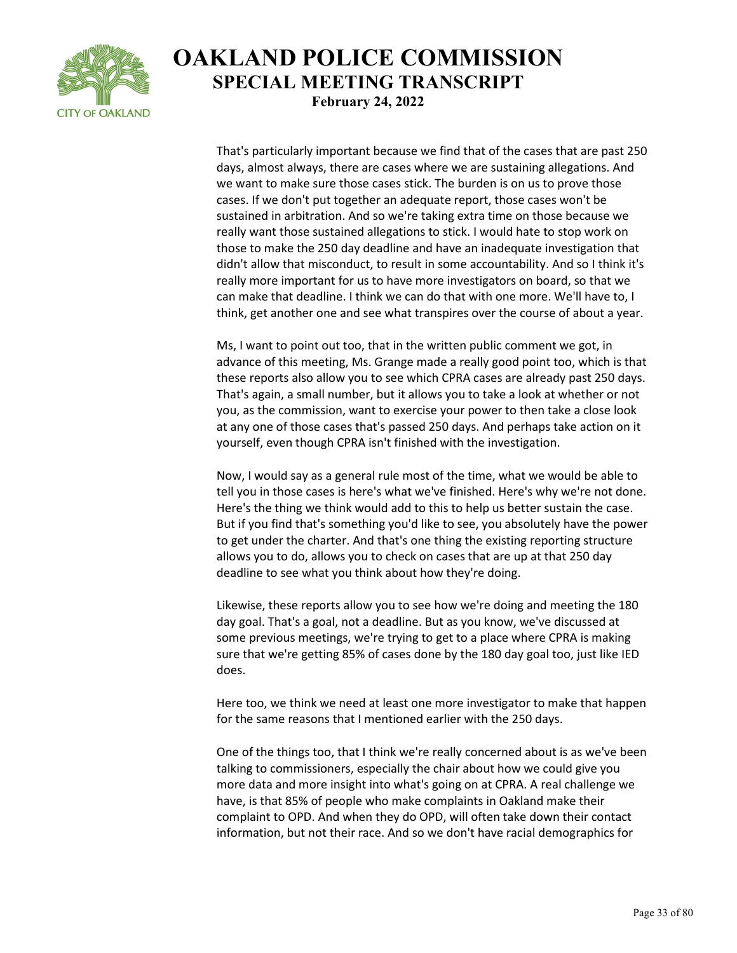

That's particularly important because we find that of the cases that are past 250 days, almost always, there are cases where we are sustaining allegations. And we want to make sure those cases stick. The burden is on us to prove those cases. If we don't put together an adequate report, those cases won't be sustained in arbitration. And so we're taking extra time on those because we really want those sustained allegations to stick. I would hate to stop work on those to make the 250 day deadline and have an inadequate investigation that didn't allow that misconduct, to result in some accountability. And so I think it's really more important for us to have more investigators on board, so that we can make that deadline. I think we can do that with one more. We'll have to, I think, get another one and see what transpires over the course of about a year.

Ms, I want to point out too, that in the written public comment we got, in advance of this meeting, Ms. Grange made a really good point too, which is that these reports also allow you to see which CPRA cases are already past 250 days. That's again, a small number, but it allows you to take a look at whether or not you, as the commission, want to exercise your power to then take a close look at any one of those cases that's passed 250 days. And perhaps take action on it yourself, even though CPRA isn't finished with the investigation.

Now, I would say as a general rule most of the time, what we would be able to tell you in those cases is here's what we've finished. Here's why we're not done. Here's the thing we think would add to this to help us better sustain the case. But if you find that's something you'd like to see, you absolutely have the power to get under the charter. And that's one thing the existing reporting structure allows you to do, allows you to check on cases that are up at that 250 day deadline to see what you think about how they're doing.

Likewise, these reports allow you to see how we're doing and meeting the 180 day goal. That's a goal, not a deadline. But as you know, we've discussed at some previous meetings, we're trying to get to a place where CPRA is making sure that we're getting 85% of cases done by the 180 day goal too, just like IED does.

Here too, we think we need at least one more investigator to make that happen for the same reasons that I mentioned earlier with the 250 days.

One of the things too, that I think we're really concerned about is as we've been talking to commissioners, especially the chair about how we could give you more data and more insight into what's going on at CPRA. A real challenge we have, is that 85% of people who make complaints in Oakland make their complaint to OPD. And when they do OPD, will often take down their contact information, but not their race. And so we don't have racial demographics for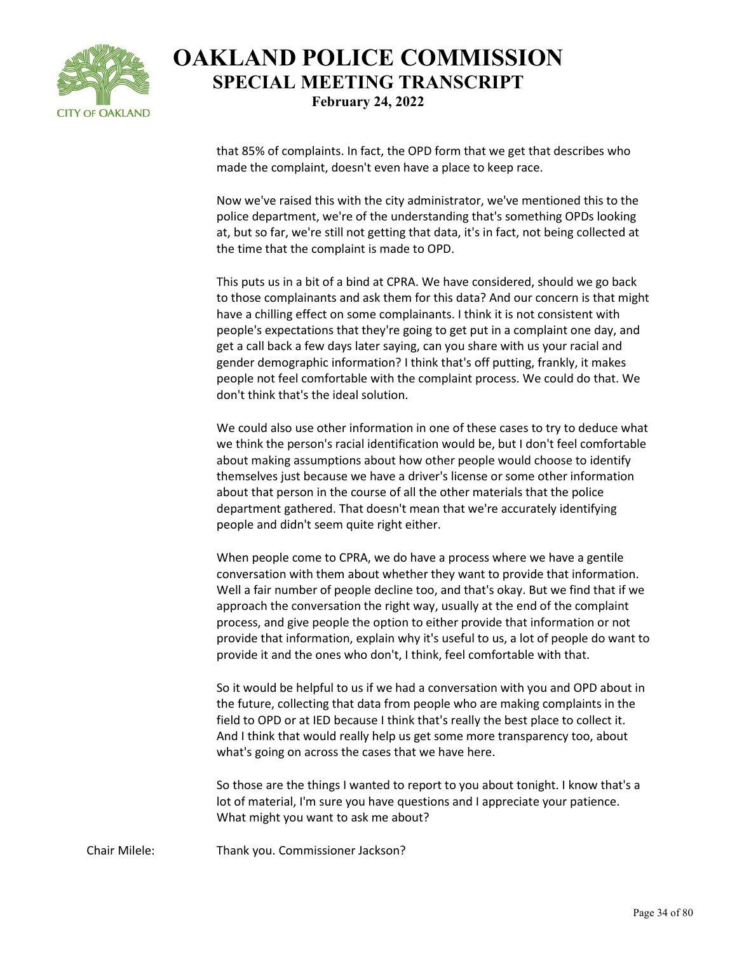

that 85% of complaints. In fact, the OPD form that we get that describes who made the complaint, doesn't even have a place to keep race.

Now we've raised this with the city administrator, we've mentioned this to the police department, we're of the understanding that's something OPDs looking at, but so far, we're still not getting that data, it's in fact, not being collected at the time that the complaint is made to OPD.

This puts us in a bit of a bind at CPRA. We have considered, should we go back to those complainants and ask them for this data? And our concern is that might have a chilling effect on some complainants. I think it is not consistent with people's expectations that they're going to get put in a complaint one day, and get a call back a few days later saying, can you share with us your racial and gender demographic information? I think that's off putting, frankly, it makes people not feel comfortable with the complaint process. We could do that. We don't think that's the ideal solution.

We could also use other information in one of these cases to try to deduce what we think the person's racial identification would be, but I don't feel comfortable about making assumptions about how other people would choose to identify themselves just because we have a driver's license or some other information about that person in the course of all the other materials that the police department gathered. That doesn't mean that we're accurately identifying people and didn't seem quite right either.

When people come to CPRA, we do have a process where we have a gentile conversation with them about whether they want to provide that information. Well a fair number of people decline too, and that's okay. But we find that if we approach the conversation the right way, usually at the end of the complaint process, and give people the option to either provide that information or not provide that information, explain why it's useful to us, a lot of people do want to provide it and the ones who don't, I think, feel comfortable with that.

So it would be helpful to us if we had a conversation with you and OPD about in the future, collecting that data from people who are making complaints in the field to OPD or at IED because I think that's really the best place to collect it. And I think that would really help us get some more transparency too, about what's going on across the cases that we have here.

So those are the things I wanted to report to you about tonight. I know that's a lot of material, I'm sure you have questions and I appreciate your patience. What might you want to ask me about?

Chair Milele: Thank you. Commissioner Jackson?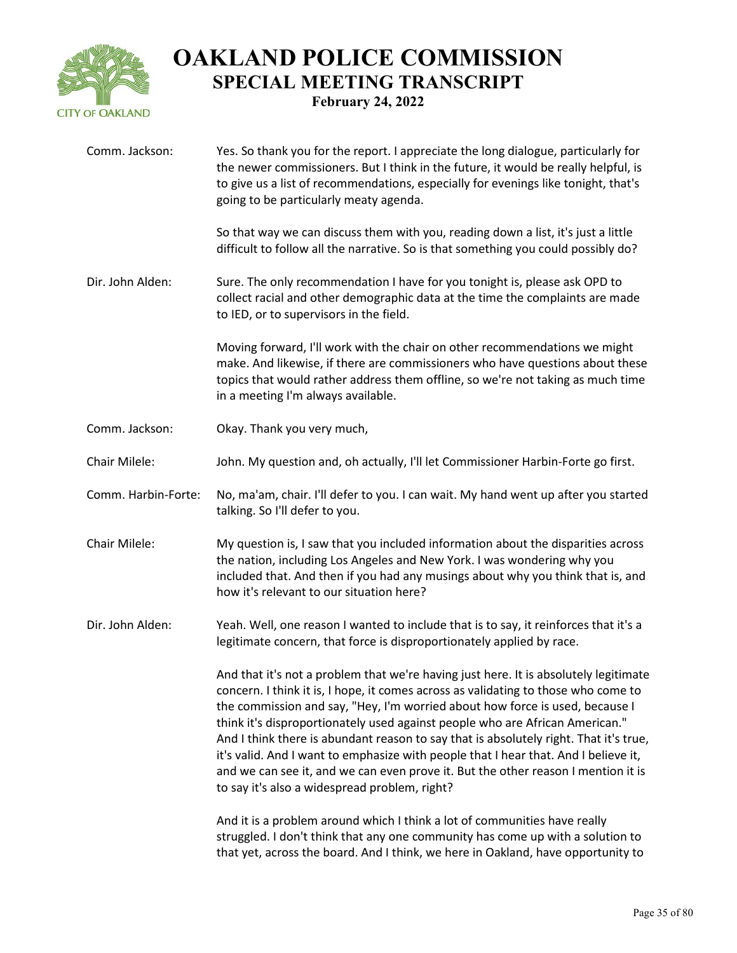

| Comm. Jackson:      | Yes. So thank you for the report. I appreciate the long dialogue, particularly for<br>the newer commissioners. But I think in the future, it would be really helpful, is<br>to give us a list of recommendations, especially for evenings like tonight, that's<br>going to be particularly meaty agenda.                                                                                                                                                                                                                                                                                                                                                         |
|---------------------|------------------------------------------------------------------------------------------------------------------------------------------------------------------------------------------------------------------------------------------------------------------------------------------------------------------------------------------------------------------------------------------------------------------------------------------------------------------------------------------------------------------------------------------------------------------------------------------------------------------------------------------------------------------|
|                     | So that way we can discuss them with you, reading down a list, it's just a little<br>difficult to follow all the narrative. So is that something you could possibly do?                                                                                                                                                                                                                                                                                                                                                                                                                                                                                          |
| Dir. John Alden:    | Sure. The only recommendation I have for you tonight is, please ask OPD to<br>collect racial and other demographic data at the time the complaints are made<br>to IED, or to supervisors in the field.                                                                                                                                                                                                                                                                                                                                                                                                                                                           |
|                     | Moving forward, I'll work with the chair on other recommendations we might<br>make. And likewise, if there are commissioners who have questions about these<br>topics that would rather address them offline, so we're not taking as much time<br>in a meeting I'm always available.                                                                                                                                                                                                                                                                                                                                                                             |
| Comm. Jackson:      | Okay. Thank you very much,                                                                                                                                                                                                                                                                                                                                                                                                                                                                                                                                                                                                                                       |
| Chair Milele:       | John. My question and, oh actually, I'll let Commissioner Harbin-Forte go first.                                                                                                                                                                                                                                                                                                                                                                                                                                                                                                                                                                                 |
| Comm. Harbin-Forte: | No, ma'am, chair. I'll defer to you. I can wait. My hand went up after you started<br>talking. So I'll defer to you.                                                                                                                                                                                                                                                                                                                                                                                                                                                                                                                                             |
| Chair Milele:       | My question is, I saw that you included information about the disparities across<br>the nation, including Los Angeles and New York. I was wondering why you<br>included that. And then if you had any musings about why you think that is, and<br>how it's relevant to our situation here?                                                                                                                                                                                                                                                                                                                                                                       |
| Dir. John Alden:    | Yeah. Well, one reason I wanted to include that is to say, it reinforces that it's a<br>legitimate concern, that force is disproportionately applied by race.                                                                                                                                                                                                                                                                                                                                                                                                                                                                                                    |
|                     | And that it's not a problem that we're having just here. It is absolutely legitimate<br>concern. I think it is, I hope, it comes across as validating to those who come to<br>the commission and say, "Hey, I'm worried about how force is used, because I<br>think it's disproportionately used against people who are African American."<br>And I think there is abundant reason to say that is absolutely right. That it's true,<br>it's valid. And I want to emphasize with people that I hear that. And I believe it,<br>and we can see it, and we can even prove it. But the other reason I mention it is<br>to say it's also a widespread problem, right? |
|                     | And it is a problem around which I think a lot of communities have really<br>struggled. I don't think that any one community has come up with a solution to<br>that yet, across the board. And I think, we here in Oakland, have opportunity to                                                                                                                                                                                                                                                                                                                                                                                                                  |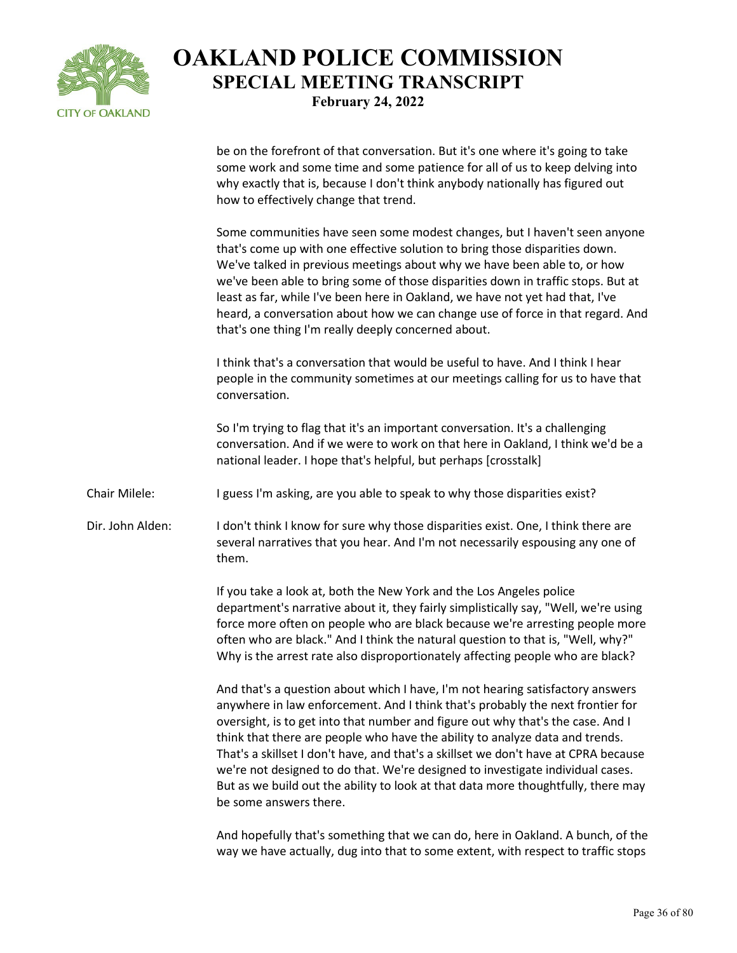

be on the forefront of that conversation. But it's one where it's going to take some work and some time and some patience for all of us to keep delving into why exactly that is, because I don't think anybody nationally has figured out how to effectively change that trend.

Some communities have seen some modest changes, but I haven't seen anyone that's come up with one effective solution to bring those disparities down. We've talked in previous meetings about why we have been able to, or how we've been able to bring some of those disparities down in traffic stops. But at least as far, while I've been here in Oakland, we have not yet had that, I've heard, a conversation about how we can change use of force in that regard. And that's one thing I'm really deeply concerned about.

I think that's a conversation that would be useful to have. And I think I hear people in the community sometimes at our meetings calling for us to have that conversation.

So I'm trying to flag that it's an important conversation. It's a challenging conversation. And if we were to work on that here in Oakland, I think we'd be a national leader. I hope that's helpful, but perhaps [crosstalk]

Chair Milele: I guess I'm asking, are you able to speak to why those disparities exist?

Dir. John Alden: I don't think I know for sure why those disparities exist. One, I think there are several narratives that you hear. And I'm not necessarily espousing any one of them.

> If you take a look at, both the New York and the Los Angeles police department's narrative about it, they fairly simplistically say, "Well, we're using force more often on people who are black because we're arresting people more often who are black." And I think the natural question to that is, "Well, why?" Why is the arrest rate also disproportionately affecting people who are black?

> And that's a question about which I have, I'm not hearing satisfactory answers anywhere in law enforcement. And I think that's probably the next frontier for oversight, is to get into that number and figure out why that's the case. And I think that there are people who have the ability to analyze data and trends. That's a skillset I don't have, and that's a skillset we don't have at CPRA because we're not designed to do that. We're designed to investigate individual cases. But as we build out the ability to look at that data more thoughtfully, there may be some answers there.

> And hopefully that's something that we can do, here in Oakland. A bunch, of the way we have actually, dug into that to some extent, with respect to traffic stops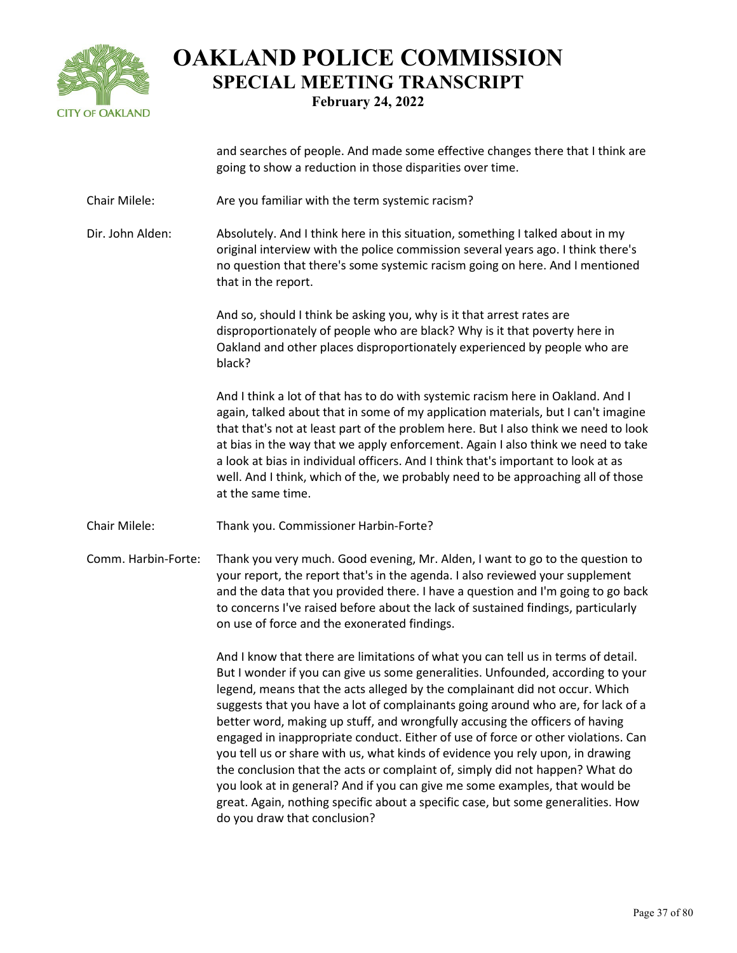

and searches of people. And made some effective changes there that I think are going to show a reduction in those disparities over time.

Chair Milele: Are you familiar with the term systemic racism?

Dir. John Alden: Absolutely. And I think here in this situation, something I talked about in my original interview with the police commission several years ago. I think there's no question that there's some systemic racism going on here. And I mentioned that in the report.

> And so, should I think be asking you, why is it that arrest rates are disproportionately of people who are black? Why is it that poverty here in Oakland and other places disproportionately experienced by people who are black?

And I think a lot of that has to do with systemic racism here in Oakland. And I again, talked about that in some of my application materials, but I can't imagine that that's not at least part of the problem here. But I also think we need to look at bias in the way that we apply enforcement. Again I also think we need to take a look at bias in individual officers. And I think that's important to look at as well. And I think, which of the, we probably need to be approaching all of those at the same time.

Chair Milele: Thank you. Commissioner Harbin-Forte?

Comm. Harbin-Forte: Thank you very much. Good evening, Mr. Alden, I want to go to the question to your report, the report that's in the agenda. I also reviewed your supplement and the data that you provided there. I have a question and I'm going to go back to concerns I've raised before about the lack of sustained findings, particularly on use of force and the exonerated findings.

> And I know that there are limitations of what you can tell us in terms of detail. But I wonder if you can give us some generalities. Unfounded, according to your legend, means that the acts alleged by the complainant did not occur. Which suggests that you have a lot of complainants going around who are, for lack of a better word, making up stuff, and wrongfully accusing the officers of having engaged in inappropriate conduct. Either of use of force or other violations. Can you tell us or share with us, what kinds of evidence you rely upon, in drawing the conclusion that the acts or complaint of, simply did not happen? What do you look at in general? And if you can give me some examples, that would be great. Again, nothing specific about a specific case, but some generalities. How do you draw that conclusion?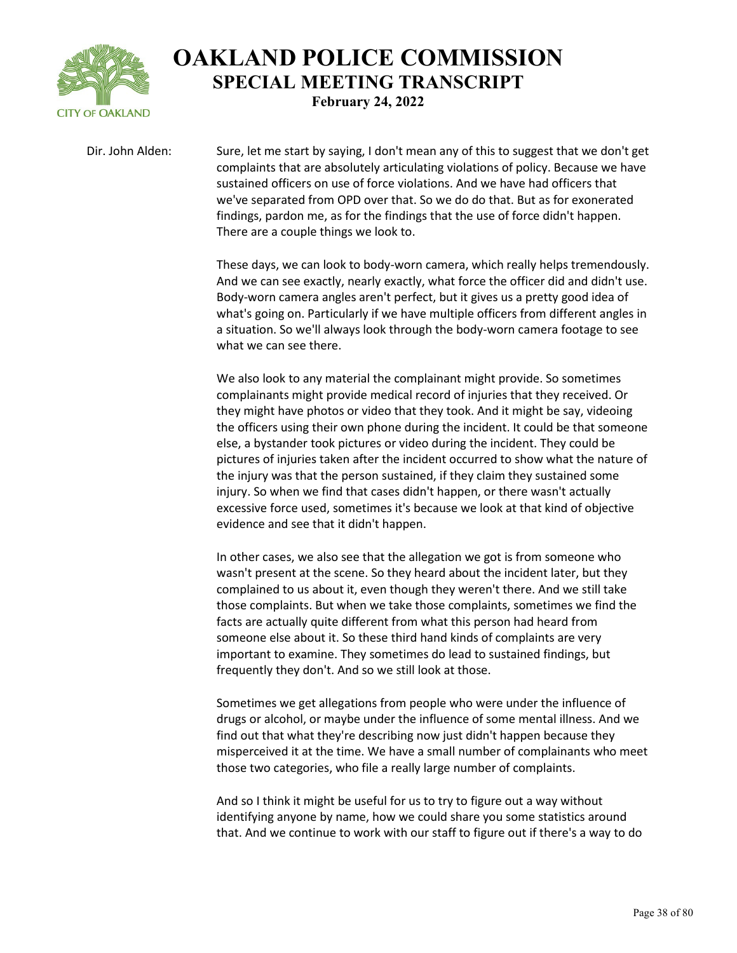

Dir. John Alden: Sure, let me start by saying, I don't mean any of this to suggest that we don't get complaints that are absolutely articulating violations of policy. Because we have sustained officers on use of force violations. And we have had officers that we've separated from OPD over that. So we do do that. But as for exonerated findings, pardon me, as for the findings that the use of force didn't happen. There are a couple things we look to.

> These days, we can look to body-worn camera, which really helps tremendously. And we can see exactly, nearly exactly, what force the officer did and didn't use. Body-worn camera angles aren't perfect, but it gives us a pretty good idea of what's going on. Particularly if we have multiple officers from different angles in a situation. So we'll always look through the body-worn camera footage to see what we can see there.

> We also look to any material the complainant might provide. So sometimes complainants might provide medical record of injuries that they received. Or they might have photos or video that they took. And it might be say, videoing the officers using their own phone during the incident. It could be that someone else, a bystander took pictures or video during the incident. They could be pictures of injuries taken after the incident occurred to show what the nature of the injury was that the person sustained, if they claim they sustained some injury. So when we find that cases didn't happen, or there wasn't actually excessive force used, sometimes it's because we look at that kind of objective evidence and see that it didn't happen.

In other cases, we also see that the allegation we got is from someone who wasn't present at the scene. So they heard about the incident later, but they complained to us about it, even though they weren't there. And we still take those complaints. But when we take those complaints, sometimes we find the facts are actually quite different from what this person had heard from someone else about it. So these third hand kinds of complaints are very important to examine. They sometimes do lead to sustained findings, but frequently they don't. And so we still look at those.

Sometimes we get allegations from people who were under the influence of drugs or alcohol, or maybe under the influence of some mental illness. And we find out that what they're describing now just didn't happen because they misperceived it at the time. We have a small number of complainants who meet those two categories, who file a really large number of complaints.

And so I think it might be useful for us to try to figure out a way without identifying anyone by name, how we could share you some statistics around that. And we continue to work with our staff to figure out if there's a way to do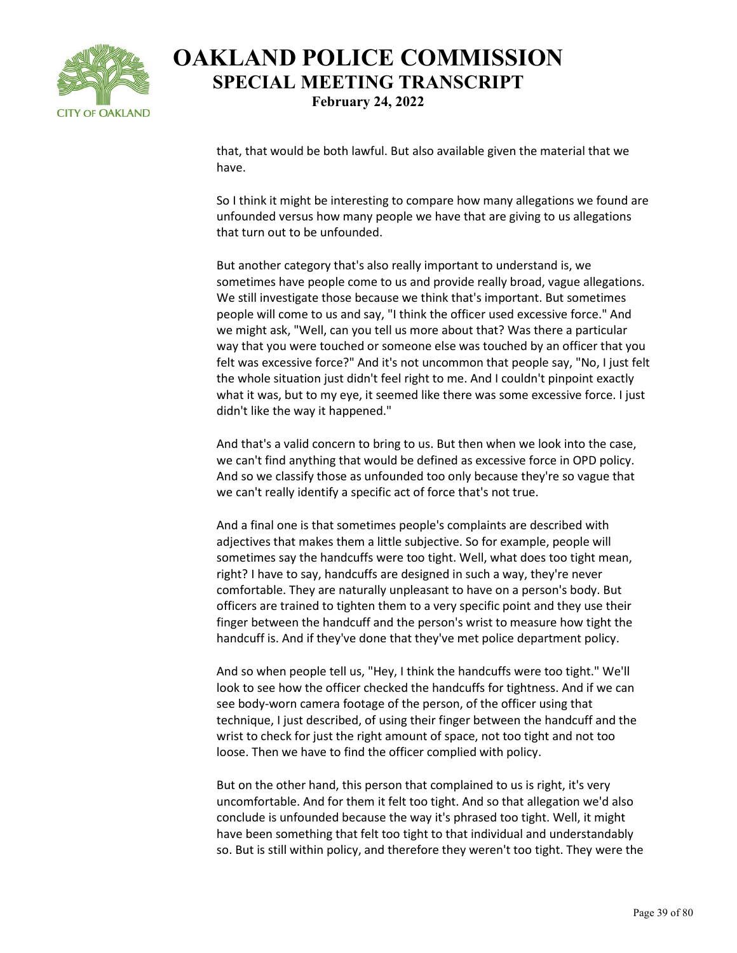

that, that would be both lawful. But also available given the material that we have.

So I think it might be interesting to compare how many allegations we found are unfounded versus how many people we have that are giving to us allegations that turn out to be unfounded.

But another category that's also really important to understand is, we sometimes have people come to us and provide really broad, vague allegations. We still investigate those because we think that's important. But sometimes people will come to us and say, "I think the officer used excessive force." And we might ask, "Well, can you tell us more about that? Was there a particular way that you were touched or someone else was touched by an officer that you felt was excessive force?" And it's not uncommon that people say, "No, I just felt the whole situation just didn't feel right to me. And I couldn't pinpoint exactly what it was, but to my eye, it seemed like there was some excessive force. I just didn't like the way it happened."

And that's a valid concern to bring to us. But then when we look into the case, we can't find anything that would be defined as excessive force in OPD policy. And so we classify those as unfounded too only because they're so vague that we can't really identify a specific act of force that's not true.

And a final one is that sometimes people's complaints are described with adjectives that makes them a little subjective. So for example, people will sometimes say the handcuffs were too tight. Well, what does too tight mean, right? I have to say, handcuffs are designed in such a way, they're never comfortable. They are naturally unpleasant to have on a person's body. But officers are trained to tighten them to a very specific point and they use their finger between the handcuff and the person's wrist to measure how tight the handcuff is. And if they've done that they've met police department policy.

And so when people tell us, "Hey, I think the handcuffs were too tight." We'll look to see how the officer checked the handcuffs for tightness. And if we can see body-worn camera footage of the person, of the officer using that technique, I just described, of using their finger between the handcuff and the wrist to check for just the right amount of space, not too tight and not too loose. Then we have to find the officer complied with policy.

But on the other hand, this person that complained to us is right, it's very uncomfortable. And for them it felt too tight. And so that allegation we'd also conclude is unfounded because the way it's phrased too tight. Well, it might have been something that felt too tight to that individual and understandably so. But is still within policy, and therefore they weren't too tight. They were the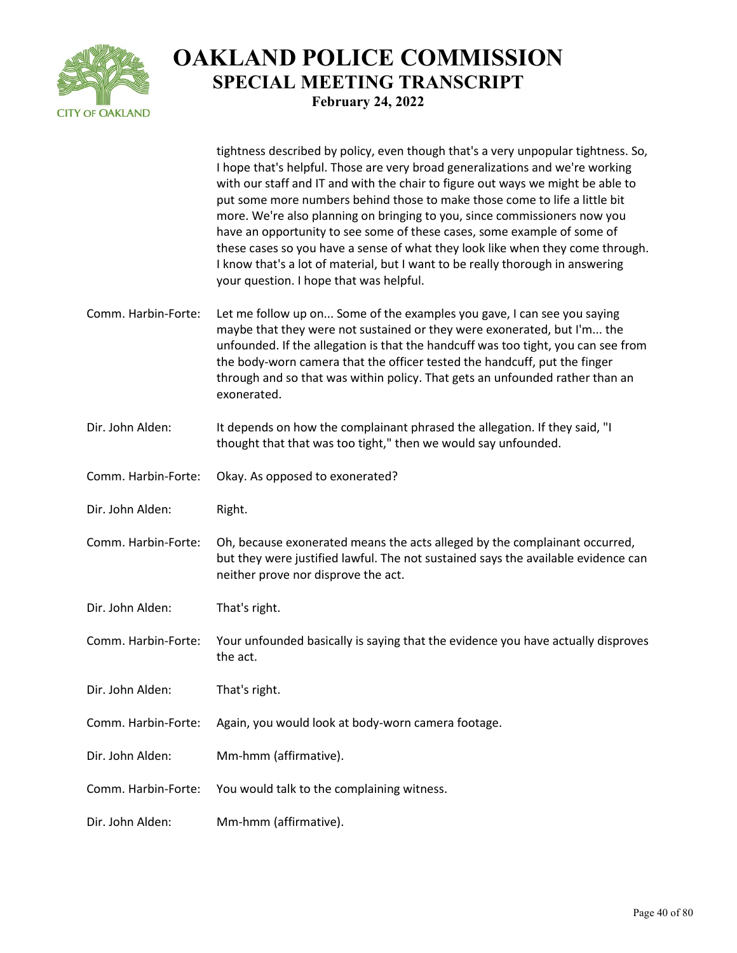

|                     | tightness described by policy, even though that's a very unpopular tightness. So,<br>I hope that's helpful. Those are very broad generalizations and we're working<br>with our staff and IT and with the chair to figure out ways we might be able to<br>put some more numbers behind those to make those come to life a little bit<br>more. We're also planning on bringing to you, since commissioners now you<br>have an opportunity to see some of these cases, some example of some of<br>these cases so you have a sense of what they look like when they come through.<br>I know that's a lot of material, but I want to be really thorough in answering<br>your question. I hope that was helpful. |
|---------------------|------------------------------------------------------------------------------------------------------------------------------------------------------------------------------------------------------------------------------------------------------------------------------------------------------------------------------------------------------------------------------------------------------------------------------------------------------------------------------------------------------------------------------------------------------------------------------------------------------------------------------------------------------------------------------------------------------------|
| Comm. Harbin-Forte: | Let me follow up on Some of the examples you gave, I can see you saying<br>maybe that they were not sustained or they were exonerated, but I'm the<br>unfounded. If the allegation is that the handcuff was too tight, you can see from<br>the body-worn camera that the officer tested the handcuff, put the finger<br>through and so that was within policy. That gets an unfounded rather than an<br>exonerated.                                                                                                                                                                                                                                                                                        |
| Dir. John Alden:    | It depends on how the complainant phrased the allegation. If they said, "I<br>thought that that was too tight," then we would say unfounded.                                                                                                                                                                                                                                                                                                                                                                                                                                                                                                                                                               |
| Comm. Harbin-Forte: | Okay. As opposed to exonerated?                                                                                                                                                                                                                                                                                                                                                                                                                                                                                                                                                                                                                                                                            |
| Dir. John Alden:    | Right.                                                                                                                                                                                                                                                                                                                                                                                                                                                                                                                                                                                                                                                                                                     |
| Comm. Harbin-Forte: | Oh, because exonerated means the acts alleged by the complainant occurred,<br>but they were justified lawful. The not sustained says the available evidence can                                                                                                                                                                                                                                                                                                                                                                                                                                                                                                                                            |
|                     | neither prove nor disprove the act.                                                                                                                                                                                                                                                                                                                                                                                                                                                                                                                                                                                                                                                                        |
| Dir. John Alden:    | That's right.                                                                                                                                                                                                                                                                                                                                                                                                                                                                                                                                                                                                                                                                                              |
| Comm. Harbin-Forte: | Your unfounded basically is saying that the evidence you have actually disproves<br>the act.                                                                                                                                                                                                                                                                                                                                                                                                                                                                                                                                                                                                               |
| Dir. John Alden:    | That's right.                                                                                                                                                                                                                                                                                                                                                                                                                                                                                                                                                                                                                                                                                              |
| Comm. Harbin-Forte: | Again, you would look at body-worn camera footage.                                                                                                                                                                                                                                                                                                                                                                                                                                                                                                                                                                                                                                                         |
| Dir. John Alden:    | Mm-hmm (affirmative).                                                                                                                                                                                                                                                                                                                                                                                                                                                                                                                                                                                                                                                                                      |
| Comm. Harbin-Forte: | You would talk to the complaining witness.                                                                                                                                                                                                                                                                                                                                                                                                                                                                                                                                                                                                                                                                 |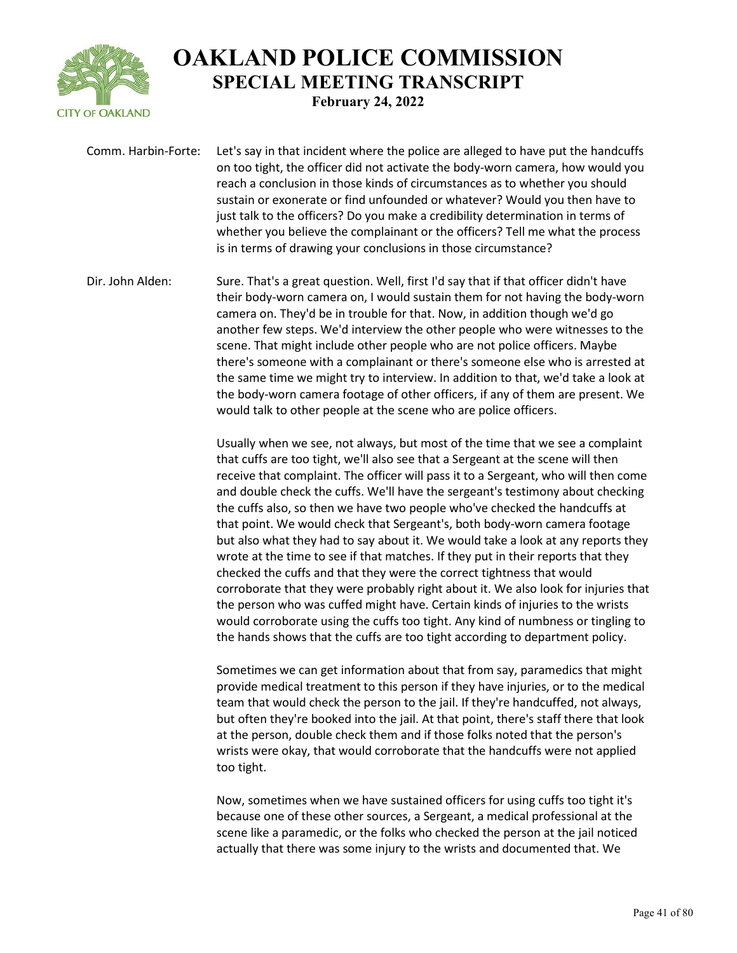

Comm. Harbin-Forte: Let's say in that incident where the police are alleged to have put the handcuffs on too tight, the officer did not activate the body-worn camera, how would you reach a conclusion in those kinds of circumstances as to whether you should sustain or exonerate or find unfounded or whatever? Would you then have to just talk to the officers? Do you make a credibility determination in terms of whether you believe the complainant or the officers? Tell me what the process is in terms of drawing your conclusions in those circumstance?

Dir. John Alden: Sure. That's a great question. Well, first I'd say that if that officer didn't have their body-worn camera on, I would sustain them for not having the body-worn camera on. They'd be in trouble for that. Now, in addition though we'd go another few steps. We'd interview the other people who were witnesses to the scene. That might include other people who are not police officers. Maybe there's someone with a complainant or there's someone else who is arrested at the same time we might try to interview. In addition to that, we'd take a look at the body-worn camera footage of other officers, if any of them are present. We would talk to other people at the scene who are police officers.

> Usually when we see, not always, but most of the time that we see a complaint that cuffs are too tight, we'll also see that a Sergeant at the scene will then receive that complaint. The officer will pass it to a Sergeant, who will then come and double check the cuffs. We'll have the sergeant's testimony about checking the cuffs also, so then we have two people who've checked the handcuffs at that point. We would check that Sergeant's, both body-worn camera footage but also what they had to say about it. We would take a look at any reports they wrote at the time to see if that matches. If they put in their reports that they checked the cuffs and that they were the correct tightness that would corroborate that they were probably right about it. We also look for injuries that the person who was cuffed might have. Certain kinds of injuries to the wrists would corroborate using the cuffs too tight. Any kind of numbness or tingling to the hands shows that the cuffs are too tight according to department policy.

Sometimes we can get information about that from say, paramedics that might provide medical treatment to this person if they have injuries, or to the medical team that would check the person to the jail. If they're handcuffed, not always, but often they're booked into the jail. At that point, there's staff there that look at the person, double check them and if those folks noted that the person's wrists were okay, that would corroborate that the handcuffs were not applied too tight.

Now, sometimes when we have sustained officers for using cuffs too tight it's because one of these other sources, a Sergeant, a medical professional at the scene like a paramedic, or the folks who checked the person at the jail noticed actually that there was some injury to the wrists and documented that. We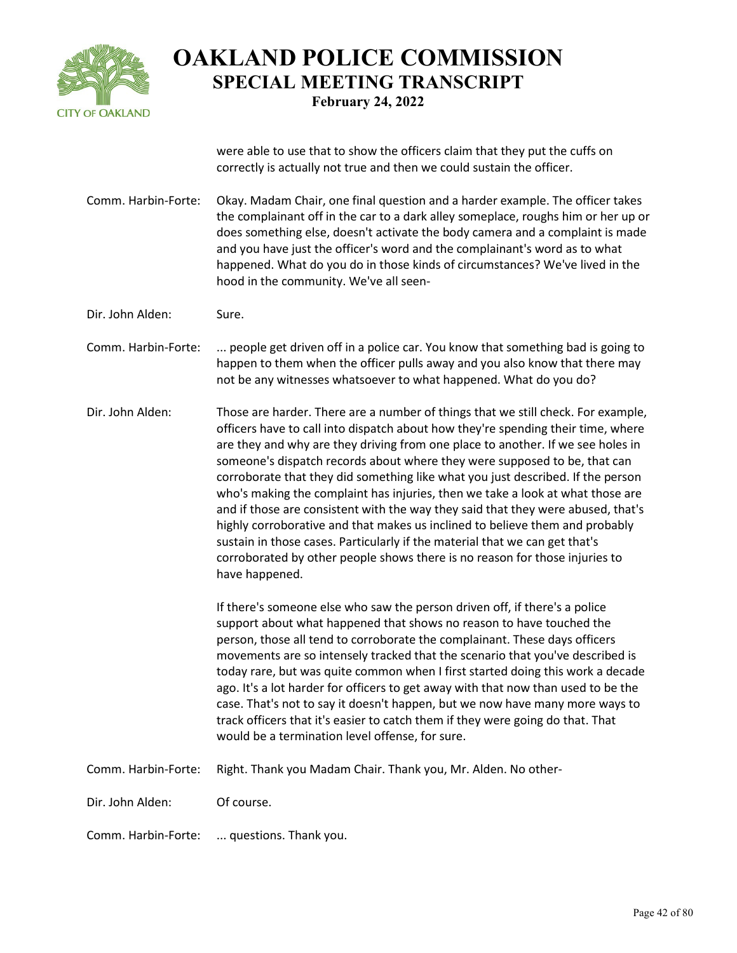

were able to use that to show the officers claim that they put the cuffs on correctly is actually not true and then we could sustain the officer.

Comm. Harbin-Forte: Okay. Madam Chair, one final question and a harder example. The officer takes the complainant off in the car to a dark alley someplace, roughs him or her up or does something else, doesn't activate the body camera and a complaint is made and you have just the officer's word and the complainant's word as to what happened. What do you do in those kinds of circumstances? We've lived in the hood in the community. We've all seen-

Dir. John Alden: Sure.

Comm. Harbin-Forte: ... people get driven off in a police car. You know that something bad is going to happen to them when the officer pulls away and you also know that there may not be any witnesses whatsoever to what happened. What do you do?

Dir. John Alden: Those are harder. There are a number of things that we still check. For example, officers have to call into dispatch about how they're spending their time, where are they and why are they driving from one place to another. If we see holes in someone's dispatch records about where they were supposed to be, that can corroborate that they did something like what you just described. If the person who's making the complaint has injuries, then we take a look at what those are and if those are consistent with the way they said that they were abused, that's highly corroborative and that makes us inclined to believe them and probably sustain in those cases. Particularly if the material that we can get that's corroborated by other people shows there is no reason for those injuries to have happened.

> If there's someone else who saw the person driven off, if there's a police support about what happened that shows no reason to have touched the person, those all tend to corroborate the complainant. These days officers movements are so intensely tracked that the scenario that you've described is today rare, but was quite common when I first started doing this work a decade ago. It's a lot harder for officers to get away with that now than used to be the case. That's not to say it doesn't happen, but we now have many more ways to track officers that it's easier to catch them if they were going do that. That would be a termination level offense, for sure.

Comm. Harbin-Forte: Right. Thank you Madam Chair. Thank you, Mr. Alden. No other-

Dir. John Alden: Of course.

Comm. Harbin-Forte: ... questions. Thank you.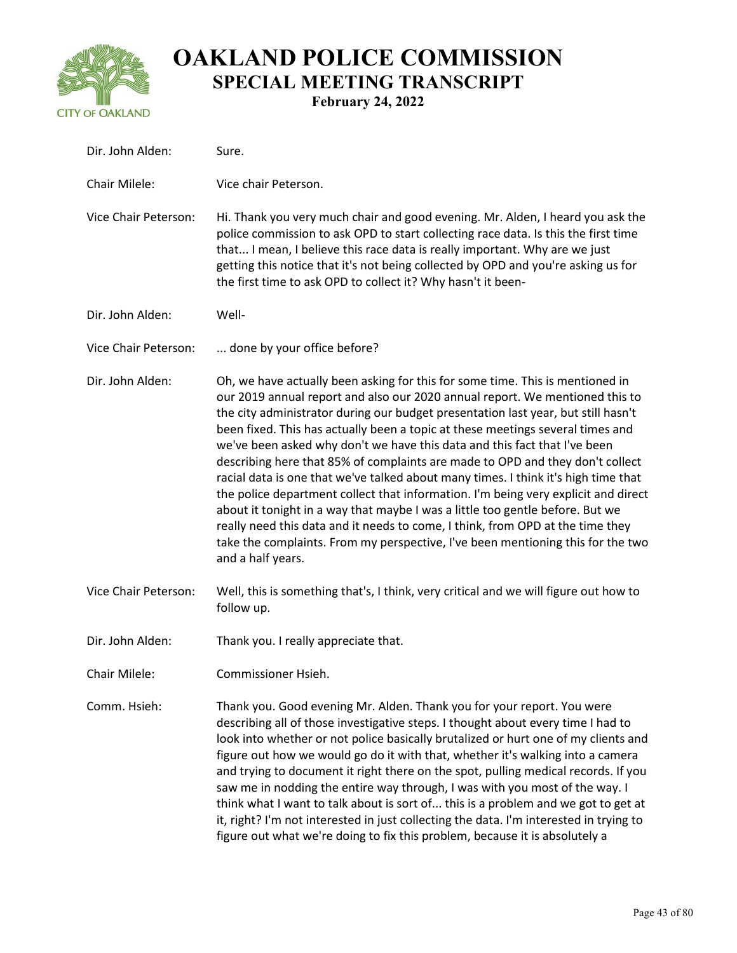

# **OAKLAND POLICE COMMISSION SPECIAL MEETING TRANSCRIPT**

**February 24, 2022**

| Dir. John Alden:     | Sure.                                                                                                                                                                                                                                                                                                                                                                                                                                                                                                                                                                                                                                                                                                                                                                                                                                                                                                                                                     |
|----------------------|-----------------------------------------------------------------------------------------------------------------------------------------------------------------------------------------------------------------------------------------------------------------------------------------------------------------------------------------------------------------------------------------------------------------------------------------------------------------------------------------------------------------------------------------------------------------------------------------------------------------------------------------------------------------------------------------------------------------------------------------------------------------------------------------------------------------------------------------------------------------------------------------------------------------------------------------------------------|
| Chair Milele:        | Vice chair Peterson.                                                                                                                                                                                                                                                                                                                                                                                                                                                                                                                                                                                                                                                                                                                                                                                                                                                                                                                                      |
| Vice Chair Peterson: | Hi. Thank you very much chair and good evening. Mr. Alden, I heard you ask the<br>police commission to ask OPD to start collecting race data. Is this the first time<br>that I mean, I believe this race data is really important. Why are we just<br>getting this notice that it's not being collected by OPD and you're asking us for<br>the first time to ask OPD to collect it? Why hasn't it been-                                                                                                                                                                                                                                                                                                                                                                                                                                                                                                                                                   |
| Dir. John Alden:     | Well-                                                                                                                                                                                                                                                                                                                                                                                                                                                                                                                                                                                                                                                                                                                                                                                                                                                                                                                                                     |
| Vice Chair Peterson: | done by your office before?                                                                                                                                                                                                                                                                                                                                                                                                                                                                                                                                                                                                                                                                                                                                                                                                                                                                                                                               |
| Dir. John Alden:     | Oh, we have actually been asking for this for some time. This is mentioned in<br>our 2019 annual report and also our 2020 annual report. We mentioned this to<br>the city administrator during our budget presentation last year, but still hasn't<br>been fixed. This has actually been a topic at these meetings several times and<br>we've been asked why don't we have this data and this fact that I've been<br>describing here that 85% of complaints are made to OPD and they don't collect<br>racial data is one that we've talked about many times. I think it's high time that<br>the police department collect that information. I'm being very explicit and direct<br>about it tonight in a way that maybe I was a little too gentle before. But we<br>really need this data and it needs to come, I think, from OPD at the time they<br>take the complaints. From my perspective, I've been mentioning this for the two<br>and a half years. |
| Vice Chair Peterson: | Well, this is something that's, I think, very critical and we will figure out how to<br>follow up.                                                                                                                                                                                                                                                                                                                                                                                                                                                                                                                                                                                                                                                                                                                                                                                                                                                        |
| Dir. John Alden:     | Thank you. I really appreciate that.                                                                                                                                                                                                                                                                                                                                                                                                                                                                                                                                                                                                                                                                                                                                                                                                                                                                                                                      |
| Chair Milele:        | Commissioner Hsieh.                                                                                                                                                                                                                                                                                                                                                                                                                                                                                                                                                                                                                                                                                                                                                                                                                                                                                                                                       |
| Comm. Hsieh:         | Thank you. Good evening Mr. Alden. Thank you for your report. You were<br>describing all of those investigative steps. I thought about every time I had to<br>look into whether or not police basically brutalized or hurt one of my clients and<br>figure out how we would go do it with that, whether it's walking into a camera<br>and trying to document it right there on the spot, pulling medical records. If you<br>saw me in nodding the entire way through, I was with you most of the way. I<br>think what I want to talk about is sort of this is a problem and we got to get at<br>it, right? I'm not interested in just collecting the data. I'm interested in trying to<br>figure out what we're doing to fix this problem, because it is absolutely a                                                                                                                                                                                     |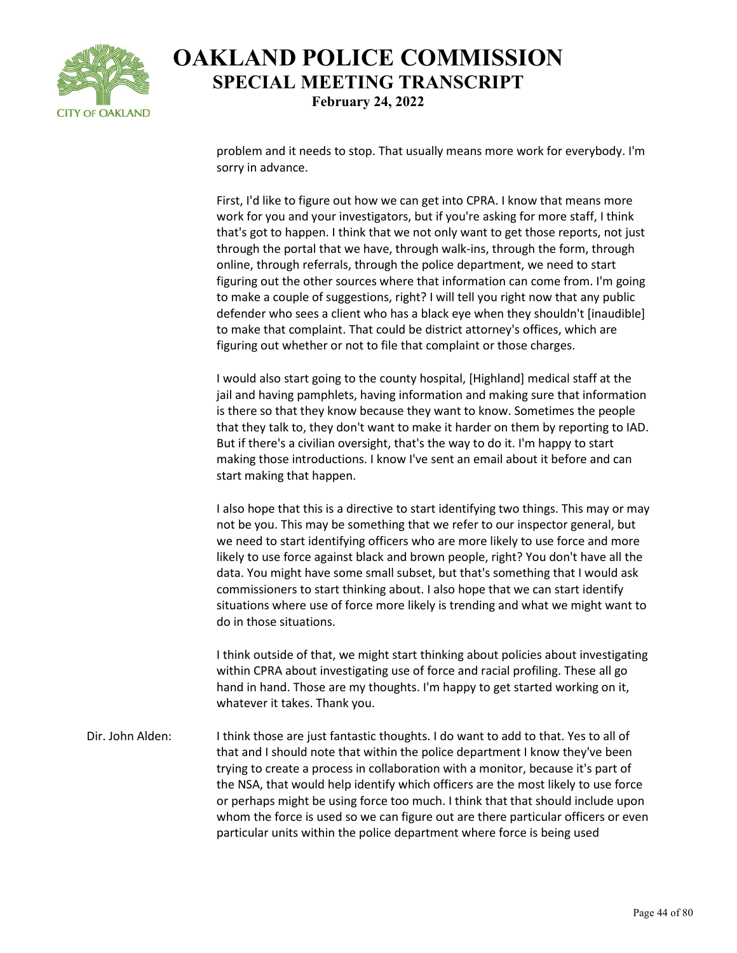

problem and it needs to stop. That usually means more work for everybody. I'm sorry in advance.

First, I'd like to figure out how we can get into CPRA. I know that means more work for you and your investigators, but if you're asking for more staff, I think that's got to happen. I think that we not only want to get those reports, not just through the portal that we have, through walk-ins, through the form, through online, through referrals, through the police department, we need to start figuring out the other sources where that information can come from. I'm going to make a couple of suggestions, right? I will tell you right now that any public defender who sees a client who has a black eye when they shouldn't [inaudible] to make that complaint. That could be district attorney's offices, which are figuring out whether or not to file that complaint or those charges.

I would also start going to the county hospital, [Highland] medical staff at the jail and having pamphlets, having information and making sure that information is there so that they know because they want to know. Sometimes the people that they talk to, they don't want to make it harder on them by reporting to IAD. But if there's a civilian oversight, that's the way to do it. I'm happy to start making those introductions. I know I've sent an email about it before and can start making that happen.

I also hope that this is a directive to start identifying two things. This may or may not be you. This may be something that we refer to our inspector general, but we need to start identifying officers who are more likely to use force and more likely to use force against black and brown people, right? You don't have all the data. You might have some small subset, but that's something that I would ask commissioners to start thinking about. I also hope that we can start identify situations where use of force more likely is trending and what we might want to do in those situations.

I think outside of that, we might start thinking about policies about investigating within CPRA about investigating use of force and racial profiling. These all go hand in hand. Those are my thoughts. I'm happy to get started working on it, whatever it takes. Thank you.

Dir. John Alden: I think those are just fantastic thoughts. I do want to add to that. Yes to all of that and I should note that within the police department I know they've been trying to create a process in collaboration with a monitor, because it's part of the NSA, that would help identify which officers are the most likely to use force or perhaps might be using force too much. I think that that should include upon whom the force is used so we can figure out are there particular officers or even particular units within the police department where force is being used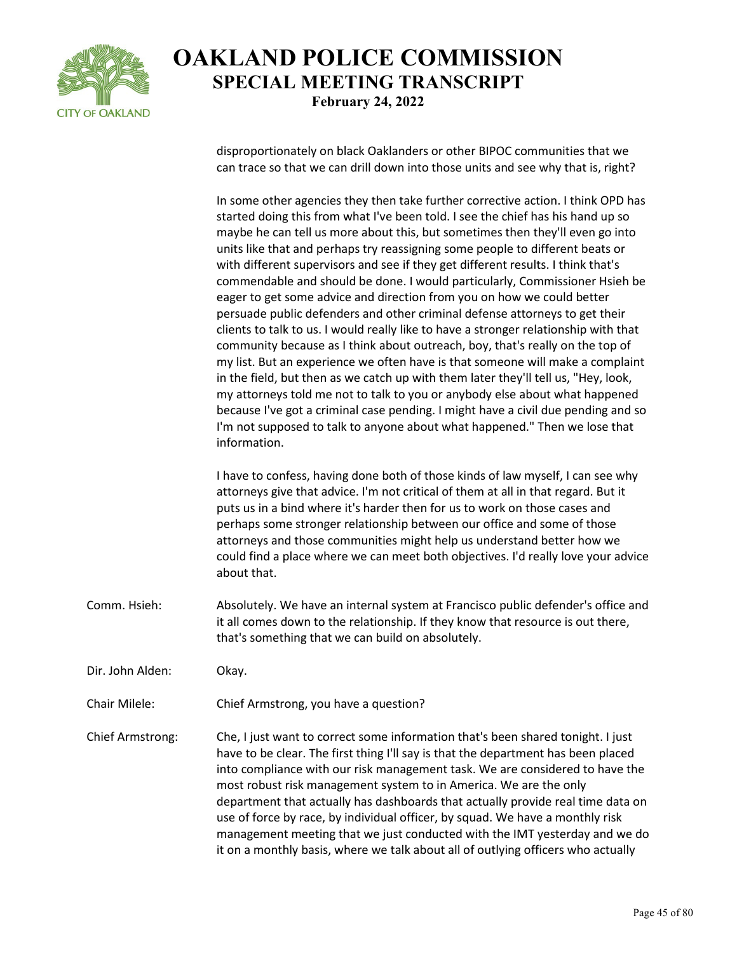

disproportionately on black Oaklanders or other BIPOC communities that we can trace so that we can drill down into those units and see why that is, right?

In some other agencies they then take further corrective action. I think OPD has started doing this from what I've been told. I see the chief has his hand up so maybe he can tell us more about this, but sometimes then they'll even go into units like that and perhaps try reassigning some people to different beats or with different supervisors and see if they get different results. I think that's commendable and should be done. I would particularly, Commissioner Hsieh be eager to get some advice and direction from you on how we could better persuade public defenders and other criminal defense attorneys to get their clients to talk to us. I would really like to have a stronger relationship with that community because as I think about outreach, boy, that's really on the top of my list. But an experience we often have is that someone will make a complaint in the field, but then as we catch up with them later they'll tell us, "Hey, look, my attorneys told me not to talk to you or anybody else about what happened because I've got a criminal case pending. I might have a civil due pending and so I'm not supposed to talk to anyone about what happened." Then we lose that information.

I have to confess, having done both of those kinds of law myself, I can see why attorneys give that advice. I'm not critical of them at all in that regard. But it puts us in a bind where it's harder then for us to work on those cases and perhaps some stronger relationship between our office and some of those attorneys and those communities might help us understand better how we could find a place where we can meet both objectives. I'd really love your advice about that.

- Comm. Hsieh: Absolutely. We have an internal system at Francisco public defender's office and it all comes down to the relationship. If they know that resource is out there, that's something that we can build on absolutely.
- Dir. John Alden: Okay.
- Chair Milele: Chief Armstrong, you have a question?

Chief Armstrong: Che, I just want to correct some information that's been shared tonight. I just have to be clear. The first thing I'll say is that the department has been placed into compliance with our risk management task. We are considered to have the most robust risk management system to in America. We are the only department that actually has dashboards that actually provide real time data on use of force by race, by individual officer, by squad. We have a monthly risk management meeting that we just conducted with the IMT yesterday and we do it on a monthly basis, where we talk about all of outlying officers who actually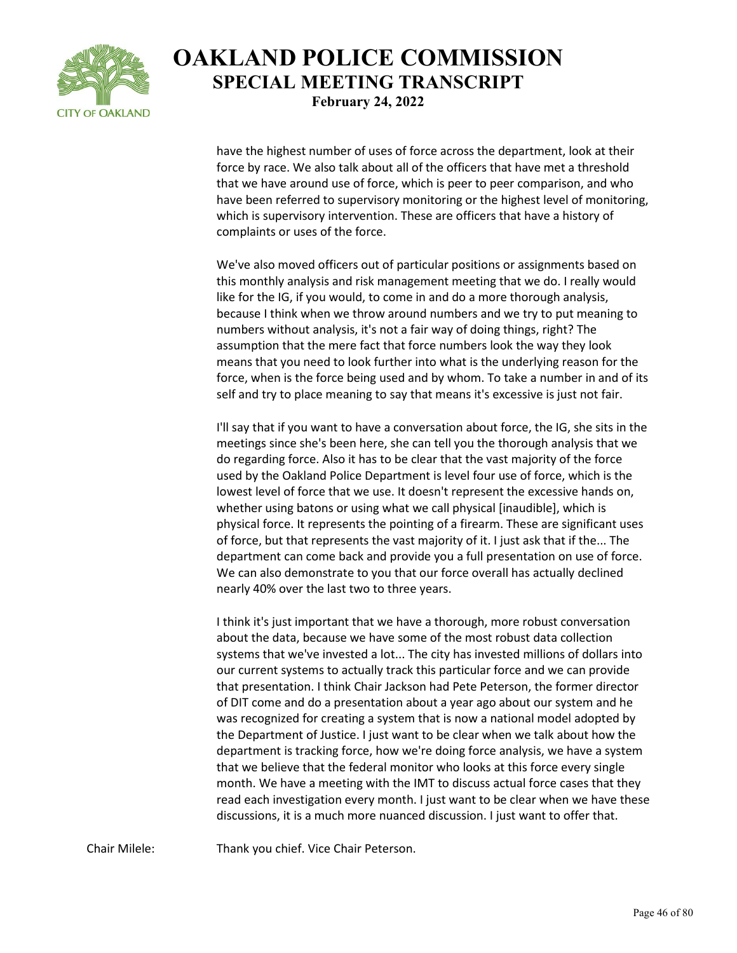

have the highest number of uses of force across the department, look at their force by race. We also talk about all of the officers that have met a threshold that we have around use of force, which is peer to peer comparison, and who have been referred to supervisory monitoring or the highest level of monitoring, which is supervisory intervention. These are officers that have a history of complaints or uses of the force.

We've also moved officers out of particular positions or assignments based on this monthly analysis and risk management meeting that we do. I really would like for the IG, if you would, to come in and do a more thorough analysis, because I think when we throw around numbers and we try to put meaning to numbers without analysis, it's not a fair way of doing things, right? The assumption that the mere fact that force numbers look the way they look means that you need to look further into what is the underlying reason for the force, when is the force being used and by whom. To take a number in and of its self and try to place meaning to say that means it's excessive is just not fair.

I'll say that if you want to have a conversation about force, the IG, she sits in the meetings since she's been here, she can tell you the thorough analysis that we do regarding force. Also it has to be clear that the vast majority of the force used by the Oakland Police Department is level four use of force, which is the lowest level of force that we use. It doesn't represent the excessive hands on, whether using batons or using what we call physical [inaudible], which is physical force. It represents the pointing of a firearm. These are significant uses of force, but that represents the vast majority of it. I just ask that if the... The department can come back and provide you a full presentation on use of force. We can also demonstrate to you that our force overall has actually declined nearly 40% over the last two to three years.

I think it's just important that we have a thorough, more robust conversation about the data, because we have some of the most robust data collection systems that we've invested a lot... The city has invested millions of dollars into our current systems to actually track this particular force and we can provide that presentation. I think Chair Jackson had Pete Peterson, the former director of DIT come and do a presentation about a year ago about our system and he was recognized for creating a system that is now a national model adopted by the Department of Justice. I just want to be clear when we talk about how the department is tracking force, how we're doing force analysis, we have a system that we believe that the federal monitor who looks at this force every single month. We have a meeting with the IMT to discuss actual force cases that they read each investigation every month. I just want to be clear when we have these discussions, it is a much more nuanced discussion. I just want to offer that.

Chair Milele: Thank you chief. Vice Chair Peterson.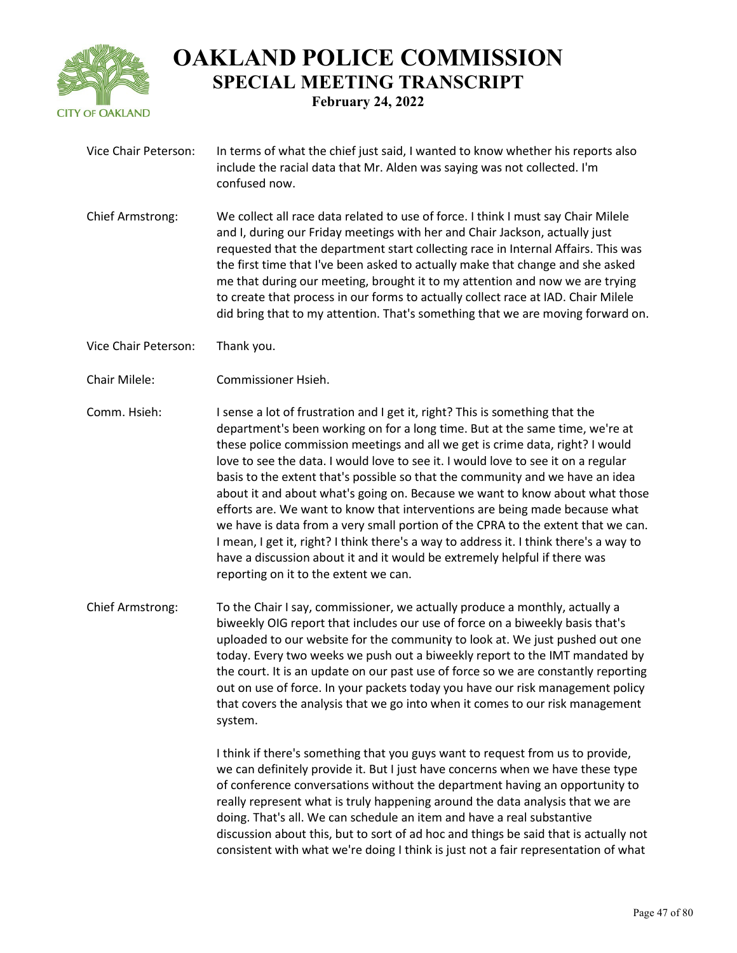

- Vice Chair Peterson: In terms of what the chief just said, I wanted to know whether his reports also include the racial data that Mr. Alden was saying was not collected. I'm confused now.
- Chief Armstrong: We collect all race data related to use of force. I think I must say Chair Milele and I, during our Friday meetings with her and Chair Jackson, actually just requested that the department start collecting race in Internal Affairs. This was the first time that I've been asked to actually make that change and she asked me that during our meeting, brought it to my attention and now we are trying to create that process in our forms to actually collect race at IAD. Chair Milele did bring that to my attention. That's something that we are moving forward on.
- Vice Chair Peterson: Thank you.
- Chair Milele: Commissioner Hsieh.
- Comm. Hsieh: I sense a lot of frustration and I get it, right? This is something that the department's been working on for a long time. But at the same time, we're at these police commission meetings and all we get is crime data, right? I would love to see the data. I would love to see it. I would love to see it on a regular basis to the extent that's possible so that the community and we have an idea about it and about what's going on. Because we want to know about what those efforts are. We want to know that interventions are being made because what we have is data from a very small portion of the CPRA to the extent that we can. I mean, I get it, right? I think there's a way to address it. I think there's a way to have a discussion about it and it would be extremely helpful if there was reporting on it to the extent we can.
- Chief Armstrong: To the Chair I say, commissioner, we actually produce a monthly, actually a biweekly OIG report that includes our use of force on a biweekly basis that's uploaded to our website for the community to look at. We just pushed out one today. Every two weeks we push out a biweekly report to the IMT mandated by the court. It is an update on our past use of force so we are constantly reporting out on use of force. In your packets today you have our risk management policy that covers the analysis that we go into when it comes to our risk management system.

I think if there's something that you guys want to request from us to provide, we can definitely provide it. But I just have concerns when we have these type of conference conversations without the department having an opportunity to really represent what is truly happening around the data analysis that we are doing. That's all. We can schedule an item and have a real substantive discussion about this, but to sort of ad hoc and things be said that is actually not consistent with what we're doing I think is just not a fair representation of what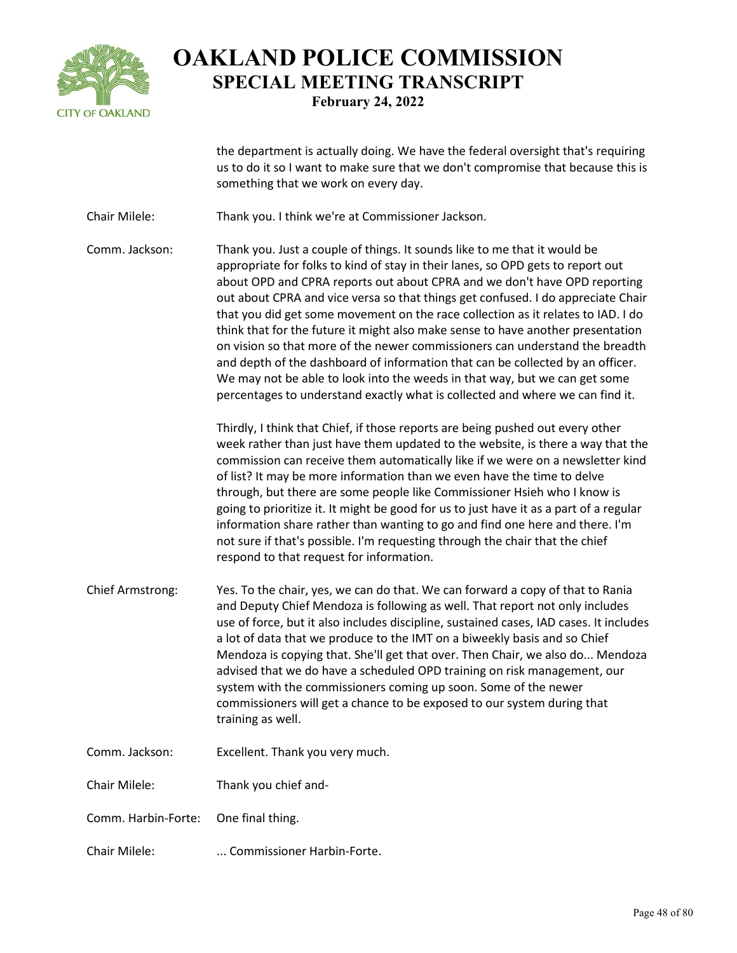

the department is actually doing. We have the federal oversight that's requiring us to do it so I want to make sure that we don't compromise that because this is something that we work on every day.

Chair Milele: Thank you. I think we're at Commissioner Jackson.

Comm. Jackson: Thank you. Just a couple of things. It sounds like to me that it would be appropriate for folks to kind of stay in their lanes, so OPD gets to report out about OPD and CPRA reports out about CPRA and we don't have OPD reporting out about CPRA and vice versa so that things get confused. I do appreciate Chair that you did get some movement on the race collection as it relates to IAD. I do think that for the future it might also make sense to have another presentation on vision so that more of the newer commissioners can understand the breadth and depth of the dashboard of information that can be collected by an officer. We may not be able to look into the weeds in that way, but we can get some percentages to understand exactly what is collected and where we can find it.

> Thirdly, I think that Chief, if those reports are being pushed out every other week rather than just have them updated to the website, is there a way that the commission can receive them automatically like if we were on a newsletter kind of list? It may be more information than we even have the time to delve through, but there are some people like Commissioner Hsieh who I know is going to prioritize it. It might be good for us to just have it as a part of a regular information share rather than wanting to go and find one here and there. I'm not sure if that's possible. I'm requesting through the chair that the chief respond to that request for information.

- Chief Armstrong: Yes. To the chair, yes, we can do that. We can forward a copy of that to Rania and Deputy Chief Mendoza is following as well. That report not only includes use of force, but it also includes discipline, sustained cases, IAD cases. It includes a lot of data that we produce to the IMT on a biweekly basis and so Chief Mendoza is copying that. She'll get that over. Then Chair, we also do... Mendoza advised that we do have a scheduled OPD training on risk management, our system with the commissioners coming up soon. Some of the newer commissioners will get a chance to be exposed to our system during that training as well.
- Comm. Jackson: Excellent. Thank you very much.

Chair Milele: Thank you chief and-

Comm. Harbin-Forte: One final thing.

Chair Milele: ... Commissioner Harbin-Forte.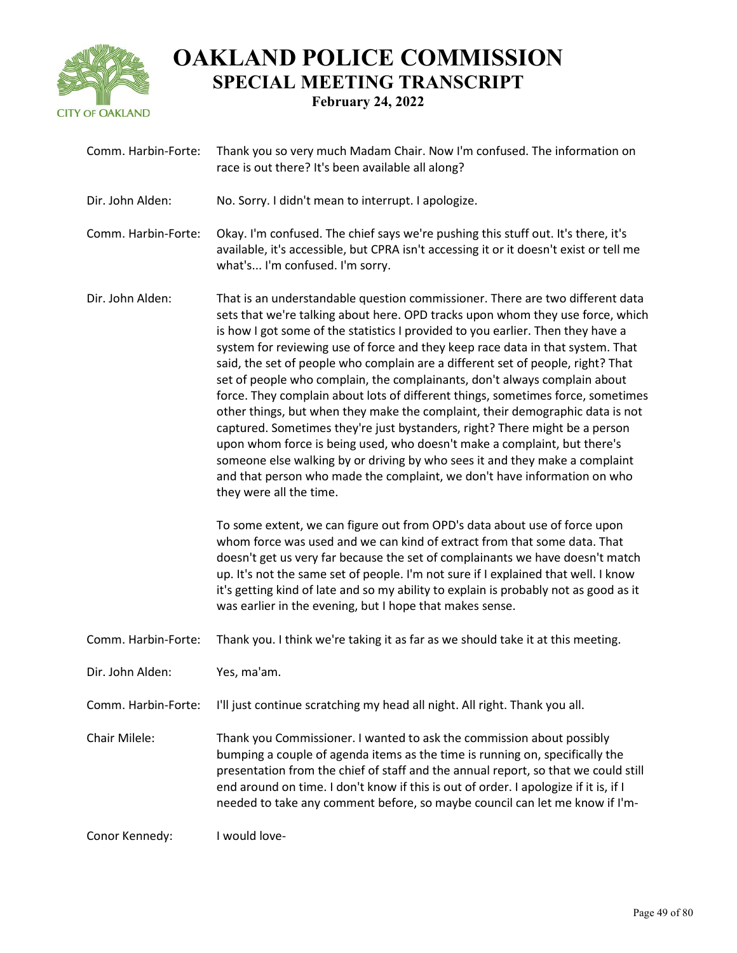

| Comm. Harbin-Forte: | Thank you so very much Madam Chair. Now I'm confused. The information on<br>race is out there? It's been available all along?                                                                                                                                                                                                                                                                                                                                                                                                                                                                                                                                                                                                                                                                                                                                                                                                                                                                                                                                                                                                                                                      |
|---------------------|------------------------------------------------------------------------------------------------------------------------------------------------------------------------------------------------------------------------------------------------------------------------------------------------------------------------------------------------------------------------------------------------------------------------------------------------------------------------------------------------------------------------------------------------------------------------------------------------------------------------------------------------------------------------------------------------------------------------------------------------------------------------------------------------------------------------------------------------------------------------------------------------------------------------------------------------------------------------------------------------------------------------------------------------------------------------------------------------------------------------------------------------------------------------------------|
| Dir. John Alden:    | No. Sorry. I didn't mean to interrupt. I apologize.                                                                                                                                                                                                                                                                                                                                                                                                                                                                                                                                                                                                                                                                                                                                                                                                                                                                                                                                                                                                                                                                                                                                |
| Comm. Harbin-Forte: | Okay. I'm confused. The chief says we're pushing this stuff out. It's there, it's<br>available, it's accessible, but CPRA isn't accessing it or it doesn't exist or tell me<br>what's I'm confused. I'm sorry.                                                                                                                                                                                                                                                                                                                                                                                                                                                                                                                                                                                                                                                                                                                                                                                                                                                                                                                                                                     |
| Dir. John Alden:    | That is an understandable question commissioner. There are two different data<br>sets that we're talking about here. OPD tracks upon whom they use force, which<br>is how I got some of the statistics I provided to you earlier. Then they have a<br>system for reviewing use of force and they keep race data in that system. That<br>said, the set of people who complain are a different set of people, right? That<br>set of people who complain, the complainants, don't always complain about<br>force. They complain about lots of different things, sometimes force, sometimes<br>other things, but when they make the complaint, their demographic data is not<br>captured. Sometimes they're just bystanders, right? There might be a person<br>upon whom force is being used, who doesn't make a complaint, but there's<br>someone else walking by or driving by who sees it and they make a complaint<br>and that person who made the complaint, we don't have information on who<br>they were all the time.<br>To some extent, we can figure out from OPD's data about use of force upon<br>whom force was used and we can kind of extract from that some data. That |
|                     | doesn't get us very far because the set of complainants we have doesn't match<br>up. It's not the same set of people. I'm not sure if I explained that well. I know<br>it's getting kind of late and so my ability to explain is probably not as good as it<br>was earlier in the evening, but I hope that makes sense.                                                                                                                                                                                                                                                                                                                                                                                                                                                                                                                                                                                                                                                                                                                                                                                                                                                            |
| Comm. Harbin-Forte: | Thank you. I think we're taking it as far as we should take it at this meeting.                                                                                                                                                                                                                                                                                                                                                                                                                                                                                                                                                                                                                                                                                                                                                                                                                                                                                                                                                                                                                                                                                                    |
| Dir. John Alden:    | Yes, ma'am.                                                                                                                                                                                                                                                                                                                                                                                                                                                                                                                                                                                                                                                                                                                                                                                                                                                                                                                                                                                                                                                                                                                                                                        |
| Comm. Harbin-Forte: | I'll just continue scratching my head all night. All right. Thank you all.                                                                                                                                                                                                                                                                                                                                                                                                                                                                                                                                                                                                                                                                                                                                                                                                                                                                                                                                                                                                                                                                                                         |
| Chair Milele:       | Thank you Commissioner. I wanted to ask the commission about possibly<br>bumping a couple of agenda items as the time is running on, specifically the<br>presentation from the chief of staff and the annual report, so that we could still<br>end around on time. I don't know if this is out of order. I apologize if it is, if I<br>needed to take any comment before, so maybe council can let me know if I'm-                                                                                                                                                                                                                                                                                                                                                                                                                                                                                                                                                                                                                                                                                                                                                                 |
| Conor Kennedy:      | I would love-                                                                                                                                                                                                                                                                                                                                                                                                                                                                                                                                                                                                                                                                                                                                                                                                                                                                                                                                                                                                                                                                                                                                                                      |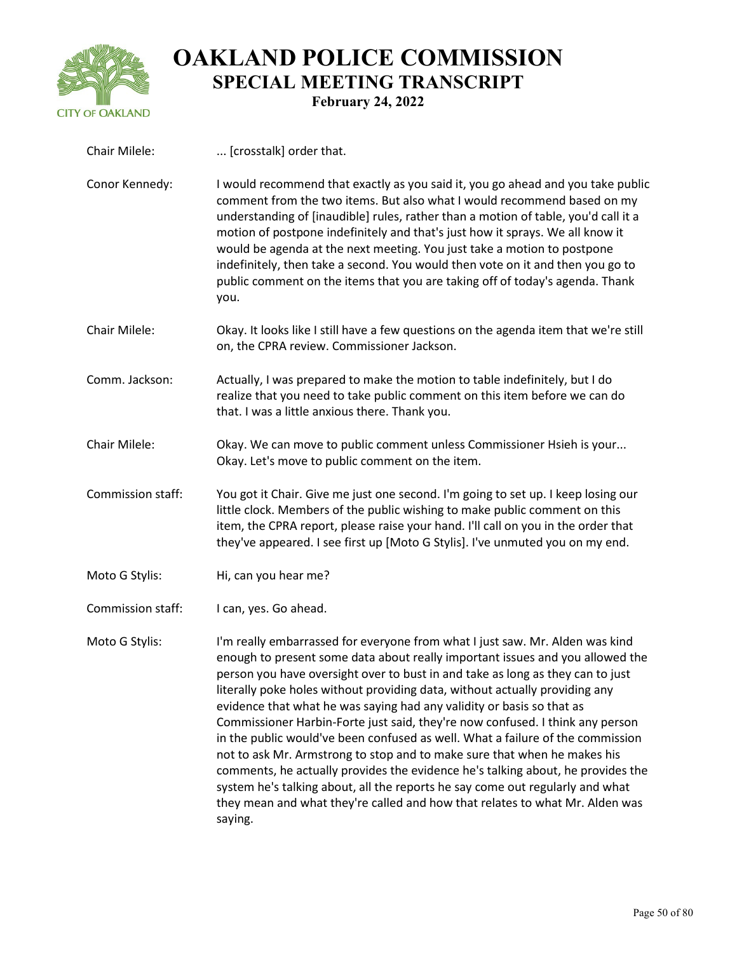

| Chair Milele:     | [crosstalk] order that.                                                                                                                                                                                                                                                                                                                                                                                                                                                                                                                                                                                                                                                                                                                                                                                                                                                                                               |
|-------------------|-----------------------------------------------------------------------------------------------------------------------------------------------------------------------------------------------------------------------------------------------------------------------------------------------------------------------------------------------------------------------------------------------------------------------------------------------------------------------------------------------------------------------------------------------------------------------------------------------------------------------------------------------------------------------------------------------------------------------------------------------------------------------------------------------------------------------------------------------------------------------------------------------------------------------|
| Conor Kennedy:    | I would recommend that exactly as you said it, you go ahead and you take public<br>comment from the two items. But also what I would recommend based on my<br>understanding of [inaudible] rules, rather than a motion of table, you'd call it a<br>motion of postpone indefinitely and that's just how it sprays. We all know it<br>would be agenda at the next meeting. You just take a motion to postpone<br>indefinitely, then take a second. You would then vote on it and then you go to<br>public comment on the items that you are taking off of today's agenda. Thank<br>you.                                                                                                                                                                                                                                                                                                                                |
| Chair Milele:     | Okay. It looks like I still have a few questions on the agenda item that we're still<br>on, the CPRA review. Commissioner Jackson.                                                                                                                                                                                                                                                                                                                                                                                                                                                                                                                                                                                                                                                                                                                                                                                    |
| Comm. Jackson:    | Actually, I was prepared to make the motion to table indefinitely, but I do<br>realize that you need to take public comment on this item before we can do<br>that. I was a little anxious there. Thank you.                                                                                                                                                                                                                                                                                                                                                                                                                                                                                                                                                                                                                                                                                                           |
| Chair Milele:     | Okay. We can move to public comment unless Commissioner Hsieh is your<br>Okay. Let's move to public comment on the item.                                                                                                                                                                                                                                                                                                                                                                                                                                                                                                                                                                                                                                                                                                                                                                                              |
| Commission staff: | You got it Chair. Give me just one second. I'm going to set up. I keep losing our<br>little clock. Members of the public wishing to make public comment on this<br>item, the CPRA report, please raise your hand. I'll call on you in the order that<br>they've appeared. I see first up [Moto G Stylis]. I've unmuted you on my end.                                                                                                                                                                                                                                                                                                                                                                                                                                                                                                                                                                                 |
| Moto G Stylis:    | Hi, can you hear me?                                                                                                                                                                                                                                                                                                                                                                                                                                                                                                                                                                                                                                                                                                                                                                                                                                                                                                  |
| Commission staff: | I can, yes. Go ahead.                                                                                                                                                                                                                                                                                                                                                                                                                                                                                                                                                                                                                                                                                                                                                                                                                                                                                                 |
| Moto G Stylis:    | I'm really embarrassed for everyone from what I just saw. Mr. Alden was kind<br>enough to present some data about really important issues and you allowed the<br>person you have oversight over to bust in and take as long as they can to just<br>literally poke holes without providing data, without actually providing any<br>evidence that what he was saying had any validity or basis so that as<br>Commissioner Harbin-Forte just said, they're now confused. I think any person<br>in the public would've been confused as well. What a failure of the commission<br>not to ask Mr. Armstrong to stop and to make sure that when he makes his<br>comments, he actually provides the evidence he's talking about, he provides the<br>system he's talking about, all the reports he say come out regularly and what<br>they mean and what they're called and how that relates to what Mr. Alden was<br>saying. |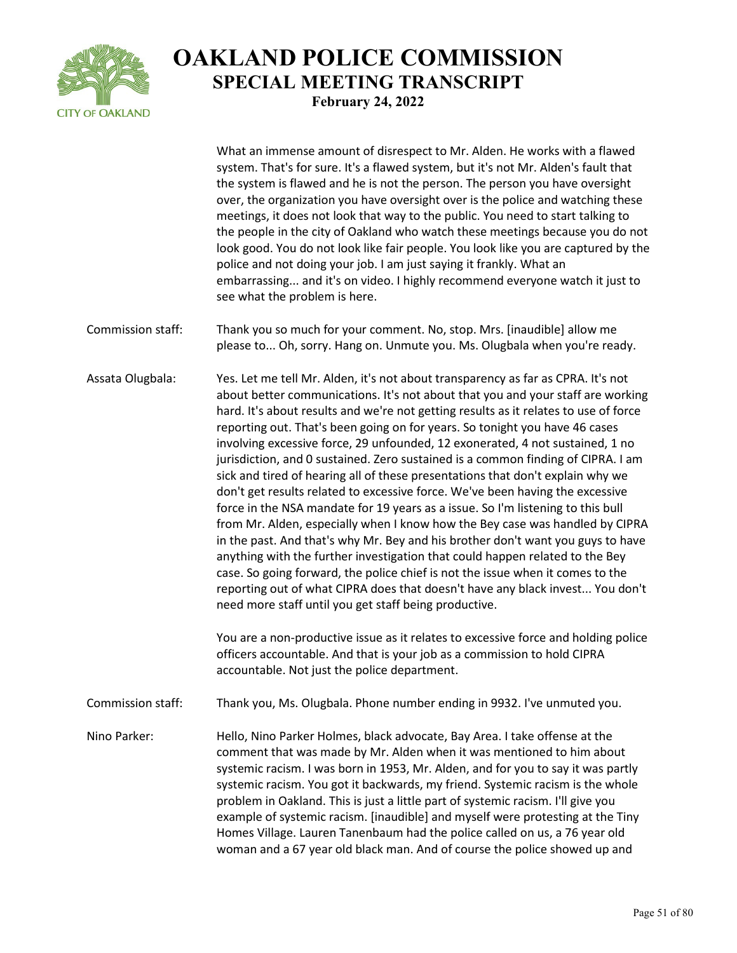

What an immense amount of disrespect to Mr. Alden. He works with a flawed system. That's for sure. It's a flawed system, but it's not Mr. Alden's fault that the system is flawed and he is not the person. The person you have oversight over, the organization you have oversight over is the police and watching these meetings, it does not look that way to the public. You need to start talking to the people in the city of Oakland who watch these meetings because you do not look good. You do not look like fair people. You look like you are captured by the police and not doing your job. I am just saying it frankly. What an embarrassing... and it's on video. I highly recommend everyone watch it just to see what the problem is here. Commission staff: Thank you so much for your comment. No, stop. Mrs. [inaudible] allow me please to... Oh, sorry. Hang on. Unmute you. Ms. Olugbala when you're ready. Assata Olugbala: Yes. Let me tell Mr. Alden, it's not about transparency as far as CPRA. It's not about better communications. It's not about that you and your staff are working hard. It's about results and we're not getting results as it relates to use of force reporting out. That's been going on for years. So tonight you have 46 cases involving excessive force, 29 unfounded, 12 exonerated, 4 not sustained, 1 no jurisdiction, and 0 sustained. Zero sustained is a common finding of CIPRA. I am sick and tired of hearing all of these presentations that don't explain why we don't get results related to excessive force. We've been having the excessive force in the NSA mandate for 19 years as a issue. So I'm listening to this bull from Mr. Alden, especially when I know how the Bey case was handled by CIPRA in the past. And that's why Mr. Bey and his brother don't want you guys to have anything with the further investigation that could happen related to the Bey case. So going forward, the police chief is not the issue when it comes to the reporting out of what CIPRA does that doesn't have any black invest... You don't need more staff until you get staff being productive. You are a non-productive issue as it relates to excessive force and holding police officers accountable. And that is your job as a commission to hold CIPRA accountable. Not just the police department. Commission staff: Thank you, Ms. Olugbala. Phone number ending in 9932. I've unmuted you. Nino Parker: Hello, Nino Parker Holmes, black advocate, Bay Area. I take offense at the comment that was made by Mr. Alden when it was mentioned to him about systemic racism. I was born in 1953, Mr. Alden, and for you to say it was partly systemic racism. You got it backwards, my friend. Systemic racism is the whole problem in Oakland. This is just a little part of systemic racism. I'll give you example of systemic racism. [inaudible] and myself were protesting at the Tiny Homes Village. Lauren Tanenbaum had the police called on us, a 76 year old woman and a 67 year old black man. And of course the police showed up and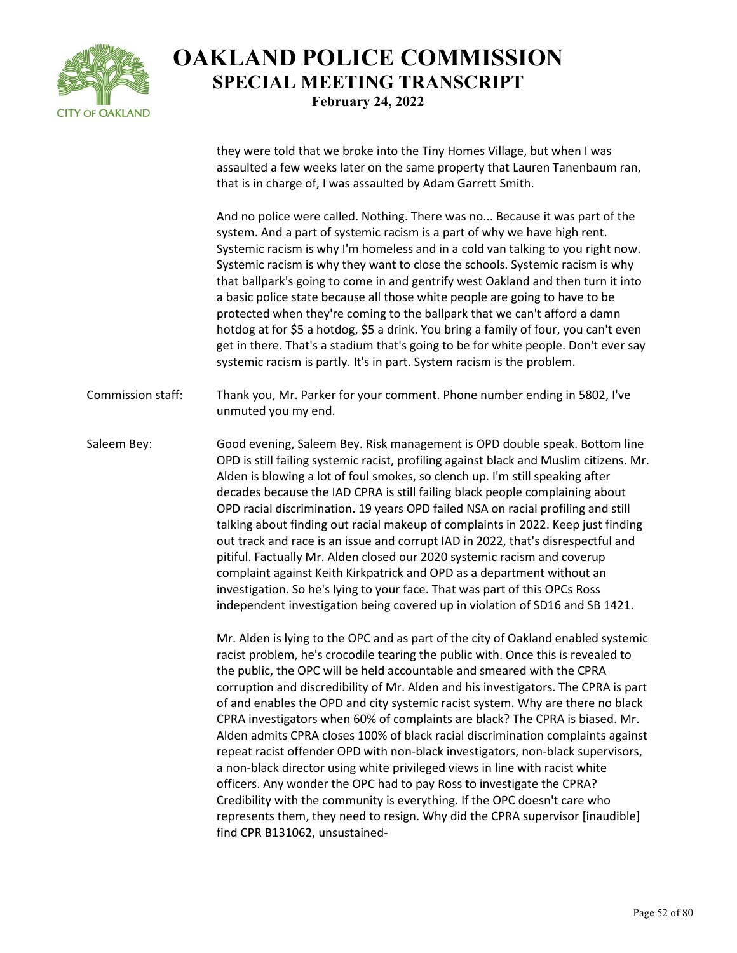

they were told that we broke into the Tiny Homes Village, but when I was assaulted a few weeks later on the same property that Lauren Tanenbaum ran, that is in charge of, I was assaulted by Adam Garrett Smith.

And no police were called. Nothing. There was no... Because it was part of the system. And a part of systemic racism is a part of why we have high rent. Systemic racism is why I'm homeless and in a cold van talking to you right now. Systemic racism is why they want to close the schools. Systemic racism is why that ballpark's going to come in and gentrify west Oakland and then turn it into a basic police state because all those white people are going to have to be protected when they're coming to the ballpark that we can't afford a damn hotdog at for \$5 a hotdog, \$5 a drink. You bring a family of four, you can't even get in there. That's a stadium that's going to be for white people. Don't ever say systemic racism is partly. It's in part. System racism is the problem.

Commission staff: Thank you, Mr. Parker for your comment. Phone number ending in 5802, I've unmuted you my end.

Saleem Bey: Good evening, Saleem Bey. Risk management is OPD double speak. Bottom line OPD is still failing systemic racist, profiling against black and Muslim citizens. Mr. Alden is blowing a lot of foul smokes, so clench up. I'm still speaking after decades because the IAD CPRA is still failing black people complaining about OPD racial discrimination. 19 years OPD failed NSA on racial profiling and still talking about finding out racial makeup of complaints in 2022. Keep just finding out track and race is an issue and corrupt IAD in 2022, that's disrespectful and pitiful. Factually Mr. Alden closed our 2020 systemic racism and coverup complaint against Keith Kirkpatrick and OPD as a department without an investigation. So he's lying to your face. That was part of this OPCs Ross independent investigation being covered up in violation of SD16 and SB 1421.

> Mr. Alden is lying to the OPC and as part of the city of Oakland enabled systemic racist problem, he's crocodile tearing the public with. Once this is revealed to the public, the OPC will be held accountable and smeared with the CPRA corruption and discredibility of Mr. Alden and his investigators. The CPRA is part of and enables the OPD and city systemic racist system. Why are there no black CPRA investigators when 60% of complaints are black? The CPRA is biased. Mr. Alden admits CPRA closes 100% of black racial discrimination complaints against repeat racist offender OPD with non-black investigators, non-black supervisors, a non-black director using white privileged views in line with racist white officers. Any wonder the OPC had to pay Ross to investigate the CPRA? Credibility with the community is everything. If the OPC doesn't care who represents them, they need to resign. Why did the CPRA supervisor [inaudible] find CPR B131062, unsustained-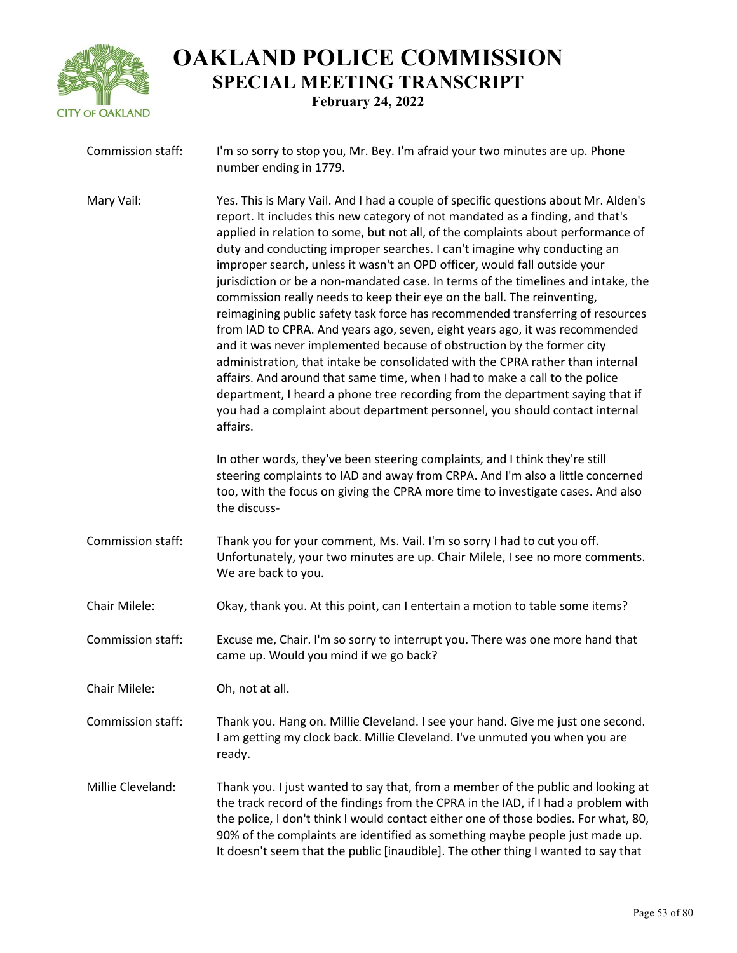

| Commission staff: | I'm so sorry to stop you, Mr. Bey. I'm afraid your two minutes are up. Phone<br>number ending in 1779.                                                                                                                                                                                                                                                                                                                                                                                                                                                                                                                                                                                                                                                                                                                                                                                                                                                                                                                                                                                                                                                                    |
|-------------------|---------------------------------------------------------------------------------------------------------------------------------------------------------------------------------------------------------------------------------------------------------------------------------------------------------------------------------------------------------------------------------------------------------------------------------------------------------------------------------------------------------------------------------------------------------------------------------------------------------------------------------------------------------------------------------------------------------------------------------------------------------------------------------------------------------------------------------------------------------------------------------------------------------------------------------------------------------------------------------------------------------------------------------------------------------------------------------------------------------------------------------------------------------------------------|
| Mary Vail:        | Yes. This is Mary Vail. And I had a couple of specific questions about Mr. Alden's<br>report. It includes this new category of not mandated as a finding, and that's<br>applied in relation to some, but not all, of the complaints about performance of<br>duty and conducting improper searches. I can't imagine why conducting an<br>improper search, unless it wasn't an OPD officer, would fall outside your<br>jurisdiction or be a non-mandated case. In terms of the timelines and intake, the<br>commission really needs to keep their eye on the ball. The reinventing,<br>reimagining public safety task force has recommended transferring of resources<br>from IAD to CPRA. And years ago, seven, eight years ago, it was recommended<br>and it was never implemented because of obstruction by the former city<br>administration, that intake be consolidated with the CPRA rather than internal<br>affairs. And around that same time, when I had to make a call to the police<br>department, I heard a phone tree recording from the department saying that if<br>you had a complaint about department personnel, you should contact internal<br>affairs. |
|                   | In other words, they've been steering complaints, and I think they're still<br>steering complaints to IAD and away from CRPA. And I'm also a little concerned<br>too, with the focus on giving the CPRA more time to investigate cases. And also<br>the discuss-                                                                                                                                                                                                                                                                                                                                                                                                                                                                                                                                                                                                                                                                                                                                                                                                                                                                                                          |
| Commission staff: | Thank you for your comment, Ms. Vail. I'm so sorry I had to cut you off.<br>Unfortunately, your two minutes are up. Chair Milele, I see no more comments.<br>We are back to you.                                                                                                                                                                                                                                                                                                                                                                                                                                                                                                                                                                                                                                                                                                                                                                                                                                                                                                                                                                                          |
| Chair Milele:     | Okay, thank you. At this point, can I entertain a motion to table some items?                                                                                                                                                                                                                                                                                                                                                                                                                                                                                                                                                                                                                                                                                                                                                                                                                                                                                                                                                                                                                                                                                             |
| Commission staff: | Excuse me, Chair. I'm so sorry to interrupt you. There was one more hand that<br>came up. Would you mind if we go back?                                                                                                                                                                                                                                                                                                                                                                                                                                                                                                                                                                                                                                                                                                                                                                                                                                                                                                                                                                                                                                                   |
| Chair Milele:     | Oh, not at all.                                                                                                                                                                                                                                                                                                                                                                                                                                                                                                                                                                                                                                                                                                                                                                                                                                                                                                                                                                                                                                                                                                                                                           |
| Commission staff: | Thank you. Hang on. Millie Cleveland. I see your hand. Give me just one second.<br>I am getting my clock back. Millie Cleveland. I've unmuted you when you are<br>ready.                                                                                                                                                                                                                                                                                                                                                                                                                                                                                                                                                                                                                                                                                                                                                                                                                                                                                                                                                                                                  |
| Millie Cleveland: | Thank you. I just wanted to say that, from a member of the public and looking at<br>the track record of the findings from the CPRA in the IAD, if I had a problem with<br>the police, I don't think I would contact either one of those bodies. For what, 80,<br>90% of the complaints are identified as something maybe people just made up.<br>It doesn't seem that the public [inaudible]. The other thing I wanted to say that                                                                                                                                                                                                                                                                                                                                                                                                                                                                                                                                                                                                                                                                                                                                        |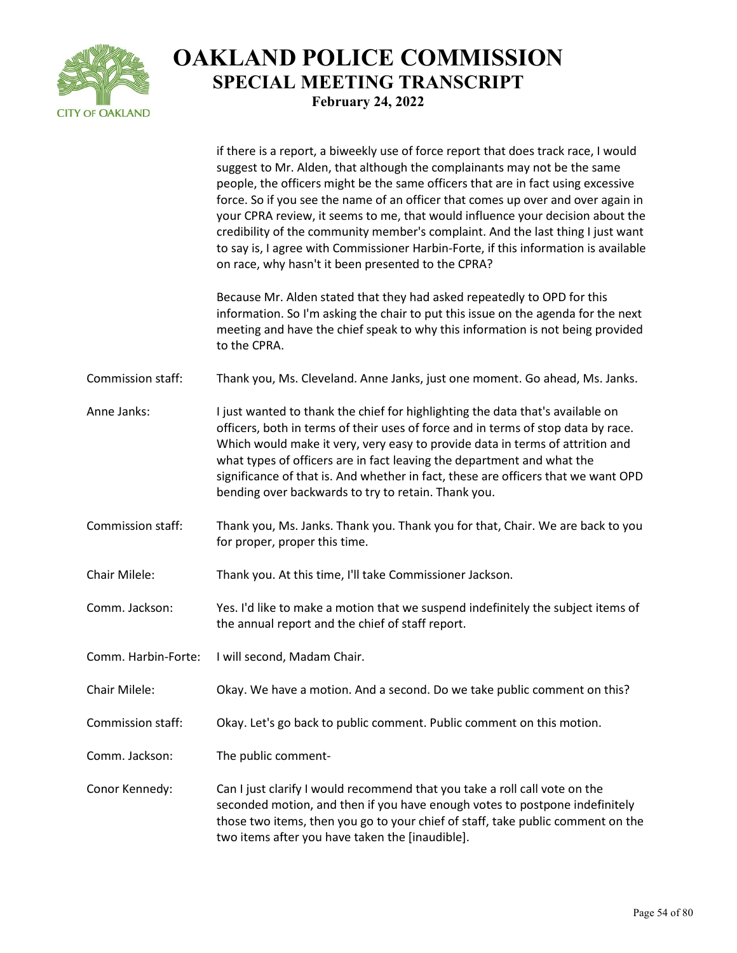

|                     | if there is a report, a biweekly use of force report that does track race, I would<br>suggest to Mr. Alden, that although the complainants may not be the same<br>people, the officers might be the same officers that are in fact using excessive<br>force. So if you see the name of an officer that comes up over and over again in<br>your CPRA review, it seems to me, that would influence your decision about the<br>credibility of the community member's complaint. And the last thing I just want<br>to say is, I agree with Commissioner Harbin-Forte, if this information is available<br>on race, why hasn't it been presented to the CPRA? |
|---------------------|----------------------------------------------------------------------------------------------------------------------------------------------------------------------------------------------------------------------------------------------------------------------------------------------------------------------------------------------------------------------------------------------------------------------------------------------------------------------------------------------------------------------------------------------------------------------------------------------------------------------------------------------------------|
|                     | Because Mr. Alden stated that they had asked repeatedly to OPD for this<br>information. So I'm asking the chair to put this issue on the agenda for the next<br>meeting and have the chief speak to why this information is not being provided<br>to the CPRA.                                                                                                                                                                                                                                                                                                                                                                                           |
| Commission staff:   | Thank you, Ms. Cleveland. Anne Janks, just one moment. Go ahead, Ms. Janks.                                                                                                                                                                                                                                                                                                                                                                                                                                                                                                                                                                              |
| Anne Janks:         | I just wanted to thank the chief for highlighting the data that's available on<br>officers, both in terms of their uses of force and in terms of stop data by race.<br>Which would make it very, very easy to provide data in terms of attrition and<br>what types of officers are in fact leaving the department and what the<br>significance of that is. And whether in fact, these are officers that we want OPD<br>bending over backwards to try to retain. Thank you.                                                                                                                                                                               |
| Commission staff:   | Thank you, Ms. Janks. Thank you. Thank you for that, Chair. We are back to you<br>for proper, proper this time.                                                                                                                                                                                                                                                                                                                                                                                                                                                                                                                                          |
| Chair Milele:       | Thank you. At this time, I'll take Commissioner Jackson.                                                                                                                                                                                                                                                                                                                                                                                                                                                                                                                                                                                                 |
| Comm. Jackson:      | Yes. I'd like to make a motion that we suspend indefinitely the subject items of<br>the annual report and the chief of staff report.                                                                                                                                                                                                                                                                                                                                                                                                                                                                                                                     |
| Comm. Harbin-Forte: | I will second, Madam Chair.                                                                                                                                                                                                                                                                                                                                                                                                                                                                                                                                                                                                                              |
| Chair Milele:       | Okay. We have a motion. And a second. Do we take public comment on this?                                                                                                                                                                                                                                                                                                                                                                                                                                                                                                                                                                                 |
| Commission staff:   | Okay. Let's go back to public comment. Public comment on this motion.                                                                                                                                                                                                                                                                                                                                                                                                                                                                                                                                                                                    |
| Comm. Jackson:      | The public comment-                                                                                                                                                                                                                                                                                                                                                                                                                                                                                                                                                                                                                                      |
| Conor Kennedy:      | Can I just clarify I would recommend that you take a roll call vote on the<br>seconded motion, and then if you have enough votes to postpone indefinitely<br>those two items, then you go to your chief of staff, take public comment on the<br>two items after you have taken the [inaudible].                                                                                                                                                                                                                                                                                                                                                          |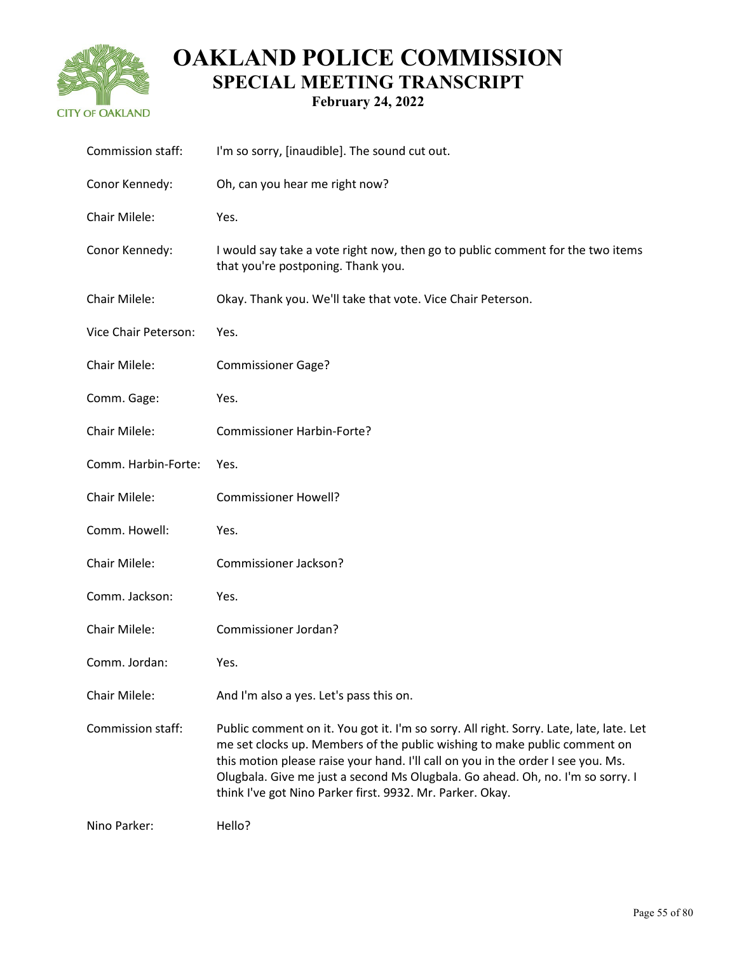

| Commission staff:    | I'm so sorry, [inaudible]. The sound cut out.                                                                                                                                                                                                                                                                                                                                                           |
|----------------------|---------------------------------------------------------------------------------------------------------------------------------------------------------------------------------------------------------------------------------------------------------------------------------------------------------------------------------------------------------------------------------------------------------|
| Conor Kennedy:       | Oh, can you hear me right now?                                                                                                                                                                                                                                                                                                                                                                          |
| Chair Milele:        | Yes.                                                                                                                                                                                                                                                                                                                                                                                                    |
| Conor Kennedy:       | I would say take a vote right now, then go to public comment for the two items<br>that you're postponing. Thank you.                                                                                                                                                                                                                                                                                    |
| Chair Milele:        | Okay. Thank you. We'll take that vote. Vice Chair Peterson.                                                                                                                                                                                                                                                                                                                                             |
| Vice Chair Peterson: | Yes.                                                                                                                                                                                                                                                                                                                                                                                                    |
| Chair Milele:        | <b>Commissioner Gage?</b>                                                                                                                                                                                                                                                                                                                                                                               |
| Comm. Gage:          | Yes.                                                                                                                                                                                                                                                                                                                                                                                                    |
| Chair Milele:        | <b>Commissioner Harbin-Forte?</b>                                                                                                                                                                                                                                                                                                                                                                       |
| Comm. Harbin-Forte:  | Yes.                                                                                                                                                                                                                                                                                                                                                                                                    |
| Chair Milele:        | <b>Commissioner Howell?</b>                                                                                                                                                                                                                                                                                                                                                                             |
| Comm. Howell:        | Yes.                                                                                                                                                                                                                                                                                                                                                                                                    |
| Chair Milele:        | Commissioner Jackson?                                                                                                                                                                                                                                                                                                                                                                                   |
| Comm. Jackson:       | Yes.                                                                                                                                                                                                                                                                                                                                                                                                    |
| Chair Milele:        | Commissioner Jordan?                                                                                                                                                                                                                                                                                                                                                                                    |
| Comm. Jordan:        | Yes.                                                                                                                                                                                                                                                                                                                                                                                                    |
| Chair Milele:        | And I'm also a yes. Let's pass this on.                                                                                                                                                                                                                                                                                                                                                                 |
| Commission staff:    | Public comment on it. You got it. I'm so sorry. All right. Sorry. Late, late, late. Let<br>me set clocks up. Members of the public wishing to make public comment on<br>this motion please raise your hand. I'll call on you in the order I see you. Ms.<br>Olugbala. Give me just a second Ms Olugbala. Go ahead. Oh, no. I'm so sorry. I<br>think I've got Nino Parker first. 9932. Mr. Parker. Okay. |
| Nino Parker:         | Hello?                                                                                                                                                                                                                                                                                                                                                                                                  |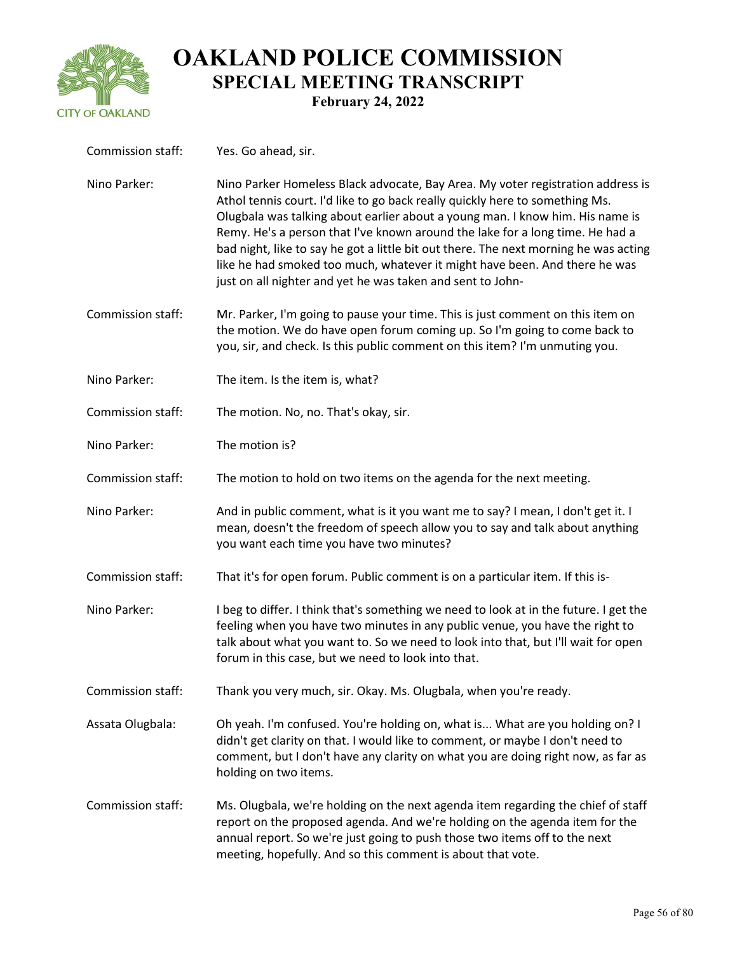

| Commission staff: | Yes. Go ahead, sir.                                                                                                                                                                                                                                                                                                                                                                                                                                                                                                                                                   |
|-------------------|-----------------------------------------------------------------------------------------------------------------------------------------------------------------------------------------------------------------------------------------------------------------------------------------------------------------------------------------------------------------------------------------------------------------------------------------------------------------------------------------------------------------------------------------------------------------------|
| Nino Parker:      | Nino Parker Homeless Black advocate, Bay Area. My voter registration address is<br>Athol tennis court. I'd like to go back really quickly here to something Ms.<br>Olugbala was talking about earlier about a young man. I know him. His name is<br>Remy. He's a person that I've known around the lake for a long time. He had a<br>bad night, like to say he got a little bit out there. The next morning he was acting<br>like he had smoked too much, whatever it might have been. And there he was<br>just on all nighter and yet he was taken and sent to John- |
| Commission staff: | Mr. Parker, I'm going to pause your time. This is just comment on this item on<br>the motion. We do have open forum coming up. So I'm going to come back to<br>you, sir, and check. Is this public comment on this item? I'm unmuting you.                                                                                                                                                                                                                                                                                                                            |
| Nino Parker:      | The item. Is the item is, what?                                                                                                                                                                                                                                                                                                                                                                                                                                                                                                                                       |
| Commission staff: | The motion. No, no. That's okay, sir.                                                                                                                                                                                                                                                                                                                                                                                                                                                                                                                                 |
| Nino Parker:      | The motion is?                                                                                                                                                                                                                                                                                                                                                                                                                                                                                                                                                        |
| Commission staff: | The motion to hold on two items on the agenda for the next meeting.                                                                                                                                                                                                                                                                                                                                                                                                                                                                                                   |
| Nino Parker:      | And in public comment, what is it you want me to say? I mean, I don't get it. I<br>mean, doesn't the freedom of speech allow you to say and talk about anything<br>you want each time you have two minutes?                                                                                                                                                                                                                                                                                                                                                           |
| Commission staff: | That it's for open forum. Public comment is on a particular item. If this is-                                                                                                                                                                                                                                                                                                                                                                                                                                                                                         |
| Nino Parker:      | I beg to differ. I think that's something we need to look at in the future. I get the<br>feeling when you have two minutes in any public venue, you have the right to<br>talk about what you want to. So we need to look into that, but I'll wait for open<br>forum in this case, but we need to look into that.                                                                                                                                                                                                                                                      |
| Commission staff: | Thank you very much, sir. Okay. Ms. Olugbala, when you're ready.                                                                                                                                                                                                                                                                                                                                                                                                                                                                                                      |
| Assata Olugbala:  | Oh yeah. I'm confused. You're holding on, what is What are you holding on? I<br>didn't get clarity on that. I would like to comment, or maybe I don't need to<br>comment, but I don't have any clarity on what you are doing right now, as far as<br>holding on two items.                                                                                                                                                                                                                                                                                            |
| Commission staff: | Ms. Olugbala, we're holding on the next agenda item regarding the chief of staff<br>report on the proposed agenda. And we're holding on the agenda item for the<br>annual report. So we're just going to push those two items off to the next<br>meeting, hopefully. And so this comment is about that vote.                                                                                                                                                                                                                                                          |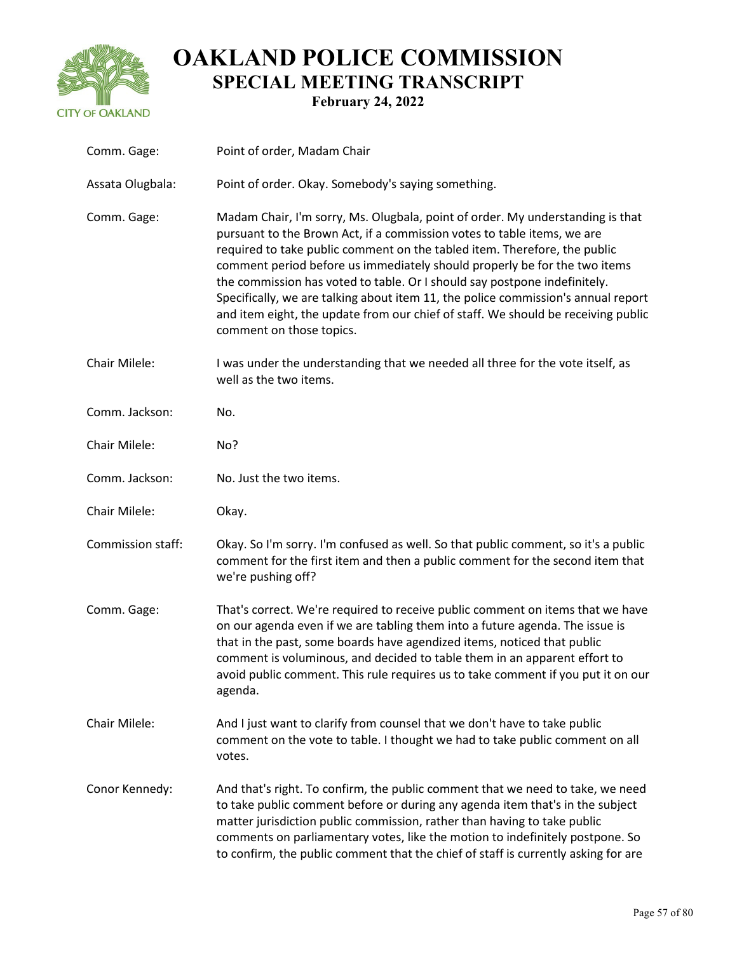

| Comm. Gage:       | Point of order, Madam Chair                                                                                                                                                                                                                                                                                                                                                                                                                                                                                                                                                                            |
|-------------------|--------------------------------------------------------------------------------------------------------------------------------------------------------------------------------------------------------------------------------------------------------------------------------------------------------------------------------------------------------------------------------------------------------------------------------------------------------------------------------------------------------------------------------------------------------------------------------------------------------|
| Assata Olugbala:  | Point of order. Okay. Somebody's saying something.                                                                                                                                                                                                                                                                                                                                                                                                                                                                                                                                                     |
| Comm. Gage:       | Madam Chair, I'm sorry, Ms. Olugbala, point of order. My understanding is that<br>pursuant to the Brown Act, if a commission votes to table items, we are<br>required to take public comment on the tabled item. Therefore, the public<br>comment period before us immediately should properly be for the two items<br>the commission has voted to table. Or I should say postpone indefinitely.<br>Specifically, we are talking about item 11, the police commission's annual report<br>and item eight, the update from our chief of staff. We should be receiving public<br>comment on those topics. |
| Chair Milele:     | I was under the understanding that we needed all three for the vote itself, as<br>well as the two items.                                                                                                                                                                                                                                                                                                                                                                                                                                                                                               |
| Comm. Jackson:    | No.                                                                                                                                                                                                                                                                                                                                                                                                                                                                                                                                                                                                    |
| Chair Milele:     | No?                                                                                                                                                                                                                                                                                                                                                                                                                                                                                                                                                                                                    |
| Comm. Jackson:    | No. Just the two items.                                                                                                                                                                                                                                                                                                                                                                                                                                                                                                                                                                                |
| Chair Milele:     | Okay.                                                                                                                                                                                                                                                                                                                                                                                                                                                                                                                                                                                                  |
| Commission staff: | Okay. So I'm sorry. I'm confused as well. So that public comment, so it's a public<br>comment for the first item and then a public comment for the second item that<br>we're pushing off?                                                                                                                                                                                                                                                                                                                                                                                                              |
| Comm. Gage:       | That's correct. We're required to receive public comment on items that we have<br>on our agenda even if we are tabling them into a future agenda. The issue is<br>that in the past, some boards have agendized items, noticed that public<br>comment is voluminous, and decided to table them in an apparent effort to<br>avoid public comment. This rule requires us to take comment if you put it on our<br>agenda.                                                                                                                                                                                  |
| Chair Milele:     | And I just want to clarify from counsel that we don't have to take public<br>comment on the vote to table. I thought we had to take public comment on all<br>votes.                                                                                                                                                                                                                                                                                                                                                                                                                                    |
| Conor Kennedy:    | And that's right. To confirm, the public comment that we need to take, we need<br>to take public comment before or during any agenda item that's in the subject<br>matter jurisdiction public commission, rather than having to take public<br>comments on parliamentary votes, like the motion to indefinitely postpone. So<br>to confirm, the public comment that the chief of staff is currently asking for are                                                                                                                                                                                     |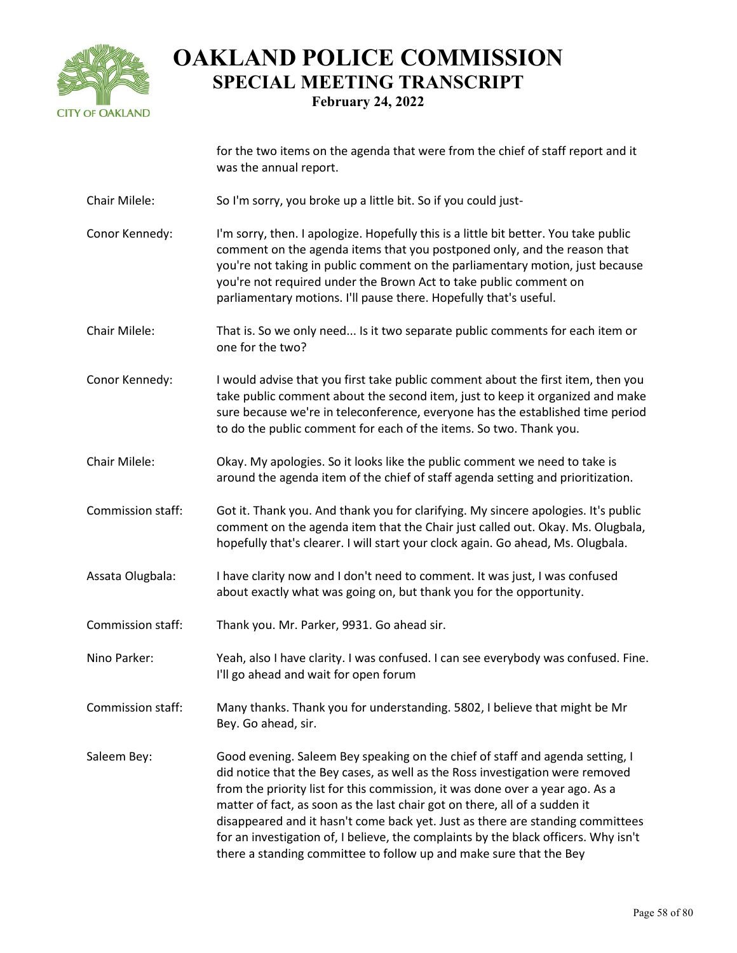

|                   | for the two items on the agenda that were from the chief of staff report and it<br>was the annual report.                                                                                                                                                                                                                                                                                                                                                                                                                                                                    |
|-------------------|------------------------------------------------------------------------------------------------------------------------------------------------------------------------------------------------------------------------------------------------------------------------------------------------------------------------------------------------------------------------------------------------------------------------------------------------------------------------------------------------------------------------------------------------------------------------------|
| Chair Milele:     | So I'm sorry, you broke up a little bit. So if you could just-                                                                                                                                                                                                                                                                                                                                                                                                                                                                                                               |
| Conor Kennedy:    | I'm sorry, then. I apologize. Hopefully this is a little bit better. You take public<br>comment on the agenda items that you postponed only, and the reason that<br>you're not taking in public comment on the parliamentary motion, just because<br>you're not required under the Brown Act to take public comment on<br>parliamentary motions. I'll pause there. Hopefully that's useful.                                                                                                                                                                                  |
| Chair Milele:     | That is. So we only need Is it two separate public comments for each item or<br>one for the two?                                                                                                                                                                                                                                                                                                                                                                                                                                                                             |
| Conor Kennedy:    | I would advise that you first take public comment about the first item, then you<br>take public comment about the second item, just to keep it organized and make<br>sure because we're in teleconference, everyone has the established time period<br>to do the public comment for each of the items. So two. Thank you.                                                                                                                                                                                                                                                    |
| Chair Milele:     | Okay. My apologies. So it looks like the public comment we need to take is<br>around the agenda item of the chief of staff agenda setting and prioritization.                                                                                                                                                                                                                                                                                                                                                                                                                |
| Commission staff: | Got it. Thank you. And thank you for clarifying. My sincere apologies. It's public<br>comment on the agenda item that the Chair just called out. Okay. Ms. Olugbala,<br>hopefully that's clearer. I will start your clock again. Go ahead, Ms. Olugbala.                                                                                                                                                                                                                                                                                                                     |
| Assata Olugbala:  | I have clarity now and I don't need to comment. It was just, I was confused<br>about exactly what was going on, but thank you for the opportunity.                                                                                                                                                                                                                                                                                                                                                                                                                           |
| Commission staff: | Thank you. Mr. Parker, 9931. Go ahead sir.                                                                                                                                                                                                                                                                                                                                                                                                                                                                                                                                   |
| Nino Parker:      | Yeah, also I have clarity. I was confused. I can see everybody was confused. Fine.<br>I'll go ahead and wait for open forum                                                                                                                                                                                                                                                                                                                                                                                                                                                  |
| Commission staff: | Many thanks. Thank you for understanding. 5802, I believe that might be Mr<br>Bey. Go ahead, sir.                                                                                                                                                                                                                                                                                                                                                                                                                                                                            |
| Saleem Bey:       | Good evening. Saleem Bey speaking on the chief of staff and agenda setting, I<br>did notice that the Bey cases, as well as the Ross investigation were removed<br>from the priority list for this commission, it was done over a year ago. As a<br>matter of fact, as soon as the last chair got on there, all of a sudden it<br>disappeared and it hasn't come back yet. Just as there are standing committees<br>for an investigation of, I believe, the complaints by the black officers. Why isn't<br>there a standing committee to follow up and make sure that the Bey |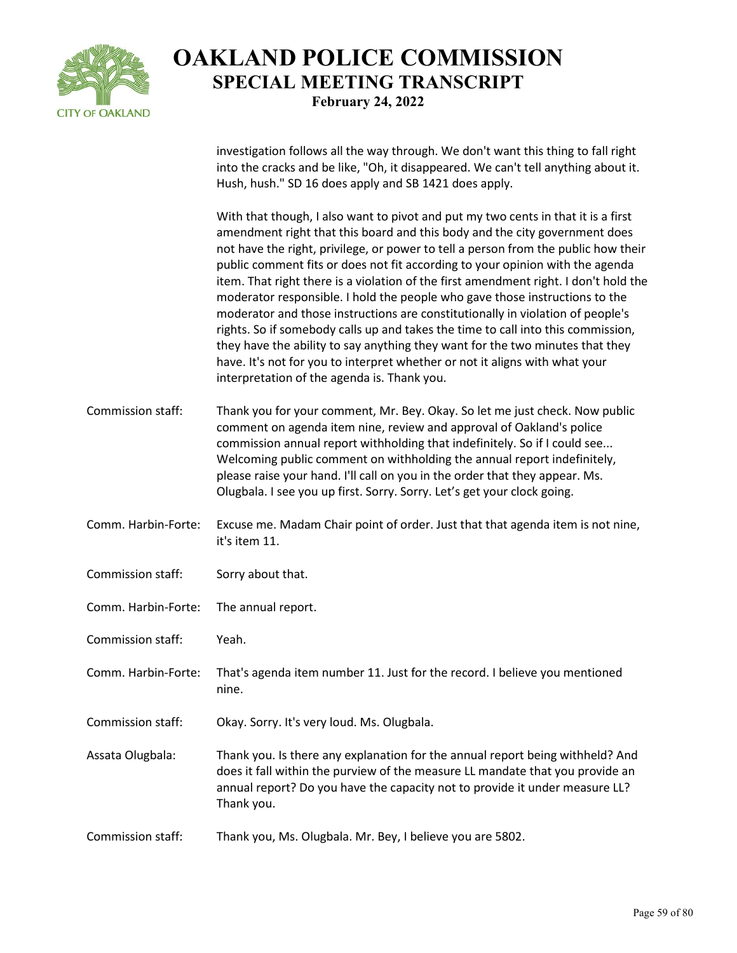

investigation follows all the way through. We don't want this thing to fall right into the cracks and be like, "Oh, it disappeared. We can't tell anything about it. Hush, hush." SD 16 does apply and SB 1421 does apply.

With that though, I also want to pivot and put my two cents in that it is a first amendment right that this board and this body and the city government does not have the right, privilege, or power to tell a person from the public how their public comment fits or does not fit according to your opinion with the agenda item. That right there is a violation of the first amendment right. I don't hold the moderator responsible. I hold the people who gave those instructions to the moderator and those instructions are constitutionally in violation of people's rights. So if somebody calls up and takes the time to call into this commission, they have the ability to say anything they want for the two minutes that they have. It's not for you to interpret whether or not it aligns with what your interpretation of the agenda is. Thank you.

- Commission staff: Thank you for your comment, Mr. Bey. Okay. So let me just check. Now public comment on agenda item nine, review and approval of Oakland's police commission annual report withholding that indefinitely. So if I could see... Welcoming public comment on withholding the annual report indefinitely, please raise your hand. I'll call on you in the order that they appear. Ms. Olugbala. I see you up first. Sorry. Sorry. Let's get your clock going.
- Comm. Harbin-Forte: Excuse me. Madam Chair point of order. Just that that agenda item is not nine, it's item 11.
- Commission staff: Sorry about that.
- Comm. Harbin-Forte: The annual report.
- Commission staff: Yeah.
- Comm. Harbin-Forte: That's agenda item number 11. Just for the record. I believe you mentioned nine.
- Commission staff: Okay. Sorry. It's very loud. Ms. Olugbala.
- Assata Olugbala: Thank you. Is there any explanation for the annual report being withheld? And does it fall within the purview of the measure LL mandate that you provide an annual report? Do you have the capacity not to provide it under measure LL? Thank you.
- Commission staff: Thank you, Ms. Olugbala. Mr. Bey, I believe you are 5802.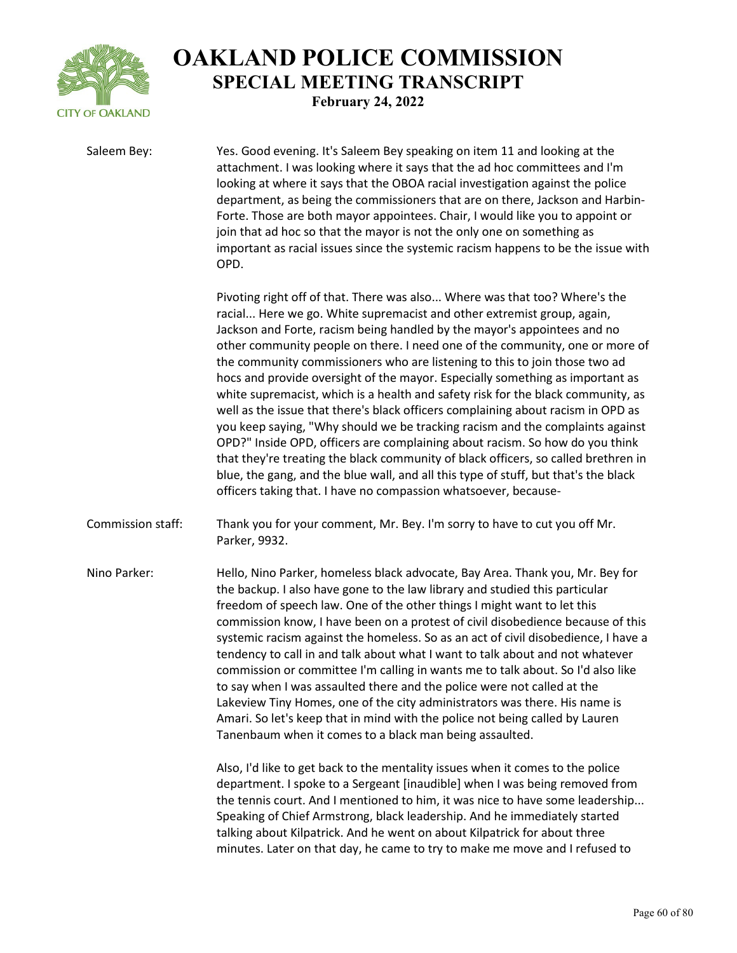

Saleem Bey: Yes. Good evening. It's Saleem Bey speaking on item 11 and looking at the attachment. I was looking where it says that the ad hoc committees and I'm looking at where it says that the OBOA racial investigation against the police department, as being the commissioners that are on there, Jackson and Harbin-Forte. Those are both mayor appointees. Chair, I would like you to appoint or join that ad hoc so that the mayor is not the only one on something as important as racial issues since the systemic racism happens to be the issue with OPD.

> Pivoting right off of that. There was also... Where was that too? Where's the racial... Here we go. White supremacist and other extremist group, again, Jackson and Forte, racism being handled by the mayor's appointees and no other community people on there. I need one of the community, one or more of the community commissioners who are listening to this to join those two ad hocs and provide oversight of the mayor. Especially something as important as white supremacist, which is a health and safety risk for the black community, as well as the issue that there's black officers complaining about racism in OPD as you keep saying, "Why should we be tracking racism and the complaints against OPD?" Inside OPD, officers are complaining about racism. So how do you think that they're treating the black community of black officers, so called brethren in blue, the gang, and the blue wall, and all this type of stuff, but that's the black officers taking that. I have no compassion whatsoever, because-

Commission staff: Thank you for your comment, Mr. Bey. I'm sorry to have to cut you off Mr. Parker, 9932.

Nino Parker: Hello, Nino Parker, homeless black advocate, Bay Area. Thank you, Mr. Bey for the backup. I also have gone to the law library and studied this particular freedom of speech law. One of the other things I might want to let this commission know, I have been on a protest of civil disobedience because of this systemic racism against the homeless. So as an act of civil disobedience, I have a tendency to call in and talk about what I want to talk about and not whatever commission or committee I'm calling in wants me to talk about. So I'd also like to say when I was assaulted there and the police were not called at the Lakeview Tiny Homes, one of the city administrators was there. His name is Amari. So let's keep that in mind with the police not being called by Lauren Tanenbaum when it comes to a black man being assaulted.

> Also, I'd like to get back to the mentality issues when it comes to the police department. I spoke to a Sergeant [inaudible] when I was being removed from the tennis court. And I mentioned to him, it was nice to have some leadership... Speaking of Chief Armstrong, black leadership. And he immediately started talking about Kilpatrick. And he went on about Kilpatrick for about three minutes. Later on that day, he came to try to make me move and I refused to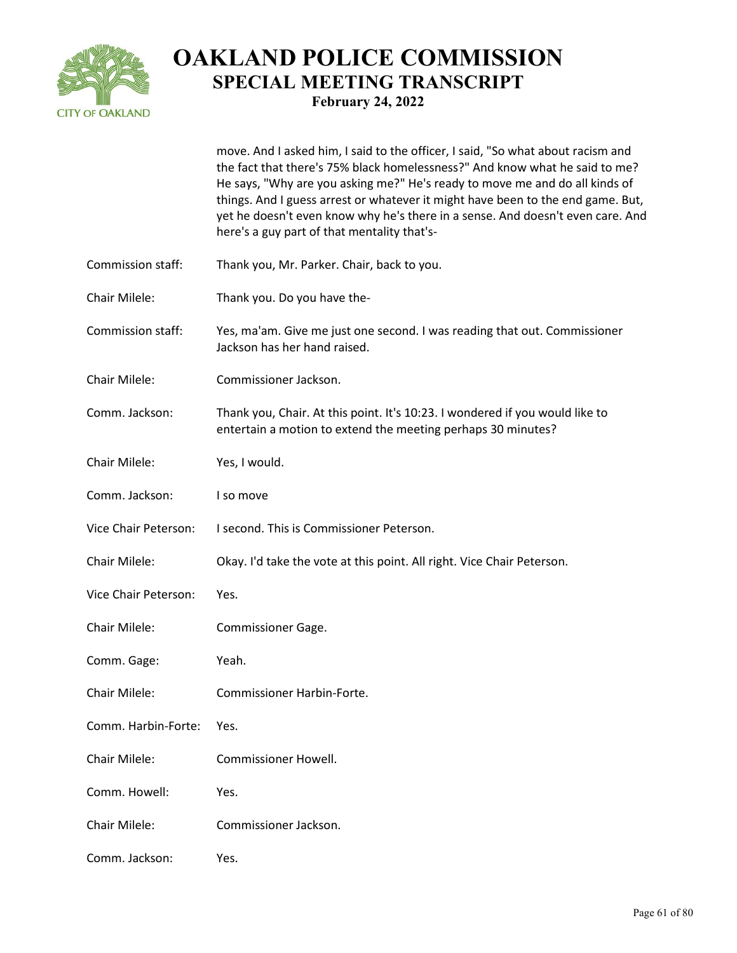

|                      | move. And I asked him, I said to the officer, I said, "So what about racism and<br>the fact that there's 75% black homelessness?" And know what he said to me?<br>He says, "Why are you asking me?" He's ready to move me and do all kinds of<br>things. And I guess arrest or whatever it might have been to the end game. But,<br>yet he doesn't even know why he's there in a sense. And doesn't even care. And<br>here's a guy part of that mentality that's- |
|----------------------|-------------------------------------------------------------------------------------------------------------------------------------------------------------------------------------------------------------------------------------------------------------------------------------------------------------------------------------------------------------------------------------------------------------------------------------------------------------------|
| Commission staff:    | Thank you, Mr. Parker. Chair, back to you.                                                                                                                                                                                                                                                                                                                                                                                                                        |
| Chair Milele:        | Thank you. Do you have the-                                                                                                                                                                                                                                                                                                                                                                                                                                       |
| Commission staff:    | Yes, ma'am. Give me just one second. I was reading that out. Commissioner<br>Jackson has her hand raised.                                                                                                                                                                                                                                                                                                                                                         |
| Chair Milele:        | Commissioner Jackson.                                                                                                                                                                                                                                                                                                                                                                                                                                             |
| Comm. Jackson:       | Thank you, Chair. At this point. It's 10:23. I wondered if you would like to<br>entertain a motion to extend the meeting perhaps 30 minutes?                                                                                                                                                                                                                                                                                                                      |
| Chair Milele:        | Yes, I would.                                                                                                                                                                                                                                                                                                                                                                                                                                                     |
| Comm. Jackson:       | I so move                                                                                                                                                                                                                                                                                                                                                                                                                                                         |
| Vice Chair Peterson: | I second. This is Commissioner Peterson.                                                                                                                                                                                                                                                                                                                                                                                                                          |
| Chair Milele:        | Okay. I'd take the vote at this point. All right. Vice Chair Peterson.                                                                                                                                                                                                                                                                                                                                                                                            |
| Vice Chair Peterson: | Yes.                                                                                                                                                                                                                                                                                                                                                                                                                                                              |
| Chair Milele:        | Commissioner Gage.                                                                                                                                                                                                                                                                                                                                                                                                                                                |
| Comm. Gage:          | Yeah.                                                                                                                                                                                                                                                                                                                                                                                                                                                             |
| Chair Milele:        | Commissioner Harbin-Forte.                                                                                                                                                                                                                                                                                                                                                                                                                                        |
| Comm. Harbin-Forte:  | Yes.                                                                                                                                                                                                                                                                                                                                                                                                                                                              |
| Chair Milele:        | <b>Commissioner Howell.</b>                                                                                                                                                                                                                                                                                                                                                                                                                                       |
| Comm. Howell:        | Yes.                                                                                                                                                                                                                                                                                                                                                                                                                                                              |
| Chair Milele:        | Commissioner Jackson.                                                                                                                                                                                                                                                                                                                                                                                                                                             |
| Comm. Jackson:       | Yes.                                                                                                                                                                                                                                                                                                                                                                                                                                                              |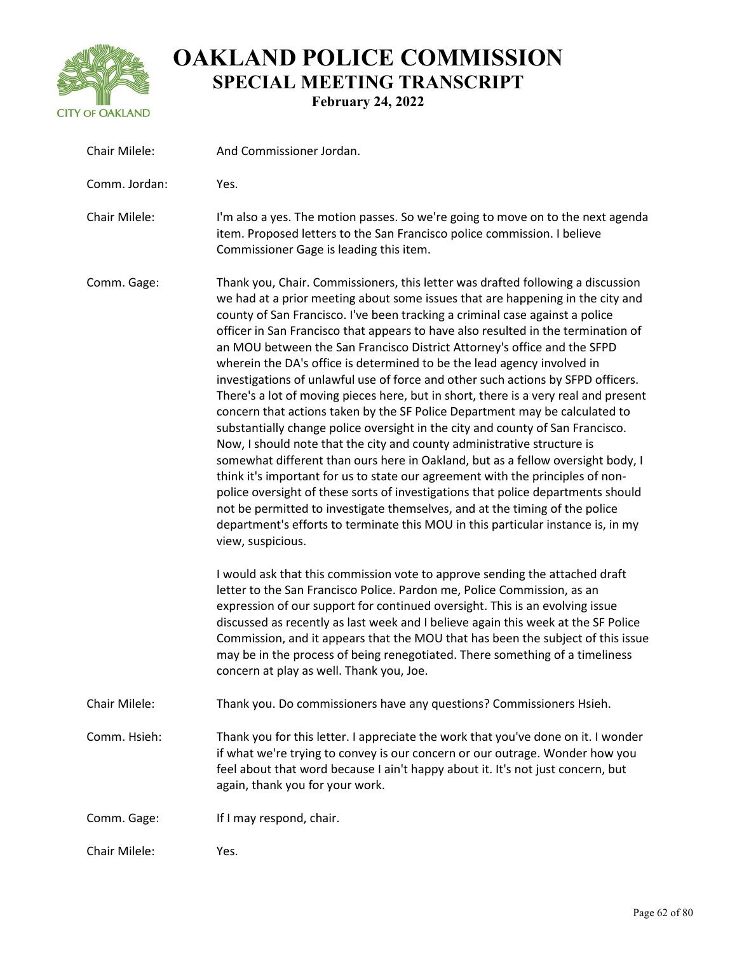

| Chair Milele: | And Commissioner Jordan.                                                                                                                                                                                                                                                                                                                                                                                                                                                                                                                                                                                                                                                                                                                                                                                                                                                                                                                                                                                                                                                                                                                                                                                                                                                                                                                                                                                                                             |
|---------------|------------------------------------------------------------------------------------------------------------------------------------------------------------------------------------------------------------------------------------------------------------------------------------------------------------------------------------------------------------------------------------------------------------------------------------------------------------------------------------------------------------------------------------------------------------------------------------------------------------------------------------------------------------------------------------------------------------------------------------------------------------------------------------------------------------------------------------------------------------------------------------------------------------------------------------------------------------------------------------------------------------------------------------------------------------------------------------------------------------------------------------------------------------------------------------------------------------------------------------------------------------------------------------------------------------------------------------------------------------------------------------------------------------------------------------------------------|
| Comm. Jordan: | Yes.                                                                                                                                                                                                                                                                                                                                                                                                                                                                                                                                                                                                                                                                                                                                                                                                                                                                                                                                                                                                                                                                                                                                                                                                                                                                                                                                                                                                                                                 |
| Chair Milele: | I'm also a yes. The motion passes. So we're going to move on to the next agenda<br>item. Proposed letters to the San Francisco police commission. I believe<br>Commissioner Gage is leading this item.                                                                                                                                                                                                                                                                                                                                                                                                                                                                                                                                                                                                                                                                                                                                                                                                                                                                                                                                                                                                                                                                                                                                                                                                                                               |
| Comm. Gage:   | Thank you, Chair. Commissioners, this letter was drafted following a discussion<br>we had at a prior meeting about some issues that are happening in the city and<br>county of San Francisco. I've been tracking a criminal case against a police<br>officer in San Francisco that appears to have also resulted in the termination of<br>an MOU between the San Francisco District Attorney's office and the SFPD<br>wherein the DA's office is determined to be the lead agency involved in<br>investigations of unlawful use of force and other such actions by SFPD officers.<br>There's a lot of moving pieces here, but in short, there is a very real and present<br>concern that actions taken by the SF Police Department may be calculated to<br>substantially change police oversight in the city and county of San Francisco.<br>Now, I should note that the city and county administrative structure is<br>somewhat different than ours here in Oakland, but as a fellow oversight body, I<br>think it's important for us to state our agreement with the principles of non-<br>police oversight of these sorts of investigations that police departments should<br>not be permitted to investigate themselves, and at the timing of the police<br>department's efforts to terminate this MOU in this particular instance is, in my<br>view, suspicious.<br>I would ask that this commission vote to approve sending the attached draft |
|               | letter to the San Francisco Police. Pardon me, Police Commission, as an<br>expression of our support for continued oversight. This is an evolving issue<br>discussed as recently as last week and I believe again this week at the SF Police<br>Commission, and it appears that the MOU that has been the subject of this issue<br>may be in the process of being renegotiated. There something of a timeliness<br>concern at play as well. Thank you, Joe.                                                                                                                                                                                                                                                                                                                                                                                                                                                                                                                                                                                                                                                                                                                                                                                                                                                                                                                                                                                          |
| Chair Milele: | Thank you. Do commissioners have any questions? Commissioners Hsieh.                                                                                                                                                                                                                                                                                                                                                                                                                                                                                                                                                                                                                                                                                                                                                                                                                                                                                                                                                                                                                                                                                                                                                                                                                                                                                                                                                                                 |
| Comm. Hsieh:  | Thank you for this letter. I appreciate the work that you've done on it. I wonder<br>if what we're trying to convey is our concern or our outrage. Wonder how you<br>feel about that word because I ain't happy about it. It's not just concern, but<br>again, thank you for your work.                                                                                                                                                                                                                                                                                                                                                                                                                                                                                                                                                                                                                                                                                                                                                                                                                                                                                                                                                                                                                                                                                                                                                              |
| Comm. Gage:   | If I may respond, chair.                                                                                                                                                                                                                                                                                                                                                                                                                                                                                                                                                                                                                                                                                                                                                                                                                                                                                                                                                                                                                                                                                                                                                                                                                                                                                                                                                                                                                             |
| Chair Milele: | Yes.                                                                                                                                                                                                                                                                                                                                                                                                                                                                                                                                                                                                                                                                                                                                                                                                                                                                                                                                                                                                                                                                                                                                                                                                                                                                                                                                                                                                                                                 |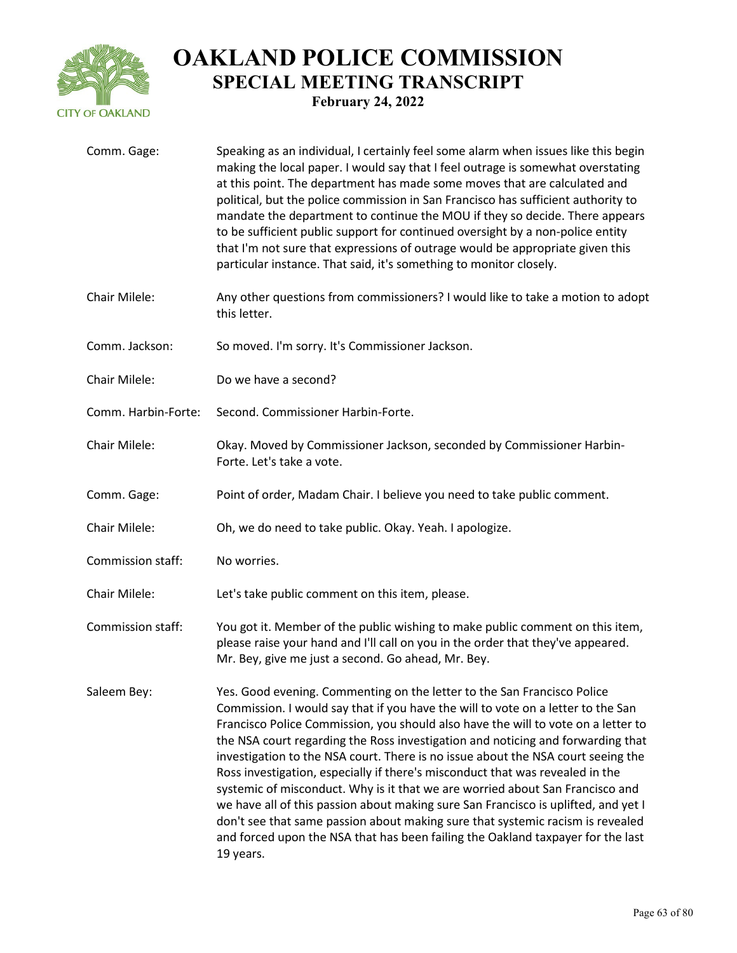

| Comm. Gage:         | Speaking as an individual, I certainly feel some alarm when issues like this begin<br>making the local paper. I would say that I feel outrage is somewhat overstating<br>at this point. The department has made some moves that are calculated and<br>political, but the police commission in San Francisco has sufficient authority to<br>mandate the department to continue the MOU if they so decide. There appears<br>to be sufficient public support for continued oversight by a non-police entity<br>that I'm not sure that expressions of outrage would be appropriate given this<br>particular instance. That said, it's something to monitor closely.                                                                                                                                                                                                   |
|---------------------|-------------------------------------------------------------------------------------------------------------------------------------------------------------------------------------------------------------------------------------------------------------------------------------------------------------------------------------------------------------------------------------------------------------------------------------------------------------------------------------------------------------------------------------------------------------------------------------------------------------------------------------------------------------------------------------------------------------------------------------------------------------------------------------------------------------------------------------------------------------------|
| Chair Milele:       | Any other questions from commissioners? I would like to take a motion to adopt<br>this letter.                                                                                                                                                                                                                                                                                                                                                                                                                                                                                                                                                                                                                                                                                                                                                                    |
| Comm. Jackson:      | So moved. I'm sorry. It's Commissioner Jackson.                                                                                                                                                                                                                                                                                                                                                                                                                                                                                                                                                                                                                                                                                                                                                                                                                   |
| Chair Milele:       | Do we have a second?                                                                                                                                                                                                                                                                                                                                                                                                                                                                                                                                                                                                                                                                                                                                                                                                                                              |
| Comm. Harbin-Forte: | Second. Commissioner Harbin-Forte.                                                                                                                                                                                                                                                                                                                                                                                                                                                                                                                                                                                                                                                                                                                                                                                                                                |
| Chair Milele:       | Okay. Moved by Commissioner Jackson, seconded by Commissioner Harbin-<br>Forte. Let's take a vote.                                                                                                                                                                                                                                                                                                                                                                                                                                                                                                                                                                                                                                                                                                                                                                |
| Comm. Gage:         | Point of order, Madam Chair. I believe you need to take public comment.                                                                                                                                                                                                                                                                                                                                                                                                                                                                                                                                                                                                                                                                                                                                                                                           |
| Chair Milele:       | Oh, we do need to take public. Okay. Yeah. I apologize.                                                                                                                                                                                                                                                                                                                                                                                                                                                                                                                                                                                                                                                                                                                                                                                                           |
| Commission staff:   | No worries.                                                                                                                                                                                                                                                                                                                                                                                                                                                                                                                                                                                                                                                                                                                                                                                                                                                       |
| Chair Milele:       | Let's take public comment on this item, please.                                                                                                                                                                                                                                                                                                                                                                                                                                                                                                                                                                                                                                                                                                                                                                                                                   |
| Commission staff:   | You got it. Member of the public wishing to make public comment on this item,<br>please raise your hand and I'll call on you in the order that they've appeared.<br>Mr. Bey, give me just a second. Go ahead, Mr. Bey.                                                                                                                                                                                                                                                                                                                                                                                                                                                                                                                                                                                                                                            |
| Saleem Bey:         | Yes. Good evening. Commenting on the letter to the San Francisco Police<br>Commission. I would say that if you have the will to vote on a letter to the San<br>Francisco Police Commission, you should also have the will to vote on a letter to<br>the NSA court regarding the Ross investigation and noticing and forwarding that<br>investigation to the NSA court. There is no issue about the NSA court seeing the<br>Ross investigation, especially if there's misconduct that was revealed in the<br>systemic of misconduct. Why is it that we are worried about San Francisco and<br>we have all of this passion about making sure San Francisco is uplifted, and yet I<br>don't see that same passion about making sure that systemic racism is revealed<br>and forced upon the NSA that has been failing the Oakland taxpayer for the last<br>19 years. |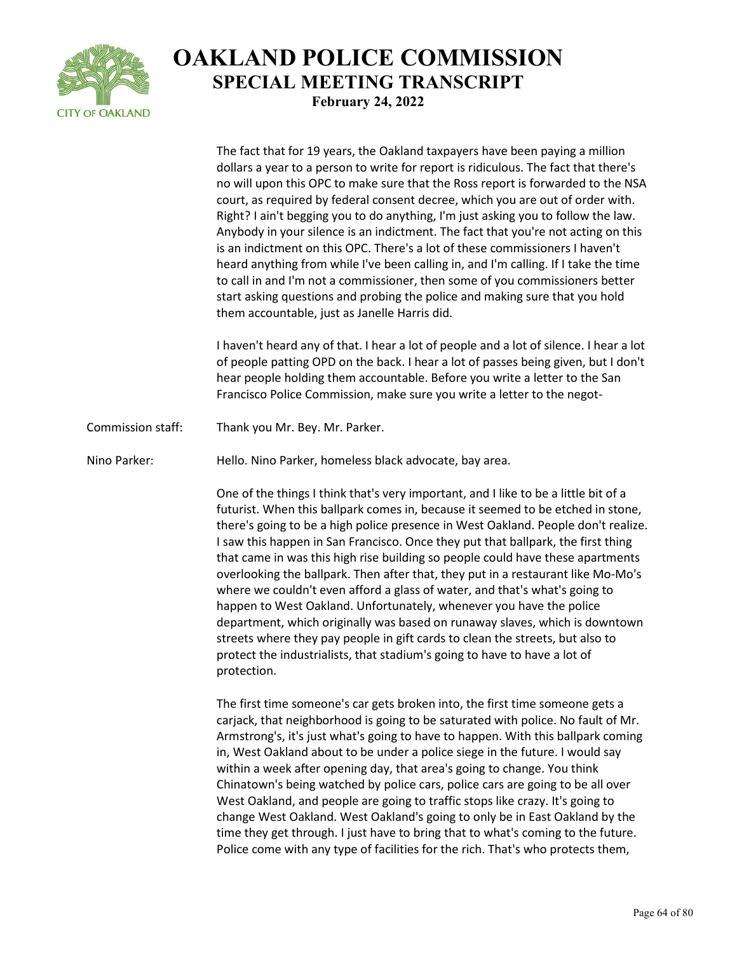

|                   | The fact that for 19 years, the Oakland taxpayers have been paying a million<br>dollars a year to a person to write for report is ridiculous. The fact that there's<br>no will upon this OPC to make sure that the Ross report is forwarded to the NSA<br>court, as required by federal consent decree, which you are out of order with.<br>Right? I ain't begging you to do anything, I'm just asking you to follow the law.<br>Anybody in your silence is an indictment. The fact that you're not acting on this<br>is an indictment on this OPC. There's a lot of these commissioners I haven't<br>heard anything from while I've been calling in, and I'm calling. If I take the time<br>to call in and I'm not a commissioner, then some of you commissioners better<br>start asking questions and probing the police and making sure that you hold<br>them accountable, just as Janelle Harris did.                              |
|-------------------|----------------------------------------------------------------------------------------------------------------------------------------------------------------------------------------------------------------------------------------------------------------------------------------------------------------------------------------------------------------------------------------------------------------------------------------------------------------------------------------------------------------------------------------------------------------------------------------------------------------------------------------------------------------------------------------------------------------------------------------------------------------------------------------------------------------------------------------------------------------------------------------------------------------------------------------|
|                   | I haven't heard any of that. I hear a lot of people and a lot of silence. I hear a lot<br>of people patting OPD on the back. I hear a lot of passes being given, but I don't<br>hear people holding them accountable. Before you write a letter to the San<br>Francisco Police Commission, make sure you write a letter to the negot-                                                                                                                                                                                                                                                                                                                                                                                                                                                                                                                                                                                                  |
| Commission staff: | Thank you Mr. Bey. Mr. Parker.                                                                                                                                                                                                                                                                                                                                                                                                                                                                                                                                                                                                                                                                                                                                                                                                                                                                                                         |
| Nino Parker:      | Hello. Nino Parker, homeless black advocate, bay area.                                                                                                                                                                                                                                                                                                                                                                                                                                                                                                                                                                                                                                                                                                                                                                                                                                                                                 |
|                   | One of the things I think that's very important, and I like to be a little bit of a<br>futurist. When this ballpark comes in, because it seemed to be etched in stone,<br>there's going to be a high police presence in West Oakland. People don't realize.<br>I saw this happen in San Francisco. Once they put that ballpark, the first thing<br>that came in was this high rise building so people could have these apartments<br>overlooking the ballpark. Then after that, they put in a restaurant like Mo-Mo's<br>where we couldn't even afford a glass of water, and that's what's going to<br>happen to West Oakland. Unfortunately, whenever you have the police<br>department, which originally was based on runaway slaves, which is downtown<br>streets where they pay people in gift cards to clean the streets, but also to<br>protect the industrialists, that stadium's going to have to have a lot of<br>protection. |
|                   | The first time someone's car gets broken into, the first time someone gets a<br>carjack, that neighborhood is going to be saturated with police. No fault of Mr.<br>Armstrong's, it's just what's going to have to happen. With this ballpark coming<br>in, West Oakland about to be under a police siege in the future. I would say<br>within a week after opening day, that area's going to change. You think<br>Chinatown's being watched by police cars, police cars are going to be all over<br>West Oakland, and people are going to traffic stops like crazy. It's going to<br>change West Oakland. West Oakland's going to only be in East Oakland by the<br>time they get through. I just have to bring that to what's coming to the future.<br>Police come with any type of facilities for the rich. That's who protects them,                                                                                               |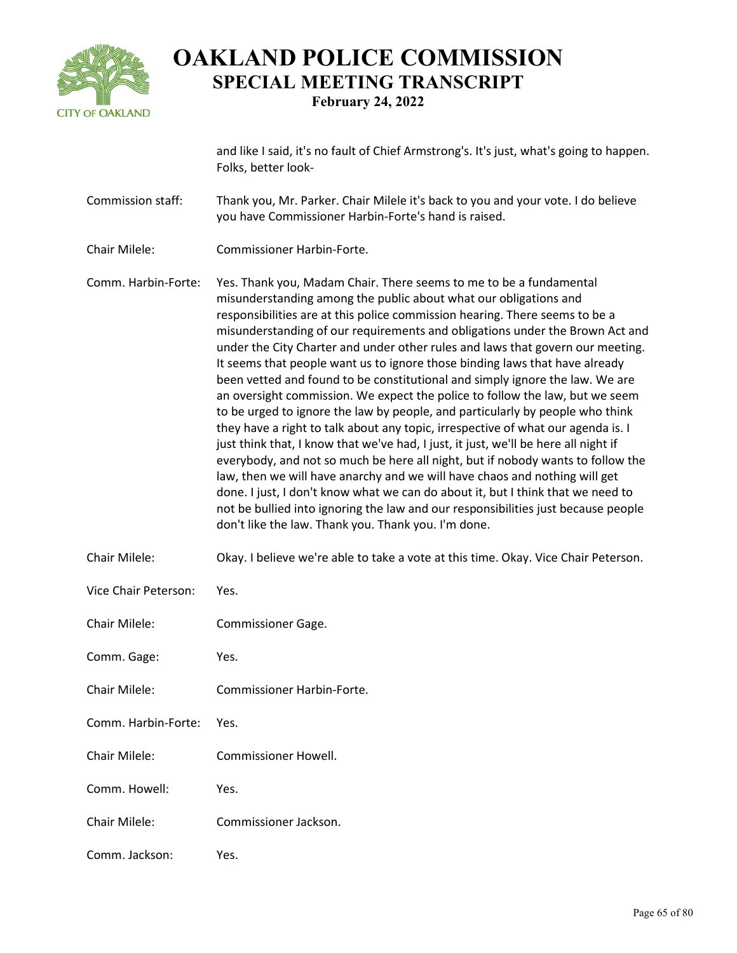

and like I said, it's no fault of Chief Armstrong's. It's just, what's going to happen. Folks, better look-

- Commission staff: Thank you, Mr. Parker. Chair Milele it's back to you and your vote. I do believe you have Commissioner Harbin-Forte's hand is raised.
- Chair Milele: Commissioner Harbin-Forte.
- Comm. Harbin-Forte: Yes. Thank you, Madam Chair. There seems to me to be a fundamental misunderstanding among the public about what our obligations and responsibilities are at this police commission hearing. There seems to be a misunderstanding of our requirements and obligations under the Brown Act and under the City Charter and under other rules and laws that govern our meeting. It seems that people want us to ignore those binding laws that have already been vetted and found to be constitutional and simply ignore the law. We are an oversight commission. We expect the police to follow the law, but we seem to be urged to ignore the law by people, and particularly by people who think they have a right to talk about any topic, irrespective of what our agenda is. I just think that, I know that we've had, I just, it just, we'll be here all night if everybody, and not so much be here all night, but if nobody wants to follow the law, then we will have anarchy and we will have chaos and nothing will get done. I just, I don't know what we can do about it, but I think that we need to not be bullied into ignoring the law and our responsibilities just because people don't like the law. Thank you. Thank you. I'm done.
- Chair Milele: Okay. I believe we're able to take a vote at this time. Okay. Vice Chair Peterson.
- Vice Chair Peterson: Yes.
- Chair Milele: Commissioner Gage.
- Comm. Gage: Yes.
- Chair Milele: Commissioner Harbin-Forte.
- Comm. Harbin-Forte: Yes.
- Chair Milele: Commissioner Howell.
- Comm. Howell: Yes.
- Chair Milele: Commissioner Jackson.
- Comm. Jackson: Yes.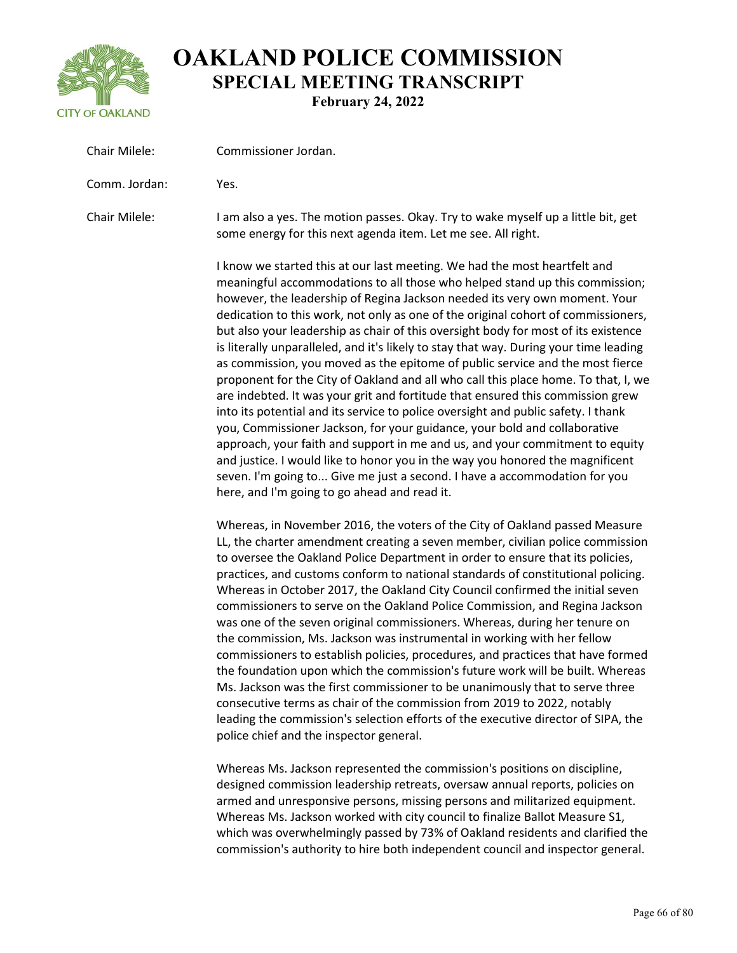

| Chair Milele: | Commissioner Jordan.                                                                                                                                                                                                                                                                                                                                                                                                                                                                                                                                                                                                                                                                                                                                                                                                                                                                                                                                                                                                                                                                                                                                                                                                                |
|---------------|-------------------------------------------------------------------------------------------------------------------------------------------------------------------------------------------------------------------------------------------------------------------------------------------------------------------------------------------------------------------------------------------------------------------------------------------------------------------------------------------------------------------------------------------------------------------------------------------------------------------------------------------------------------------------------------------------------------------------------------------------------------------------------------------------------------------------------------------------------------------------------------------------------------------------------------------------------------------------------------------------------------------------------------------------------------------------------------------------------------------------------------------------------------------------------------------------------------------------------------|
| Comm. Jordan: | Yes.                                                                                                                                                                                                                                                                                                                                                                                                                                                                                                                                                                                                                                                                                                                                                                                                                                                                                                                                                                                                                                                                                                                                                                                                                                |
| Chair Milele: | I am also a yes. The motion passes. Okay. Try to wake myself up a little bit, get<br>some energy for this next agenda item. Let me see. All right.                                                                                                                                                                                                                                                                                                                                                                                                                                                                                                                                                                                                                                                                                                                                                                                                                                                                                                                                                                                                                                                                                  |
|               | I know we started this at our last meeting. We had the most heartfelt and<br>meaningful accommodations to all those who helped stand up this commission;<br>however, the leadership of Regina Jackson needed its very own moment. Your<br>dedication to this work, not only as one of the original cohort of commissioners,<br>but also your leadership as chair of this oversight body for most of its existence<br>is literally unparalleled, and it's likely to stay that way. During your time leading<br>as commission, you moved as the epitome of public service and the most fierce<br>proponent for the City of Oakland and all who call this place home. To that, I, we<br>are indebted. It was your grit and fortitude that ensured this commission grew<br>into its potential and its service to police oversight and public safety. I thank<br>you, Commissioner Jackson, for your guidance, your bold and collaborative<br>approach, your faith and support in me and us, and your commitment to equity<br>and justice. I would like to honor you in the way you honored the magnificent<br>seven. I'm going to Give me just a second. I have a accommodation for you<br>here, and I'm going to go ahead and read it. |
|               | Whereas, in November 2016, the voters of the City of Oakland passed Measure<br>LL, the charter amendment creating a seven member, civilian police commission<br>to oversee the Oakland Police Department in order to ensure that its policies,<br>practices, and customs conform to national standards of constitutional policing.<br>Whereas in October 2017, the Oakland City Council confirmed the initial seven<br>commissioners to serve on the Oakland Police Commission, and Regina Jackson<br>was one of the seven original commissioners. Whereas, during her tenure on<br>the commission, Ms. Jackson was instrumental in working with her fellow<br>commissioners to establish policies, procedures, and practices that have formed<br>the foundation upon which the commission's future work will be built. Whereas<br>Ms. Jackson was the first commissioner to be unanimously that to serve three<br>consecutive terms as chair of the commission from 2019 to 2022, notably<br>leading the commission's selection efforts of the executive director of SIPA, the<br>police chief and the inspector general.                                                                                                          |

Whereas Ms. Jackson represented the commission's positions on discipline, designed commission leadership retreats, oversaw annual reports, policies on armed and unresponsive persons, missing persons and militarized equipment. Whereas Ms. Jackson worked with city council to finalize Ballot Measure S1, which was overwhelmingly passed by 73% of Oakland residents and clarified the commission's authority to hire both independent council and inspector general.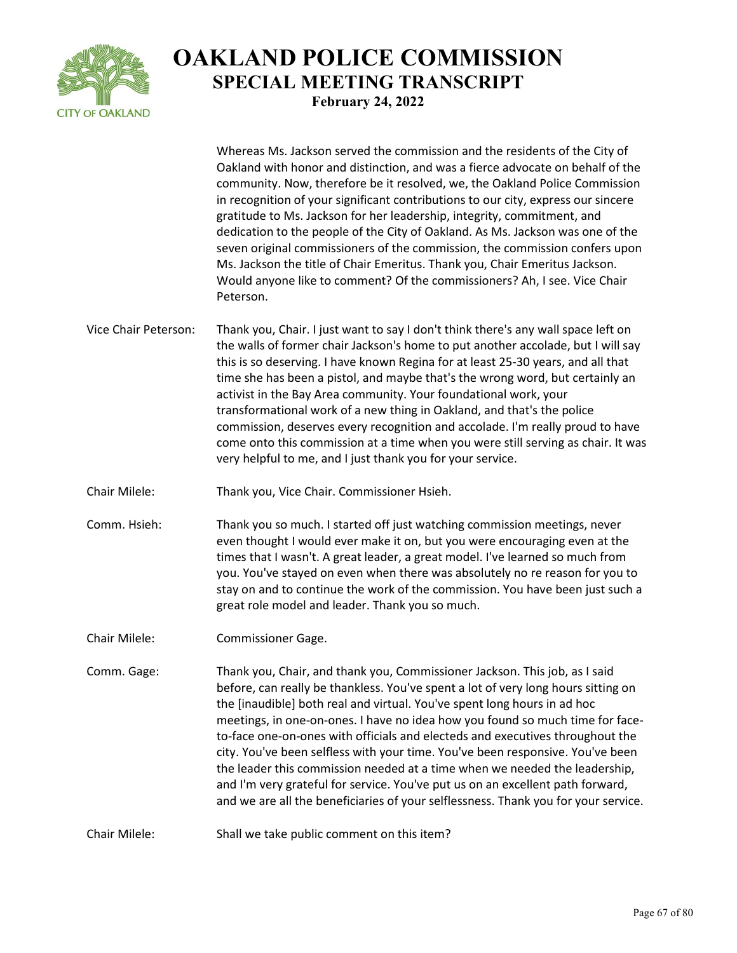

|                      | Whereas Ms. Jackson served the commission and the residents of the City of<br>Oakland with honor and distinction, and was a fierce advocate on behalf of the<br>community. Now, therefore be it resolved, we, the Oakland Police Commission<br>in recognition of your significant contributions to our city, express our sincere<br>gratitude to Ms. Jackson for her leadership, integrity, commitment, and<br>dedication to the people of the City of Oakland. As Ms. Jackson was one of the<br>seven original commissioners of the commission, the commission confers upon<br>Ms. Jackson the title of Chair Emeritus. Thank you, Chair Emeritus Jackson.<br>Would anyone like to comment? Of the commissioners? Ah, I see. Vice Chair<br>Peterson. |
|----------------------|-------------------------------------------------------------------------------------------------------------------------------------------------------------------------------------------------------------------------------------------------------------------------------------------------------------------------------------------------------------------------------------------------------------------------------------------------------------------------------------------------------------------------------------------------------------------------------------------------------------------------------------------------------------------------------------------------------------------------------------------------------|
| Vice Chair Peterson: | Thank you, Chair. I just want to say I don't think there's any wall space left on<br>the walls of former chair Jackson's home to put another accolade, but I will say<br>this is so deserving. I have known Regina for at least 25-30 years, and all that<br>time she has been a pistol, and maybe that's the wrong word, but certainly an<br>activist in the Bay Area community. Your foundational work, your<br>transformational work of a new thing in Oakland, and that's the police<br>commission, deserves every recognition and accolade. I'm really proud to have<br>come onto this commission at a time when you were still serving as chair. It was<br>very helpful to me, and I just thank you for your service.                           |
| Chair Milele:        | Thank you, Vice Chair. Commissioner Hsieh.                                                                                                                                                                                                                                                                                                                                                                                                                                                                                                                                                                                                                                                                                                            |
| Comm. Hsieh:         | Thank you so much. I started off just watching commission meetings, never<br>even thought I would ever make it on, but you were encouraging even at the<br>times that I wasn't. A great leader, a great model. I've learned so much from<br>you. You've stayed on even when there was absolutely no re reason for you to<br>stay on and to continue the work of the commission. You have been just such a<br>great role model and leader. Thank you so much.                                                                                                                                                                                                                                                                                          |
| Chair Milele:        | Commissioner Gage.                                                                                                                                                                                                                                                                                                                                                                                                                                                                                                                                                                                                                                                                                                                                    |
| Comm. Gage:          | Thank you, Chair, and thank you, Commissioner Jackson. This job, as I said<br>before, can really be thankless. You've spent a lot of very long hours sitting on<br>the [inaudible] both real and virtual. You've spent long hours in ad hoc<br>meetings, in one-on-ones. I have no idea how you found so much time for face-<br>to-face one-on-ones with officials and electeds and executives throughout the<br>city. You've been selfless with your time. You've been responsive. You've been<br>the leader this commission needed at a time when we needed the leadership,<br>and I'm very grateful for service. You've put us on an excellent path forward,<br>and we are all the beneficiaries of your selflessness. Thank you for your service. |
| <b>Chair Milele:</b> | Shall we take public comment on this item?                                                                                                                                                                                                                                                                                                                                                                                                                                                                                                                                                                                                                                                                                                            |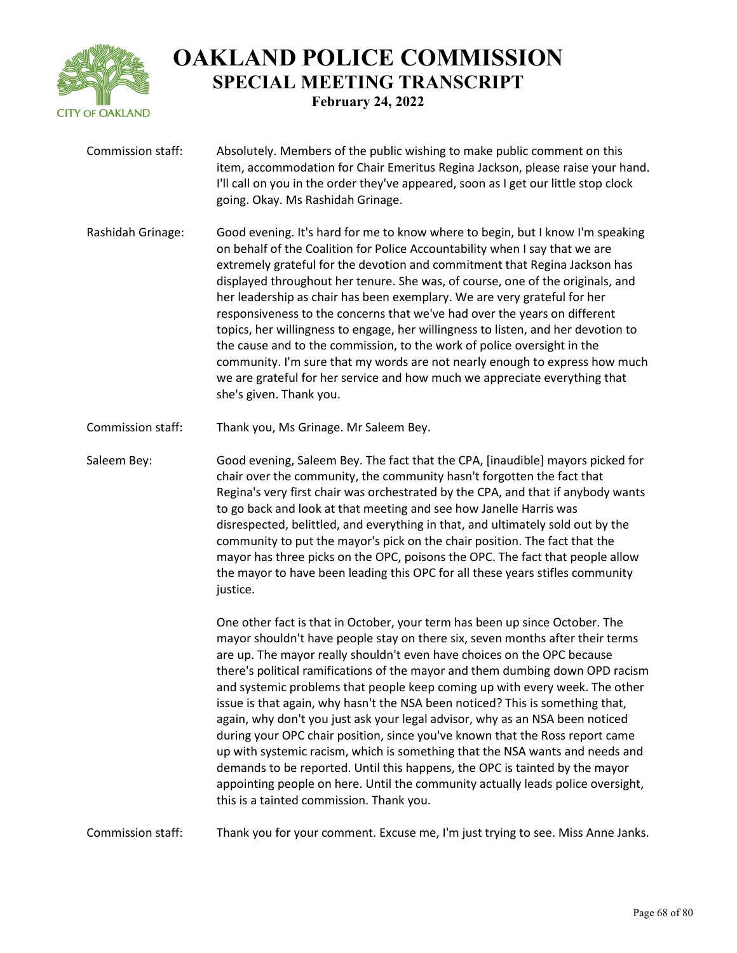

Commission staff: Absolutely. Members of the public wishing to make public comment on this item, accommodation for Chair Emeritus Regina Jackson, please raise your hand. I'll call on you in the order they've appeared, soon as I get our little stop clock going. Okay. Ms Rashidah Grinage. Rashidah Grinage: Good evening. It's hard for me to know where to begin, but I know I'm speaking on behalf of the Coalition for Police Accountability when I say that we are extremely grateful for the devotion and commitment that Regina Jackson has displayed throughout her tenure. She was, of course, one of the originals, and her leadership as chair has been exemplary. We are very grateful for her responsiveness to the concerns that we've had over the years on different topics, her willingness to engage, her willingness to listen, and her devotion to the cause and to the commission, to the work of police oversight in the community. I'm sure that my words are not nearly enough to express how much we are grateful for her service and how much we appreciate everything that she's given. Thank you. Commission staff: Thank you, Ms Grinage. Mr Saleem Bey. Saleem Bey: Good evening, Saleem Bey. The fact that the CPA, [inaudible] mayors picked for chair over the community, the community hasn't forgotten the fact that Regina's very first chair was orchestrated by the CPA, and that if anybody wants to go back and look at that meeting and see how Janelle Harris was disrespected, belittled, and everything in that, and ultimately sold out by the community to put the mayor's pick on the chair position. The fact that the mayor has three picks on the OPC, poisons the OPC. The fact that people allow the mayor to have been leading this OPC for all these years stifles community justice. One other fact is that in October, your term has been up since October. The mayor shouldn't have people stay on there six, seven months after their terms are up. The mayor really shouldn't even have choices on the OPC because there's political ramifications of the mayor and them dumbing down OPD racism and systemic problems that people keep coming up with every week. The other

issue is that again, why hasn't the NSA been noticed? This is something that, again, why don't you just ask your legal advisor, why as an NSA been noticed during your OPC chair position, since you've known that the Ross report came up with systemic racism, which is something that the NSA wants and needs and demands to be reported. Until this happens, the OPC is tainted by the mayor appointing people on here. Until the community actually leads police oversight, this is a tainted commission. Thank you.

Commission staff: Thank you for your comment. Excuse me, I'm just trying to see. Miss Anne Janks.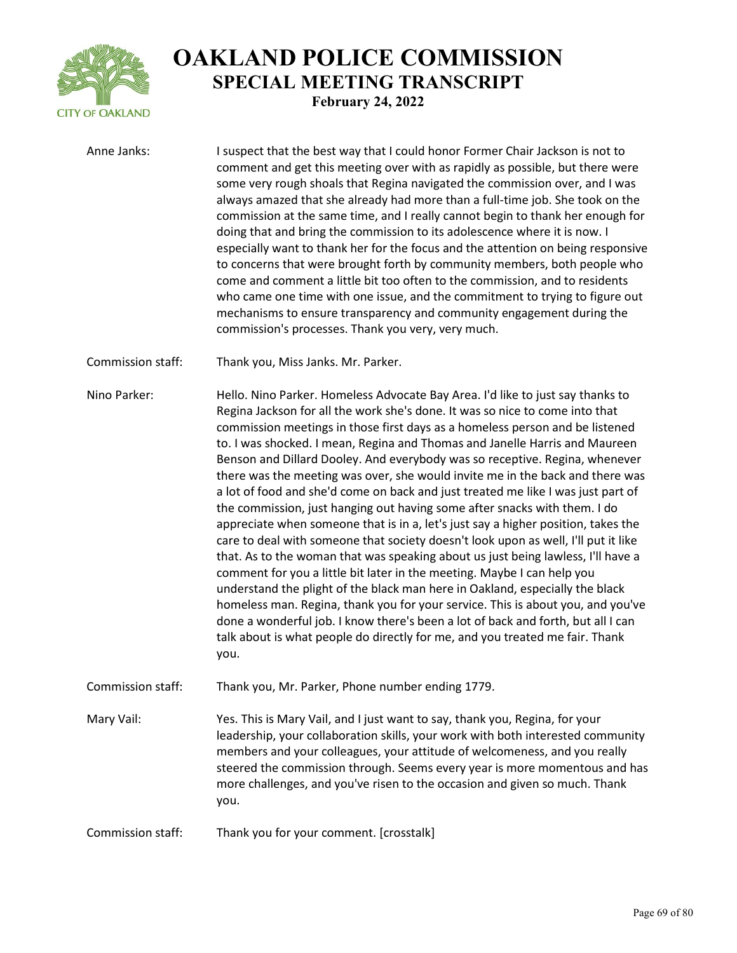

Anne Janks: I suspect that the best way that I could honor Former Chair Jackson is not to comment and get this meeting over with as rapidly as possible, but there were some very rough shoals that Regina navigated the commission over, and I was always amazed that she already had more than a full-time job. She took on the commission at the same time, and I really cannot begin to thank her enough for doing that and bring the commission to its adolescence where it is now. I especially want to thank her for the focus and the attention on being responsive to concerns that were brought forth by community members, both people who come and comment a little bit too often to the commission, and to residents who came one time with one issue, and the commitment to trying to figure out mechanisms to ensure transparency and community engagement during the commission's processes. Thank you very, very much.

Commission staff: Thank you, Miss Janks. Mr. Parker.

Nino Parker: Hello. Nino Parker. Homeless Advocate Bay Area. I'd like to just say thanks to Regina Jackson for all the work she's done. It was so nice to come into that commission meetings in those first days as a homeless person and be listened to. I was shocked. I mean, Regina and Thomas and Janelle Harris and Maureen Benson and Dillard Dooley. And everybody was so receptive. Regina, whenever there was the meeting was over, she would invite me in the back and there was a lot of food and she'd come on back and just treated me like I was just part of the commission, just hanging out having some after snacks with them. I do appreciate when someone that is in a, let's just say a higher position, takes the care to deal with someone that society doesn't look upon as well, I'll put it like that. As to the woman that was speaking about us just being lawless, I'll have a comment for you a little bit later in the meeting. Maybe I can help you understand the plight of the black man here in Oakland, especially the black homeless man. Regina, thank you for your service. This is about you, and you've done a wonderful job. I know there's been a lot of back and forth, but all I can talk about is what people do directly for me, and you treated me fair. Thank you.

Commission staff: Thank you, Mr. Parker, Phone number ending 1779.

Mary Vail: Yes. This is Mary Vail, and I just want to say, thank you, Regina, for your leadership, your collaboration skills, your work with both interested community members and your colleagues, your attitude of welcomeness, and you really steered the commission through. Seems every year is more momentous and has more challenges, and you've risen to the occasion and given so much. Thank you.

Commission staff: Thank you for your comment. [crosstalk]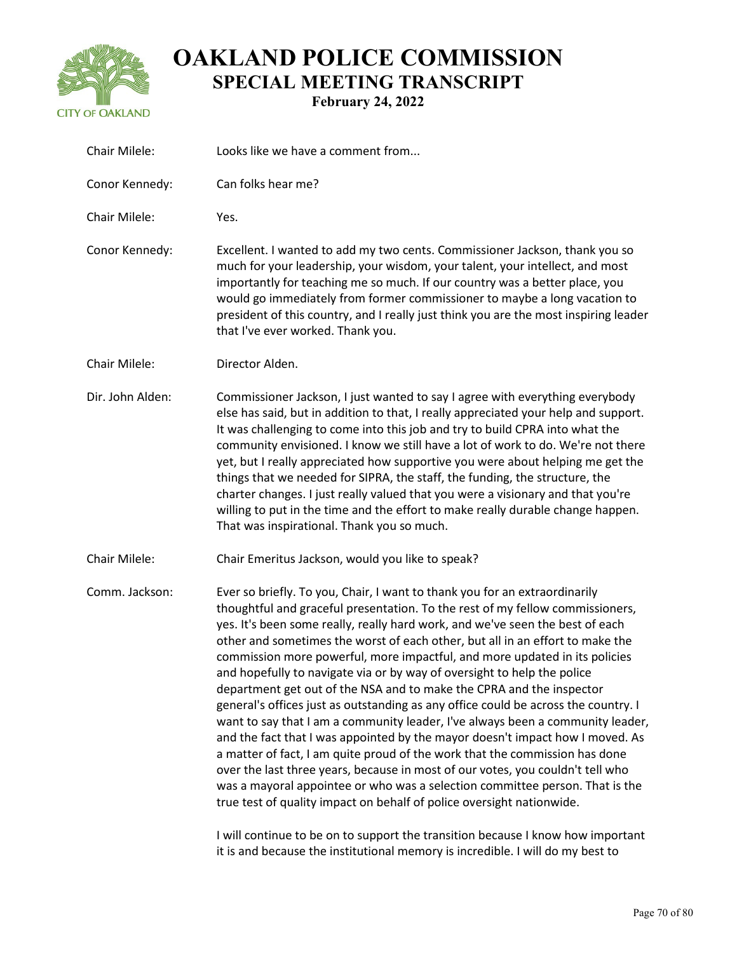

| Chair Milele:    | Looks like we have a comment from                                                                                                                                                                                                                                                                                                                                                                                                                                                                                                                                                                                                                                                                                                                                                                                                                                                                                                                                                                                                                                                                                                                 |
|------------------|---------------------------------------------------------------------------------------------------------------------------------------------------------------------------------------------------------------------------------------------------------------------------------------------------------------------------------------------------------------------------------------------------------------------------------------------------------------------------------------------------------------------------------------------------------------------------------------------------------------------------------------------------------------------------------------------------------------------------------------------------------------------------------------------------------------------------------------------------------------------------------------------------------------------------------------------------------------------------------------------------------------------------------------------------------------------------------------------------------------------------------------------------|
| Conor Kennedy:   | Can folks hear me?                                                                                                                                                                                                                                                                                                                                                                                                                                                                                                                                                                                                                                                                                                                                                                                                                                                                                                                                                                                                                                                                                                                                |
| Chair Milele:    | Yes.                                                                                                                                                                                                                                                                                                                                                                                                                                                                                                                                                                                                                                                                                                                                                                                                                                                                                                                                                                                                                                                                                                                                              |
| Conor Kennedy:   | Excellent. I wanted to add my two cents. Commissioner Jackson, thank you so<br>much for your leadership, your wisdom, your talent, your intellect, and most<br>importantly for teaching me so much. If our country was a better place, you<br>would go immediately from former commissioner to maybe a long vacation to<br>president of this country, and I really just think you are the most inspiring leader<br>that I've ever worked. Thank you.                                                                                                                                                                                                                                                                                                                                                                                                                                                                                                                                                                                                                                                                                              |
| Chair Milele:    | Director Alden.                                                                                                                                                                                                                                                                                                                                                                                                                                                                                                                                                                                                                                                                                                                                                                                                                                                                                                                                                                                                                                                                                                                                   |
| Dir. John Alden: | Commissioner Jackson, I just wanted to say I agree with everything everybody<br>else has said, but in addition to that, I really appreciated your help and support.<br>It was challenging to come into this job and try to build CPRA into what the<br>community envisioned. I know we still have a lot of work to do. We're not there<br>yet, but I really appreciated how supportive you were about helping me get the<br>things that we needed for SIPRA, the staff, the funding, the structure, the<br>charter changes. I just really valued that you were a visionary and that you're<br>willing to put in the time and the effort to make really durable change happen.<br>That was inspirational. Thank you so much.                                                                                                                                                                                                                                                                                                                                                                                                                       |
| Chair Milele:    | Chair Emeritus Jackson, would you like to speak?                                                                                                                                                                                                                                                                                                                                                                                                                                                                                                                                                                                                                                                                                                                                                                                                                                                                                                                                                                                                                                                                                                  |
| Comm. Jackson:   | Ever so briefly. To you, Chair, I want to thank you for an extraordinarily<br>thoughtful and graceful presentation. To the rest of my fellow commissioners,<br>yes. It's been some really, really hard work, and we've seen the best of each<br>other and sometimes the worst of each other, but all in an effort to make the<br>commission more powerful, more impactful, and more updated in its policies<br>and hopefully to navigate via or by way of oversight to help the police<br>department get out of the NSA and to make the CPRA and the inspector<br>general's offices just as outstanding as any office could be across the country. I<br>want to say that I am a community leader, I've always been a community leader,<br>and the fact that I was appointed by the mayor doesn't impact how I moved. As<br>a matter of fact, I am quite proud of the work that the commission has done<br>over the last three years, because in most of our votes, you couldn't tell who<br>was a mayoral appointee or who was a selection committee person. That is the<br>true test of quality impact on behalf of police oversight nationwide. |
|                  |                                                                                                                                                                                                                                                                                                                                                                                                                                                                                                                                                                                                                                                                                                                                                                                                                                                                                                                                                                                                                                                                                                                                                   |

I will continue to be on to support the transition because I know how important it is and because the institutional memory is incredible. I will do my best to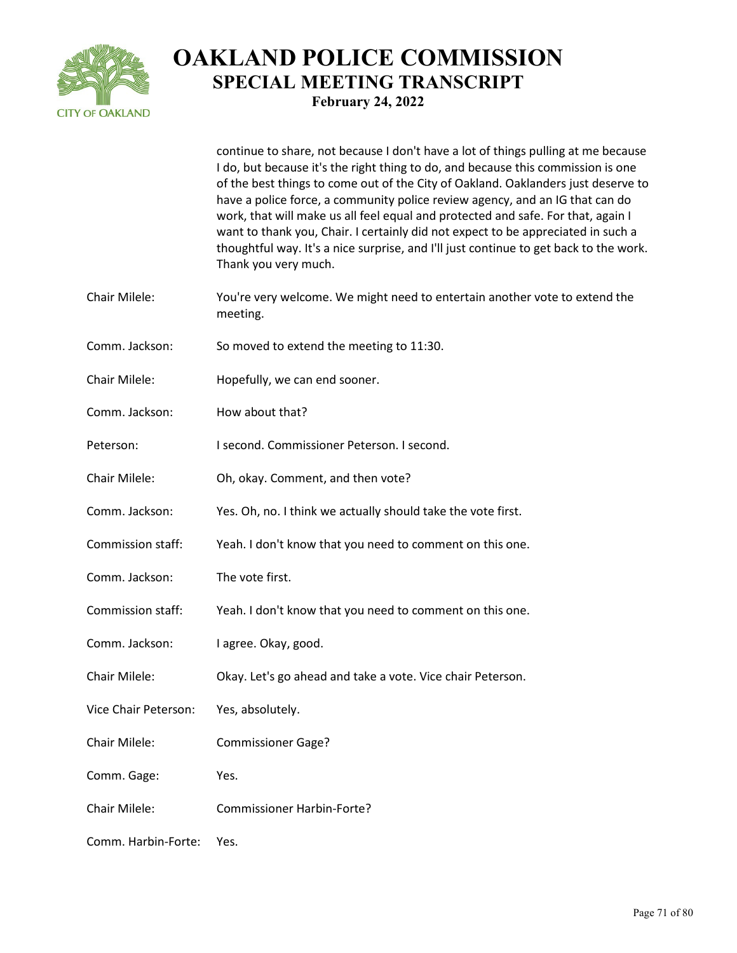

continue to share, not because I don't have a lot of things pulling at me because I do, but because it's the right thing to do, and because this commission is one of the best things to come out of the City of Oakland. Oaklanders just deserve to have a police force, a community police review agency, and an IG that can do work, that will make us all feel equal and protected and safe. For that, again I want to thank you, Chair. I certainly did not expect to be appreciated in such a thoughtful way. It's a nice surprise, and I'll just continue to get back to the work. Thank you very much.

- Chair Milele: You're very welcome. We might need to entertain another vote to extend the meeting.
- Comm. Jackson: So moved to extend the meeting to 11:30.
- Chair Milele: Hopefully, we can end sooner.
- Comm. Jackson: How about that?
- Peterson: I second. Commissioner Peterson. I second.
- Chair Milele: Oh, okay. Comment, and then vote?
- Comm. Jackson: Yes. Oh, no. I think we actually should take the vote first.
- Commission staff: Yeah. I don't know that you need to comment on this one.
- Comm. Jackson: The vote first.
- Commission staff: Yeah. I don't know that you need to comment on this one.
- Comm. Jackson: I agree. Okay, good.
- Chair Milele: Okay. Let's go ahead and take a vote. Vice chair Peterson.
- Vice Chair Peterson: Yes, absolutely.
- Chair Milele: Commissioner Gage?
- Comm. Gage: Yes.
- Chair Milele: Commissioner Harbin-Forte?
- Comm. Harbin-Forte: Yes.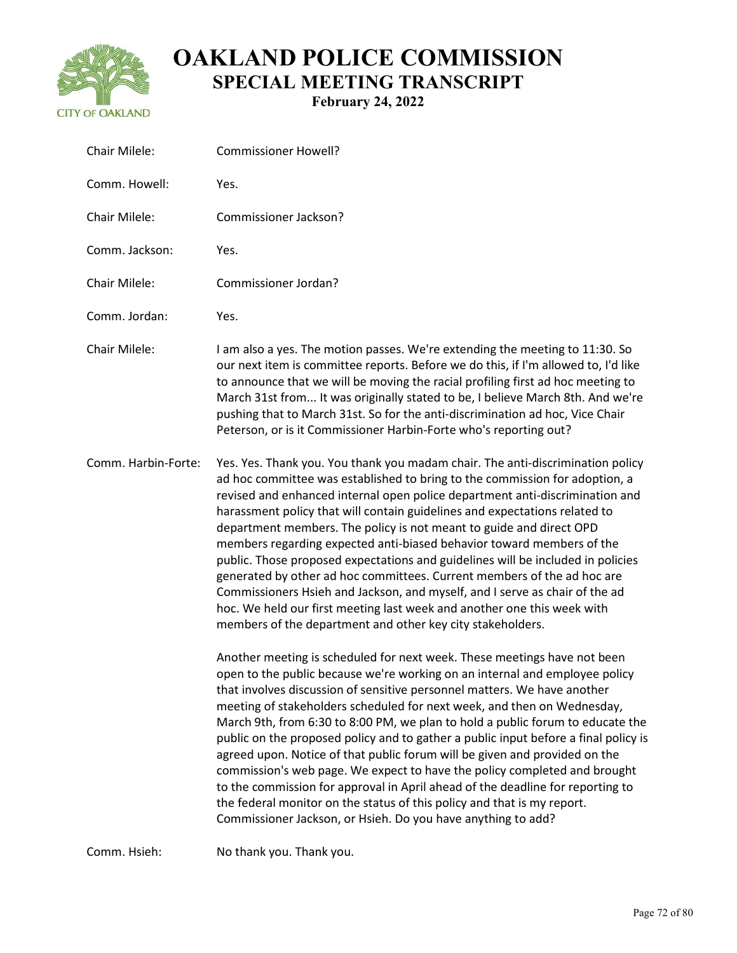

Chair Milele: Commissioner Howell? Comm. Howell: Yes. Chair Milele: Commissioner Jackson? Comm. Jackson: Yes. Chair Milele: Commissioner Jordan? Comm. Jordan: Yes. Chair Milele: I am also a yes. The motion passes. We're extending the meeting to 11:30. So our next item is committee reports. Before we do this, if I'm allowed to, I'd like to announce that we will be moving the racial profiling first ad hoc meeting to March 31st from... It was originally stated to be, I believe March 8th. And we're pushing that to March 31st. So for the anti-discrimination ad hoc, Vice Chair Peterson, or is it Commissioner Harbin-Forte who's reporting out? Comm. Harbin-Forte: Yes. Yes. Thank you. You thank you madam chair. The anti-discrimination policy ad hoc committee was established to bring to the commission for adoption, a revised and enhanced internal open police department anti-discrimination and harassment policy that will contain guidelines and expectations related to department members. The policy is not meant to guide and direct OPD members regarding expected anti-biased behavior toward members of the public. Those proposed expectations and guidelines will be included in policies generated by other ad hoc committees. Current members of the ad hoc are Commissioners Hsieh and Jackson, and myself, and I serve as chair of the ad hoc. We held our first meeting last week and another one this week with members of the department and other key city stakeholders. Another meeting is scheduled for next week. These meetings have not been open to the public because we're working on an internal and employee policy that involves discussion of sensitive personnel matters. We have another meeting of stakeholders scheduled for next week, and then on Wednesday, March 9th, from 6:30 to 8:00 PM, we plan to hold a public forum to educate the

public on the proposed policy and to gather a public input before a final policy is agreed upon. Notice of that public forum will be given and provided on the commission's web page. We expect to have the policy completed and brought to the commission for approval in April ahead of the deadline for reporting to the federal monitor on the status of this policy and that is my report. Commissioner Jackson, or Hsieh. Do you have anything to add?

Comm. Hsieh: No thank you. Thank you.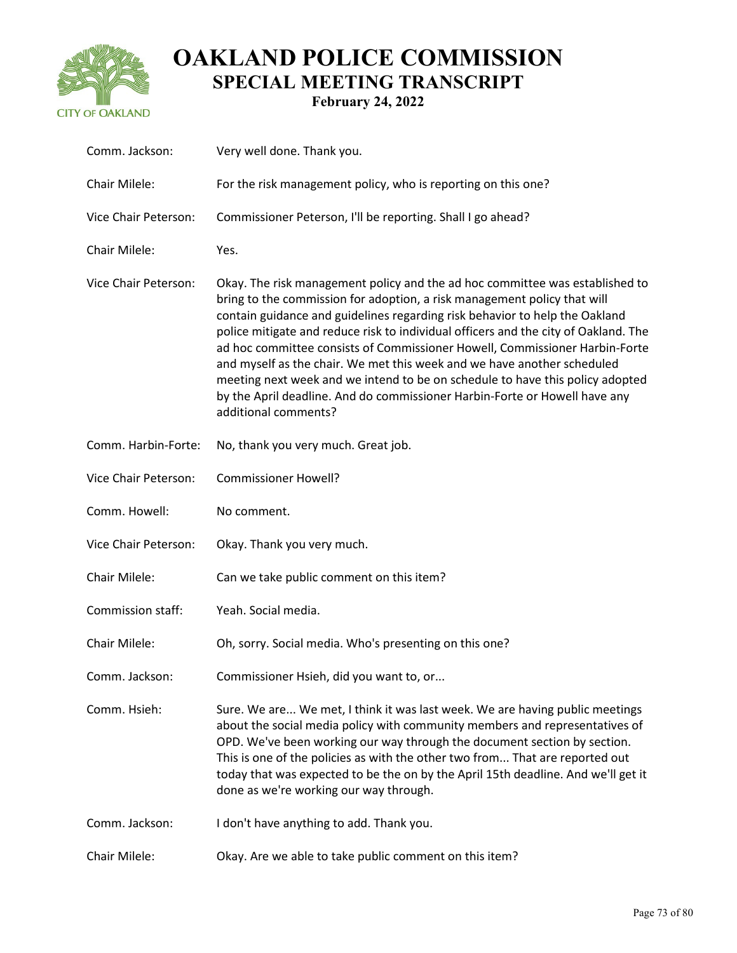

| Comm. Jackson:       | Very well done. Thank you.                                                                                                                                                                                                                                                                                                                                                                                                                                                                                                                                                                                                                                                      |
|----------------------|---------------------------------------------------------------------------------------------------------------------------------------------------------------------------------------------------------------------------------------------------------------------------------------------------------------------------------------------------------------------------------------------------------------------------------------------------------------------------------------------------------------------------------------------------------------------------------------------------------------------------------------------------------------------------------|
| Chair Milele:        | For the risk management policy, who is reporting on this one?                                                                                                                                                                                                                                                                                                                                                                                                                                                                                                                                                                                                                   |
| Vice Chair Peterson: | Commissioner Peterson, I'll be reporting. Shall I go ahead?                                                                                                                                                                                                                                                                                                                                                                                                                                                                                                                                                                                                                     |
| Chair Milele:        | Yes.                                                                                                                                                                                                                                                                                                                                                                                                                                                                                                                                                                                                                                                                            |
| Vice Chair Peterson: | Okay. The risk management policy and the ad hoc committee was established to<br>bring to the commission for adoption, a risk management policy that will<br>contain guidance and guidelines regarding risk behavior to help the Oakland<br>police mitigate and reduce risk to individual officers and the city of Oakland. The<br>ad hoc committee consists of Commissioner Howell, Commissioner Harbin-Forte<br>and myself as the chair. We met this week and we have another scheduled<br>meeting next week and we intend to be on schedule to have this policy adopted<br>by the April deadline. And do commissioner Harbin-Forte or Howell have any<br>additional comments? |
| Comm. Harbin-Forte:  | No, thank you very much. Great job.                                                                                                                                                                                                                                                                                                                                                                                                                                                                                                                                                                                                                                             |
| Vice Chair Peterson: | <b>Commissioner Howell?</b>                                                                                                                                                                                                                                                                                                                                                                                                                                                                                                                                                                                                                                                     |
| Comm. Howell:        | No comment.                                                                                                                                                                                                                                                                                                                                                                                                                                                                                                                                                                                                                                                                     |
| Vice Chair Peterson: | Okay. Thank you very much.                                                                                                                                                                                                                                                                                                                                                                                                                                                                                                                                                                                                                                                      |
| Chair Milele:        | Can we take public comment on this item?                                                                                                                                                                                                                                                                                                                                                                                                                                                                                                                                                                                                                                        |
| Commission staff:    | Yeah. Social media.                                                                                                                                                                                                                                                                                                                                                                                                                                                                                                                                                                                                                                                             |
| Chair Milele:        | Oh, sorry. Social media. Who's presenting on this one?                                                                                                                                                                                                                                                                                                                                                                                                                                                                                                                                                                                                                          |
| Comm. Jackson:       | Commissioner Hsieh, did you want to, or                                                                                                                                                                                                                                                                                                                                                                                                                                                                                                                                                                                                                                         |
| Comm. Hsieh:         | Sure. We are We met, I think it was last week. We are having public meetings<br>about the social media policy with community members and representatives of<br>OPD. We've been working our way through the document section by section.<br>This is one of the policies as with the other two from That are reported out<br>today that was expected to be the on by the April 15th deadline. And we'll get it<br>done as we're working our way through.                                                                                                                                                                                                                          |
| Comm. Jackson:       | I don't have anything to add. Thank you.                                                                                                                                                                                                                                                                                                                                                                                                                                                                                                                                                                                                                                        |
| Chair Milele:        | Okay. Are we able to take public comment on this item?                                                                                                                                                                                                                                                                                                                                                                                                                                                                                                                                                                                                                          |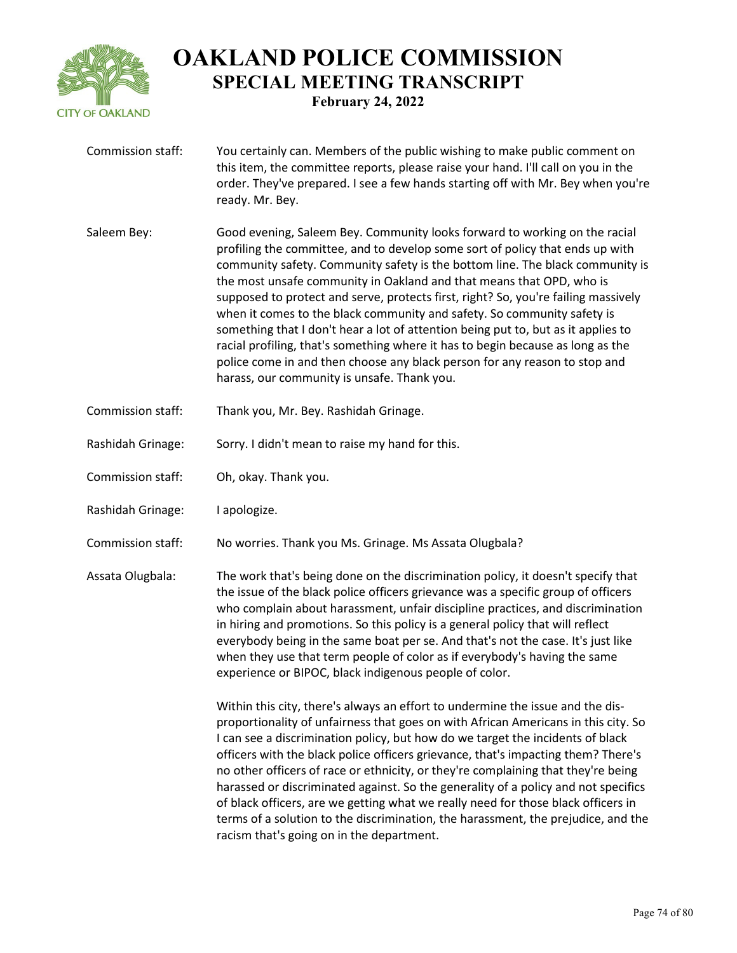

Commission staff: You certainly can. Members of the public wishing to make public comment on this item, the committee reports, please raise your hand. I'll call on you in the order. They've prepared. I see a few hands starting off with Mr. Bey when you're ready. Mr. Bey. Saleem Bey: Good evening, Saleem Bey. Community looks forward to working on the racial profiling the committee, and to develop some sort of policy that ends up with community safety. Community safety is the bottom line. The black community is the most unsafe community in Oakland and that means that OPD, who is supposed to protect and serve, protects first, right? So, you're failing massively when it comes to the black community and safety. So community safety is something that I don't hear a lot of attention being put to, but as it applies to racial profiling, that's something where it has to begin because as long as the police come in and then choose any black person for any reason to stop and harass, our community is unsafe. Thank you. Commission staff: Thank you, Mr. Bey. Rashidah Grinage. Rashidah Grinage: Sorry. I didn't mean to raise my hand for this. Commission staff: Oh, okay. Thank you. Rashidah Grinage: I apologize. Commission staff: No worries. Thank you Ms. Grinage. Ms Assata Olugbala? Assata Olugbala: The work that's being done on the discrimination policy, it doesn't specify that the issue of the black police officers grievance was a specific group of officers who complain about harassment, unfair discipline practices, and discrimination in hiring and promotions. So this policy is a general policy that will reflect everybody being in the same boat per se. And that's not the case. It's just like when they use that term people of color as if everybody's having the same experience or BIPOC, black indigenous people of color. Within this city, there's always an effort to undermine the issue and the disproportionality of unfairness that goes on with African Americans in this city. So I can see a discrimination policy, but how do we target the incidents of black officers with the black police officers grievance, that's impacting them? There's no other officers of race or ethnicity, or they're complaining that they're being harassed or discriminated against. So the generality of a policy and not specifics of black officers, are we getting what we really need for those black officers in terms of a solution to the discrimination, the harassment, the prejudice, and the

racism that's going on in the department.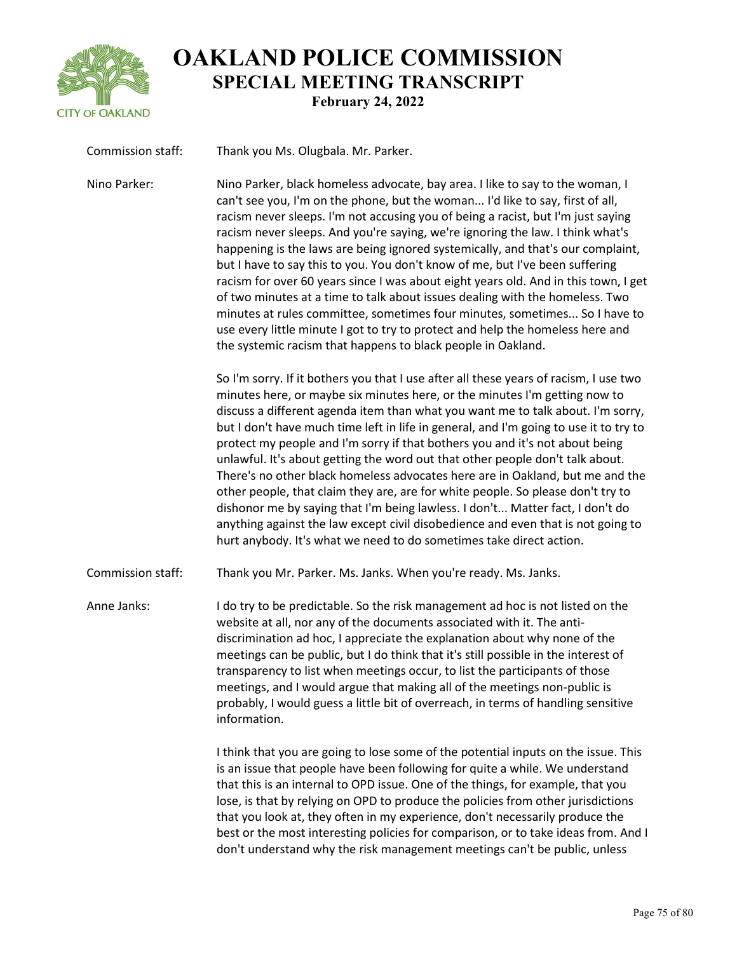

| Commission staff: | Thank you Ms. Olugbala. Mr. Parker.                                                                                                                                                                                                                                                                                                                                                                                                                                                                                                                                                                                                                                                                                                                                                                                                                                                                                              |
|-------------------|----------------------------------------------------------------------------------------------------------------------------------------------------------------------------------------------------------------------------------------------------------------------------------------------------------------------------------------------------------------------------------------------------------------------------------------------------------------------------------------------------------------------------------------------------------------------------------------------------------------------------------------------------------------------------------------------------------------------------------------------------------------------------------------------------------------------------------------------------------------------------------------------------------------------------------|
| Nino Parker:      | Nino Parker, black homeless advocate, bay area. I like to say to the woman, I<br>can't see you, I'm on the phone, but the woman I'd like to say, first of all,<br>racism never sleeps. I'm not accusing you of being a racist, but I'm just saying<br>racism never sleeps. And you're saying, we're ignoring the law. I think what's<br>happening is the laws are being ignored systemically, and that's our complaint,<br>but I have to say this to you. You don't know of me, but I've been suffering<br>racism for over 60 years since I was about eight years old. And in this town, I get<br>of two minutes at a time to talk about issues dealing with the homeless. Two<br>minutes at rules committee, sometimes four minutes, sometimes So I have to<br>use every little minute I got to try to protect and help the homeless here and<br>the systemic racism that happens to black people in Oakland.                   |
|                   | So I'm sorry. If it bothers you that I use after all these years of racism, I use two<br>minutes here, or maybe six minutes here, or the minutes I'm getting now to<br>discuss a different agenda item than what you want me to talk about. I'm sorry,<br>but I don't have much time left in life in general, and I'm going to use it to try to<br>protect my people and I'm sorry if that bothers you and it's not about being<br>unlawful. It's about getting the word out that other people don't talk about.<br>There's no other black homeless advocates here are in Oakland, but me and the<br>other people, that claim they are, are for white people. So please don't try to<br>dishonor me by saying that I'm being lawless. I don't Matter fact, I don't do<br>anything against the law except civil disobedience and even that is not going to<br>hurt anybody. It's what we need to do sometimes take direct action. |
| Commission staff: | Thank you Mr. Parker. Ms. Janks. When you're ready. Ms. Janks.                                                                                                                                                                                                                                                                                                                                                                                                                                                                                                                                                                                                                                                                                                                                                                                                                                                                   |
| Anne Janks:       | I do try to be predictable. So the risk management ad hoc is not listed on the<br>website at all, nor any of the documents associated with it. The anti-<br>discrimination ad hoc, I appreciate the explanation about why none of the<br>meetings can be public, but I do think that it's still possible in the interest of<br>transparency to list when meetings occur, to list the participants of those<br>meetings, and I would argue that making all of the meetings non-public is<br>probably, I would guess a little bit of overreach, in terms of handling sensitive<br>information.                                                                                                                                                                                                                                                                                                                                     |
|                   | I think that you are going to lose some of the potential inputs on the issue. This<br>is an issue that people have been following for quite a while. We understand<br>that this is an internal to OPD issue. One of the things, for example, that you<br>lose, is that by relying on OPD to produce the policies from other jurisdictions<br>that you look at, they often in my experience, don't necessarily produce the<br>best or the most interesting policies for comparison, or to take ideas from. And I<br>don't understand why the risk management meetings can't be public, unless                                                                                                                                                                                                                                                                                                                                     |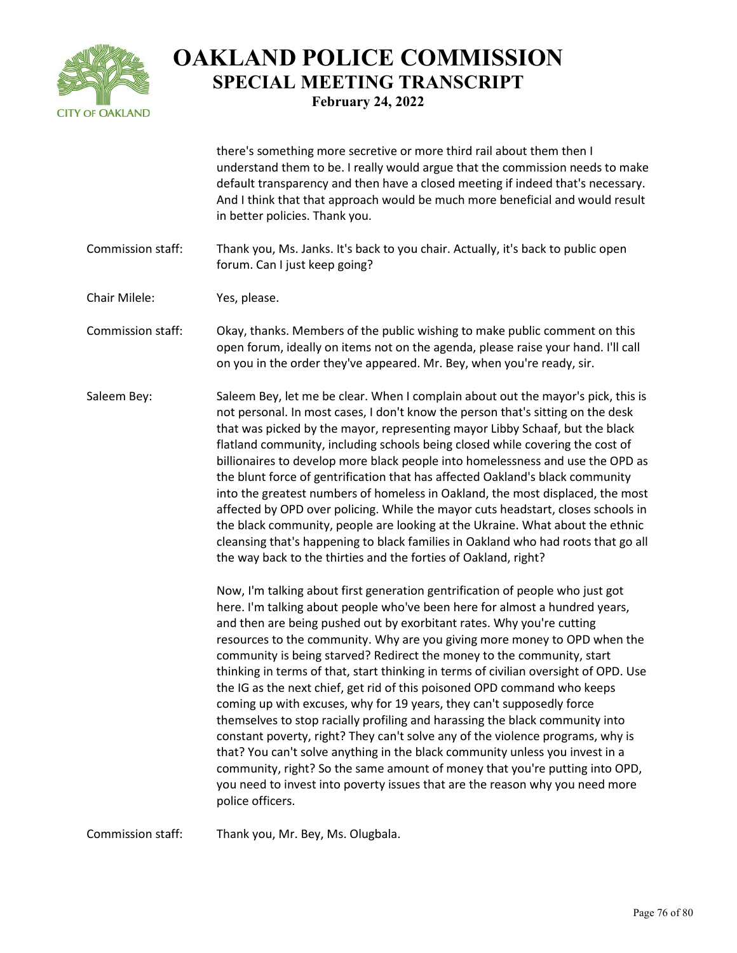

there's something more secretive or more third rail about them then I understand them to be. I really would argue that the commission needs to make default transparency and then have a closed meeting if indeed that's necessary. And I think that that approach would be much more beneficial and would result in better policies. Thank you.

Commission staff: Thank you, Ms. Janks. It's back to you chair. Actually, it's back to public open forum. Can I just keep going?

Chair Milele: Yes, please.

- Commission staff: Okay, thanks. Members of the public wishing to make public comment on this open forum, ideally on items not on the agenda, please raise your hand. I'll call on you in the order they've appeared. Mr. Bey, when you're ready, sir.
- Saleem Bey: Saleem Bey, let me be clear. When I complain about out the mayor's pick, this is not personal. In most cases, I don't know the person that's sitting on the desk that was picked by the mayor, representing mayor Libby Schaaf, but the black flatland community, including schools being closed while covering the cost of billionaires to develop more black people into homelessness and use the OPD as the blunt force of gentrification that has affected Oakland's black community into the greatest numbers of homeless in Oakland, the most displaced, the most affected by OPD over policing. While the mayor cuts headstart, closes schools in the black community, people are looking at the Ukraine. What about the ethnic cleansing that's happening to black families in Oakland who had roots that go all the way back to the thirties and the forties of Oakland, right?

Now, I'm talking about first generation gentrification of people who just got here. I'm talking about people who've been here for almost a hundred years, and then are being pushed out by exorbitant rates. Why you're cutting resources to the community. Why are you giving more money to OPD when the community is being starved? Redirect the money to the community, start thinking in terms of that, start thinking in terms of civilian oversight of OPD. Use the IG as the next chief, get rid of this poisoned OPD command who keeps coming up with excuses, why for 19 years, they can't supposedly force themselves to stop racially profiling and harassing the black community into constant poverty, right? They can't solve any of the violence programs, why is that? You can't solve anything in the black community unless you invest in a community, right? So the same amount of money that you're putting into OPD, you need to invest into poverty issues that are the reason why you need more police officers.

Commission staff: Thank you, Mr. Bey, Ms. Olugbala.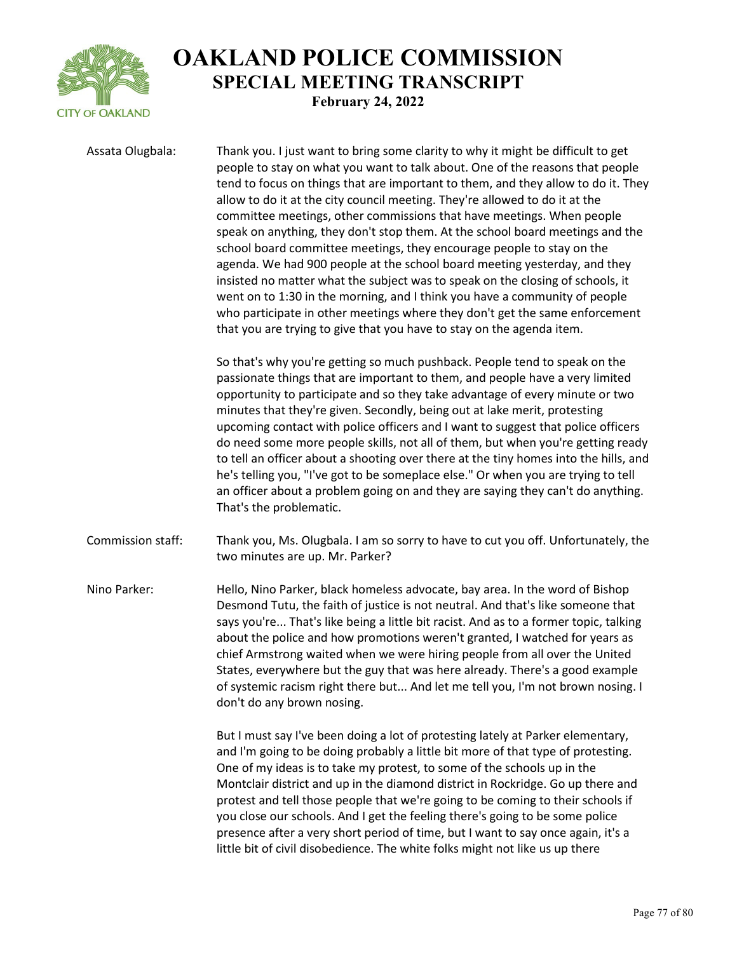

Assata Olugbala: Thank you. I just want to bring some clarity to why it might be difficult to get people to stay on what you want to talk about. One of the reasons that people tend to focus on things that are important to them, and they allow to do it. They allow to do it at the city council meeting. They're allowed to do it at the committee meetings, other commissions that have meetings. When people speak on anything, they don't stop them. At the school board meetings and the school board committee meetings, they encourage people to stay on the agenda. We had 900 people at the school board meeting yesterday, and they insisted no matter what the subject was to speak on the closing of schools, it went on to 1:30 in the morning, and I think you have a community of people who participate in other meetings where they don't get the same enforcement that you are trying to give that you have to stay on the agenda item.

> So that's why you're getting so much pushback. People tend to speak on the passionate things that are important to them, and people have a very limited opportunity to participate and so they take advantage of every minute or two minutes that they're given. Secondly, being out at lake merit, protesting upcoming contact with police officers and I want to suggest that police officers do need some more people skills, not all of them, but when you're getting ready to tell an officer about a shooting over there at the tiny homes into the hills, and he's telling you, "I've got to be someplace else." Or when you are trying to tell an officer about a problem going on and they are saying they can't do anything. That's the problematic.

Commission staff: Thank you, Ms. Olugbala. I am so sorry to have to cut you off. Unfortunately, the two minutes are up. Mr. Parker?

Nino Parker: Hello, Nino Parker, black homeless advocate, bay area. In the word of Bishop Desmond Tutu, the faith of justice is not neutral. And that's like someone that says you're... That's like being a little bit racist. And as to a former topic, talking about the police and how promotions weren't granted, I watched for years as chief Armstrong waited when we were hiring people from all over the United States, everywhere but the guy that was here already. There's a good example of systemic racism right there but... And let me tell you, I'm not brown nosing. I don't do any brown nosing.

> But I must say I've been doing a lot of protesting lately at Parker elementary, and I'm going to be doing probably a little bit more of that type of protesting. One of my ideas is to take my protest, to some of the schools up in the Montclair district and up in the diamond district in Rockridge. Go up there and protest and tell those people that we're going to be coming to their schools if you close our schools. And I get the feeling there's going to be some police presence after a very short period of time, but I want to say once again, it's a little bit of civil disobedience. The white folks might not like us up there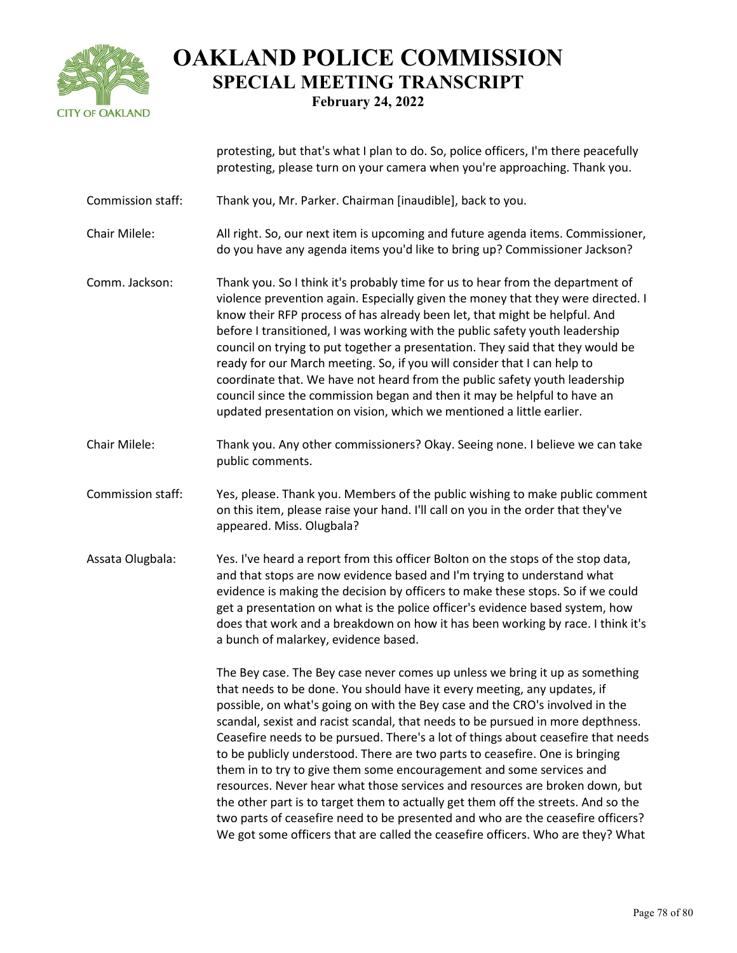

protesting, but that's what I plan to do. So, police officers, I'm there peacefully protesting, please turn on your camera when you're approaching. Thank you.

- Commission staff: Thank you, Mr. Parker. Chairman [inaudible], back to you.
- Chair Milele: All right. So, our next item is upcoming and future agenda items. Commissioner, do you have any agenda items you'd like to bring up? Commissioner Jackson?
- Comm. Jackson: Thank you. So I think it's probably time for us to hear from the department of violence prevention again. Especially given the money that they were directed. I know their RFP process of has already been let, that might be helpful. And before I transitioned, I was working with the public safety youth leadership council on trying to put together a presentation. They said that they would be ready for our March meeting. So, if you will consider that I can help to coordinate that. We have not heard from the public safety youth leadership council since the commission began and then it may be helpful to have an updated presentation on vision, which we mentioned a little earlier.
- Chair Milele: Thank you. Any other commissioners? Okay. Seeing none. I believe we can take public comments.
- Commission staff: Yes, please. Thank you. Members of the public wishing to make public comment on this item, please raise your hand. I'll call on you in the order that they've appeared. Miss. Olugbala?
- Assata Olugbala: Yes. I've heard a report from this officer Bolton on the stops of the stop data, and that stops are now evidence based and I'm trying to understand what evidence is making the decision by officers to make these stops. So if we could get a presentation on what is the police officer's evidence based system, how does that work and a breakdown on how it has been working by race. I think it's a bunch of malarkey, evidence based.

The Bey case. The Bey case never comes up unless we bring it up as something that needs to be done. You should have it every meeting, any updates, if possible, on what's going on with the Bey case and the CRO's involved in the scandal, sexist and racist scandal, that needs to be pursued in more depthness. Ceasefire needs to be pursued. There's a lot of things about ceasefire that needs to be publicly understood. There are two parts to ceasefire. One is bringing them in to try to give them some encouragement and some services and resources. Never hear what those services and resources are broken down, but the other part is to target them to actually get them off the streets. And so the two parts of ceasefire need to be presented and who are the ceasefire officers? We got some officers that are called the ceasefire officers. Who are they? What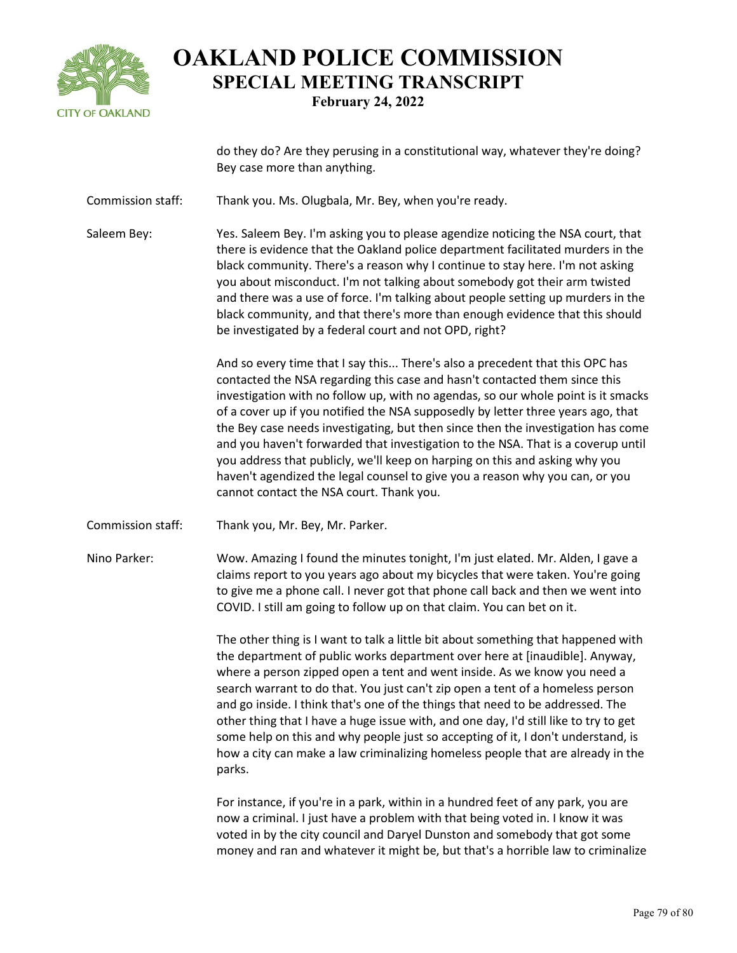

do they do? Are they perusing in a constitutional way, whatever they're doing? Bey case more than anything.

Commission staff: Thank you. Ms. Olugbala, Mr. Bey, when you're ready.

Saleem Bey: Yes. Saleem Bey. I'm asking you to please agendize noticing the NSA court, that there is evidence that the Oakland police department facilitated murders in the black community. There's a reason why I continue to stay here. I'm not asking you about misconduct. I'm not talking about somebody got their arm twisted and there was a use of force. I'm talking about people setting up murders in the black community, and that there's more than enough evidence that this should be investigated by a federal court and not OPD, right?

> And so every time that I say this... There's also a precedent that this OPC has contacted the NSA regarding this case and hasn't contacted them since this investigation with no follow up, with no agendas, so our whole point is it smacks of a cover up if you notified the NSA supposedly by letter three years ago, that the Bey case needs investigating, but then since then the investigation has come and you haven't forwarded that investigation to the NSA. That is a coverup until you address that publicly, we'll keep on harping on this and asking why you haven't agendized the legal counsel to give you a reason why you can, or you cannot contact the NSA court. Thank you.

Commission staff: Thank you, Mr. Bey, Mr. Parker.

Nino Parker: Wow. Amazing I found the minutes tonight, I'm just elated. Mr. Alden, I gave a claims report to you years ago about my bicycles that were taken. You're going to give me a phone call. I never got that phone call back and then we went into COVID. I still am going to follow up on that claim. You can bet on it.

> The other thing is I want to talk a little bit about something that happened with the department of public works department over here at [inaudible]. Anyway, where a person zipped open a tent and went inside. As we know you need a search warrant to do that. You just can't zip open a tent of a homeless person and go inside. I think that's one of the things that need to be addressed. The other thing that I have a huge issue with, and one day, I'd still like to try to get some help on this and why people just so accepting of it, I don't understand, is how a city can make a law criminalizing homeless people that are already in the parks.

> For instance, if you're in a park, within in a hundred feet of any park, you are now a criminal. I just have a problem with that being voted in. I know it was voted in by the city council and Daryel Dunston and somebody that got some money and ran and whatever it might be, but that's a horrible law to criminalize